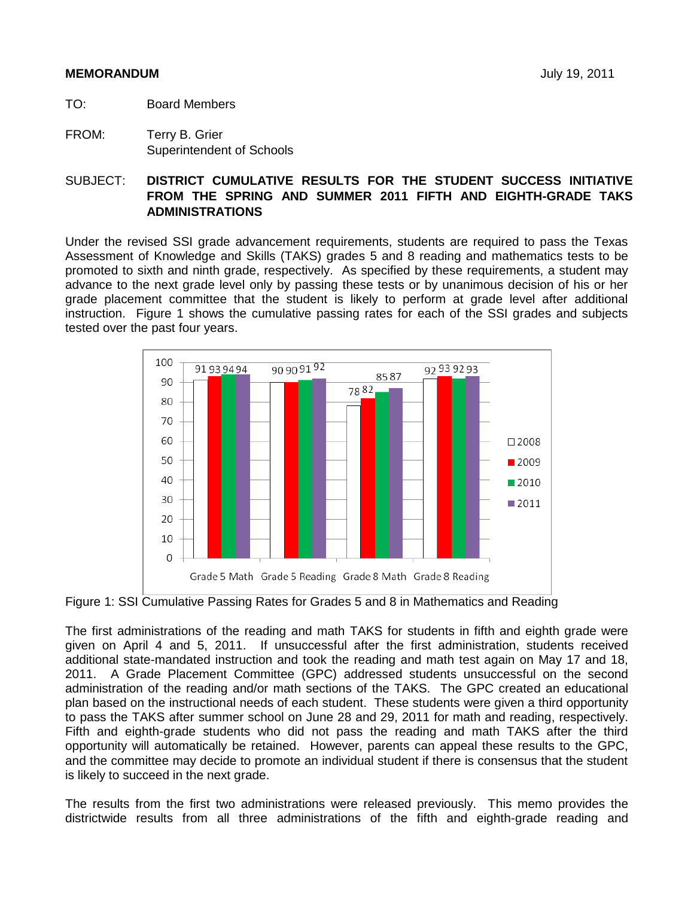#### **MEMORANDUM** July 19, 2011

- TO: Board Members
- FROM: Terry B. Grier Superintendent of Schools
- SUBJECT: **DISTRICT CUMULATIVE RESULTS FOR THE STUDENT SUCCESS INITIATIVE FROM THE SPRING AND SUMMER 2011 FIFTH AND EIGHTH-GRADE TAKS ADMINISTRATIONS**

Under the revised SSI grade advancement requirements, students are required to pass the Texas Assessment of Knowledge and Skills (TAKS) grades 5 and 8 reading and mathematics tests to be promoted to sixth and ninth grade, respectively. As specified by these requirements, a student may advance to the next grade level only by passing these tests or by unanimous decision of his or her grade placement committee that the student is likely to perform at grade level after additional instruction. Figure 1 shows the cumulative passing rates for each of the SSI grades and subjects tested over the past four years.



Figure 1: SSI Cumulative Passing Rates for Grades 5 and 8 in Mathematics and Reading

The first administrations of the reading and math TAKS for students in fifth and eighth grade were given on April 4 and 5, 2011. If unsuccessful after the first administration, students received additional state-mandated instruction and took the reading and math test again on May 17 and 18, 2011. A Grade Placement Committee (GPC) addressed students unsuccessful on the second administration of the reading and/or math sections of the TAKS. The GPC created an educational plan based on the instructional needs of each student. These students were given a third opportunity to pass the TAKS after summer school on June 28 and 29, 2011 for math and reading, respectively. Fifth and eighth-grade students who did not pass the reading and math TAKS after the third opportunity will automatically be retained. However, parents can appeal these results to the GPC, and the committee may decide to promote an individual student if there is consensus that the student is likely to succeed in the next grade.

The results from the first two administrations were released previously. This memo provides the districtwide results from all three administrations of the fifth and eighth-grade reading and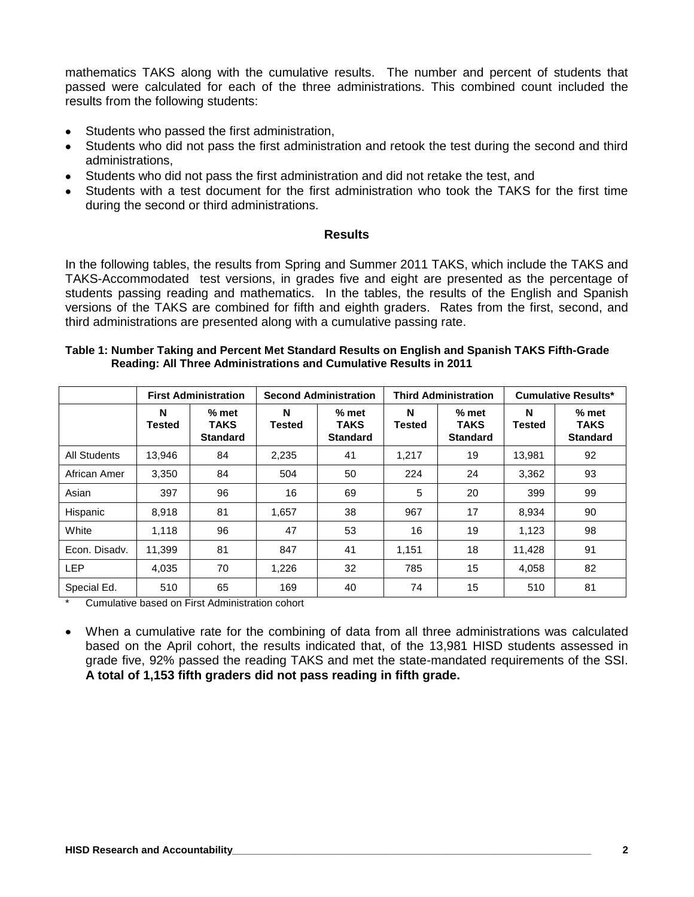mathematics TAKS along with the cumulative results. The number and percent of students that passed were calculated for each of the three administrations. This combined count included the results from the following students:

- Students who passed the first administration,
- Students who did not pass the first administration and retook the test during the second and third administrations,
- Students who did not pass the first administration and did not retake the test, and
- Students with a test document for the first administration who took the TAKS for the first time during the second or third administrations.

#### **Results**

In the following tables, the results from Spring and Summer 2011 TAKS, which include the TAKS and TAKS-Accommodated test versions, in grades five and eight are presented as the percentage of students passing reading and mathematics. In the tables, the results of the English and Spanish versions of the TAKS are combined for fifth and eighth graders. Rates from the first, second, and third administrations are presented along with a cumulative passing rate.

#### **Table 1: Number Taking and Percent Met Standard Results on English and Spanish TAKS Fifth-Grade Reading: All Three Administrations and Cumulative Results in 2011**

|               |             | <b>First Administration</b>               |             | <b>Second Administration</b>            |                    | <b>Third Administration</b>             |                    | <b>Cumulative Results*</b>                |  |
|---------------|-------------|-------------------------------------------|-------------|-----------------------------------------|--------------------|-----------------------------------------|--------------------|-------------------------------------------|--|
|               | N<br>Tested | $%$ met<br><b>TAKS</b><br><b>Standard</b> | N<br>Tested | % met<br><b>TAKS</b><br><b>Standard</b> | N<br><b>Tested</b> | % met<br><b>TAKS</b><br><b>Standard</b> | N<br><b>Tested</b> | $%$ met<br><b>TAKS</b><br><b>Standard</b> |  |
| All Students  | 13,946      | 84                                        | 2,235       | 41                                      | 1.217              | 19                                      | 13.981             | 92                                        |  |
| African Amer  | 3,350       | 84                                        | 504         | 50                                      | 224                | 24                                      | 3,362              | 93                                        |  |
| Asian         | 397         | 96                                        | 16          | 69                                      | 5                  | 20                                      | 399                | 99                                        |  |
| Hispanic      | 8.918       | 81                                        | 1.657       | 38                                      | 967                | 17                                      | 8.934              | 90                                        |  |
| White         | 1,118       | 96                                        | 47          | 53                                      | 16                 | 19                                      | 1,123              | 98                                        |  |
| Econ. Disadv. | 11,399      | 81                                        | 847         | 41                                      | 1,151              | 18                                      | 11,428             | 91                                        |  |
| <b>LEP</b>    | 4,035       | 70                                        | 1,226       | 32                                      | 785                | 15                                      | 4,058              | 82                                        |  |
| Special Ed.   | 510         | 65                                        | 169         | 40                                      | 74                 | 15                                      | 510                | 81                                        |  |

**Cumulative based on First Administration cohort** 

When a cumulative rate for the combining of data from all three administrations was calculated based on the April cohort, the results indicated that, of the 13,981 HISD students assessed in grade five, 92% passed the reading TAKS and met the state-mandated requirements of the SSI. **A total of 1,153 fifth graders did not pass reading in fifth grade.**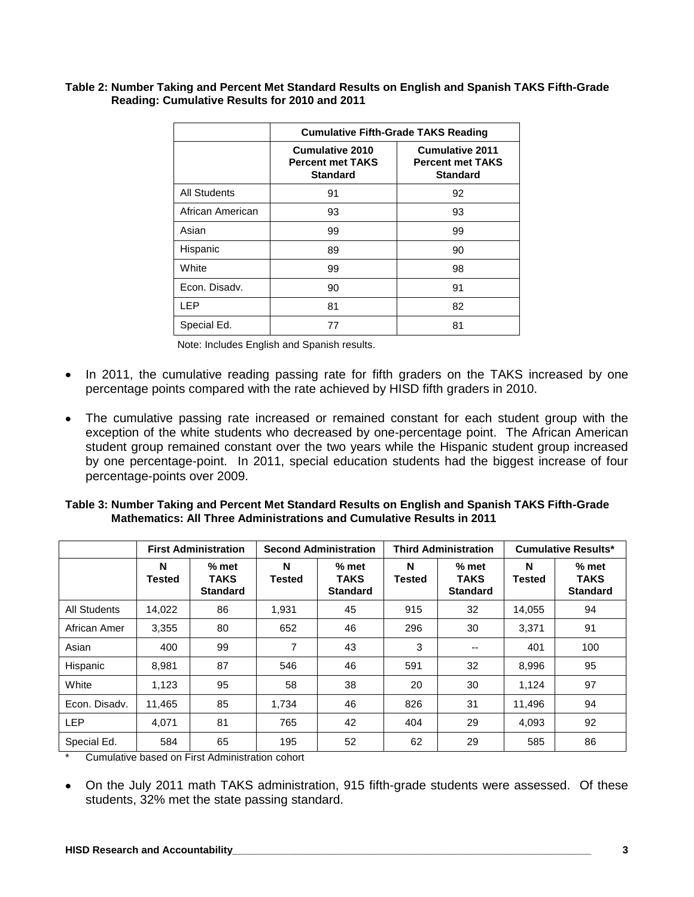|                     | <b>Cumulative Fifth-Grade TAKS Reading</b>                           |                                                                      |
|---------------------|----------------------------------------------------------------------|----------------------------------------------------------------------|
|                     | <b>Cumulative 2010</b><br><b>Percent met TAKS</b><br><b>Standard</b> | <b>Cumulative 2011</b><br><b>Percent met TAKS</b><br><b>Standard</b> |
| <b>All Students</b> | 91                                                                   | 92                                                                   |
| African American    | 93                                                                   | 93                                                                   |
| Asian               | 99                                                                   | 99                                                                   |
| Hispanic            | 89                                                                   | 90                                                                   |
| White               | 99                                                                   | 98                                                                   |
| Econ. Disadv.       | 90                                                                   | 91                                                                   |
| LEP                 | 81                                                                   | 82                                                                   |
| Special Ed.         | 77                                                                   | 81                                                                   |

**Table 2: Number Taking and Percent Met Standard Results on English and Spanish TAKS Fifth-Grade Reading: Cumulative Results for 2010 and 2011**

Note: Includes English and Spanish results.

- In 2011, the cumulative reading passing rate for fifth graders on the TAKS increased by one percentage points compared with the rate achieved by HISD fifth graders in 2010.
- The cumulative passing rate increased or remained constant for each student group with the exception of the white students who decreased by one-percentage point. The African American student group remained constant over the two years while the Hispanic student group increased by one percentage-point. In 2011, special education students had the biggest increase of four percentage-points over 2009.

| Table 3: Number Taking and Percent Met Standard Results on English and Spanish TAKS Fifth-Grade |
|-------------------------------------------------------------------------------------------------|
| <b>Mathematics: All Three Administrations and Cumulative Results in 2011</b>                    |

|                     |             | <b>First Administration</b>             |                    | <b>Second Administration</b>              |             | <b>Third Administration</b>               |                    | <b>Cumulative Results*</b>                |
|---------------------|-------------|-----------------------------------------|--------------------|-------------------------------------------|-------------|-------------------------------------------|--------------------|-------------------------------------------|
|                     | N<br>Tested | % met<br><b>TAKS</b><br><b>Standard</b> | N<br><b>Tested</b> | $%$ met<br><b>TAKS</b><br><b>Standard</b> | N<br>Tested | $%$ met<br><b>TAKS</b><br><b>Standard</b> | N<br><b>Tested</b> | $%$ met<br><b>TAKS</b><br><b>Standard</b> |
| <b>All Students</b> | 14,022      | 86                                      | 1,931              | 45                                        | 915         | 32                                        | 14,055             | 94                                        |
| African Amer        | 3,355       | 80                                      | 652                | 46                                        | 296         | 30                                        | 3,371              | 91                                        |
| Asian               | 400         | 99                                      | 7                  | 43                                        | 3           | --                                        | 401                | 100                                       |
| Hispanic            | 8,981       | 87                                      | 546                | 46                                        | 591         | 32                                        | 8,996              | 95                                        |
| White               | 1,123       | 95                                      | 58                 | 38                                        | 20          | 30                                        | 1.124              | 97                                        |
| Econ. Disadv.       | 11,465      | 85                                      | 1,734              | 46                                        | 826         | 31                                        | 11,496             | 94                                        |
| <b>LEP</b>          | 4,071       | 81                                      | 765                | 42                                        | 404         | 29                                        | 4,093              | 92                                        |
| Special Ed.         | 584         | 65                                      | 195                | 52                                        | 62          | 29                                        | 585                | 86                                        |

**Cumulative based on First Administration cohort** 

On the July 2011 math TAKS administration, 915 fifth-grade students were assessed. Of these students, 32% met the state passing standard.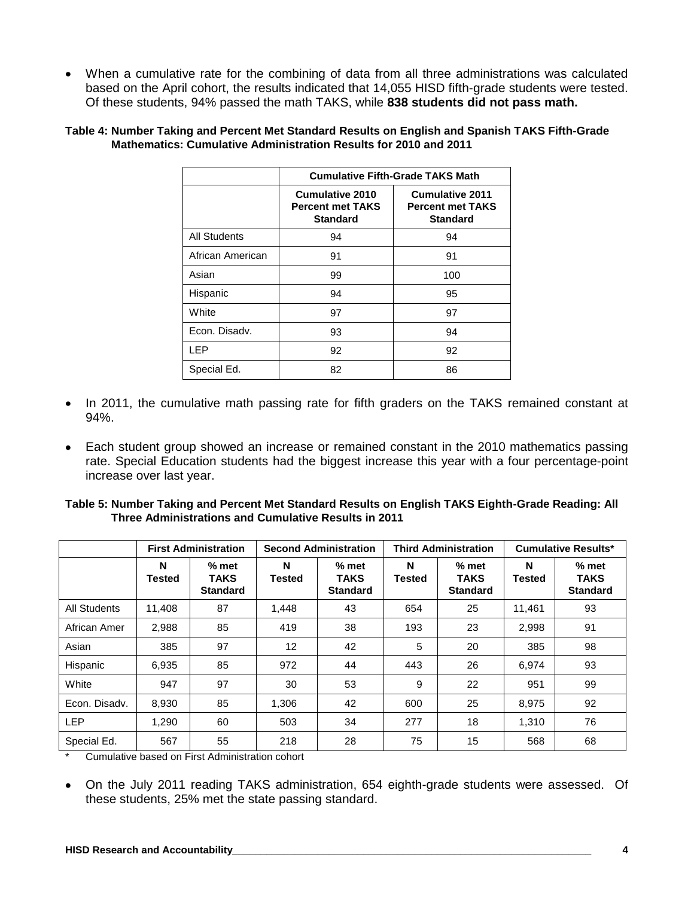When a cumulative rate for the combining of data from all three administrations was calculated based on the April cohort, the results indicated that 14,055 HISD fifth-grade students were tested. Of these students, 94% passed the math TAKS, while **838 students did not pass math.** 

| Table 4: Number Taking and Percent Met Standard Results on English and Spanish TAKS Fifth-Grade |  |
|-------------------------------------------------------------------------------------------------|--|
| <b>Mathematics: Cumulative Administration Results for 2010 and 2011</b>                         |  |

|                     |                                                               | <b>Cumulative Fifth-Grade TAKS Math</b>                              |
|---------------------|---------------------------------------------------------------|----------------------------------------------------------------------|
|                     | Cumulative 2010<br><b>Percent met TAKS</b><br><b>Standard</b> | <b>Cumulative 2011</b><br><b>Percent met TAKS</b><br><b>Standard</b> |
| <b>All Students</b> | 94                                                            | 94                                                                   |
| African American    | 91                                                            | 91                                                                   |
| Asian               | 99                                                            | 100                                                                  |
| Hispanic            | 94                                                            | 95                                                                   |
| White               | 97                                                            | 97                                                                   |
| Econ. Disadv.       | 93                                                            | 94                                                                   |
| LEP                 | 92                                                            | 92                                                                   |
| Special Ed.         | 82                                                            | 86                                                                   |

- In 2011, the cumulative math passing rate for fifth graders on the TAKS remained constant at 94%.
- Each student group showed an increase or remained constant in the 2010 mathematics passing rate. Special Education students had the biggest increase this year with a four percentage-point increase over last year.

**Table 5: Number Taking and Percent Met Standard Results on English TAKS Eighth-Grade Reading: All Three Administrations and Cumulative Results in 2011**

|                     |             | <b>First Administration</b>               |             | <b>Second Administration</b>       |                    | <b>Third Administration</b>               |                    | <b>Cumulative Results*</b>                |  |
|---------------------|-------------|-------------------------------------------|-------------|------------------------------------|--------------------|-------------------------------------------|--------------------|-------------------------------------------|--|
|                     | N<br>Tested | $%$ met<br><b>TAKS</b><br><b>Standard</b> | N<br>Tested | $%$ met<br>TAKS<br><b>Standard</b> | N<br><b>Tested</b> | $%$ met<br><b>TAKS</b><br><b>Standard</b> | N<br><b>Tested</b> | $%$ met<br><b>TAKS</b><br><b>Standard</b> |  |
| <b>All Students</b> | 11,408      | 87                                        | 1,448       | 43                                 | 654                | 25                                        | 11,461             | 93                                        |  |
| African Amer        | 2,988       | 85                                        | 419         | 38                                 | 193                | 23                                        | 2,998              | 91                                        |  |
| Asian               | 385         | 97                                        | 12          | 42                                 | 5                  | 20                                        | 385                | 98                                        |  |
| Hispanic            | 6,935       | 85                                        | 972         | 44                                 | 443                | 26                                        | 6,974              | 93                                        |  |
| White               | 947         | 97                                        | 30          | 53                                 | 9                  | 22                                        | 951                | 99                                        |  |
| Econ. Disadv.       | 8,930       | 85                                        | 1.306       | 42                                 | 600                | 25                                        | 8,975              | 92                                        |  |
| <b>LEP</b>          | 1.290       | 60                                        | 503         | 34                                 | 277                | 18                                        | 1,310              | 76                                        |  |
| Special Ed.         | 567         | 55                                        | 218         | 28                                 | 75                 | 15                                        | 568                | 68                                        |  |

**Cumulative based on First Administration cohort** 

On the July 2011 reading TAKS administration, 654 eighth-grade students were assessed. Of these students, 25% met the state passing standard.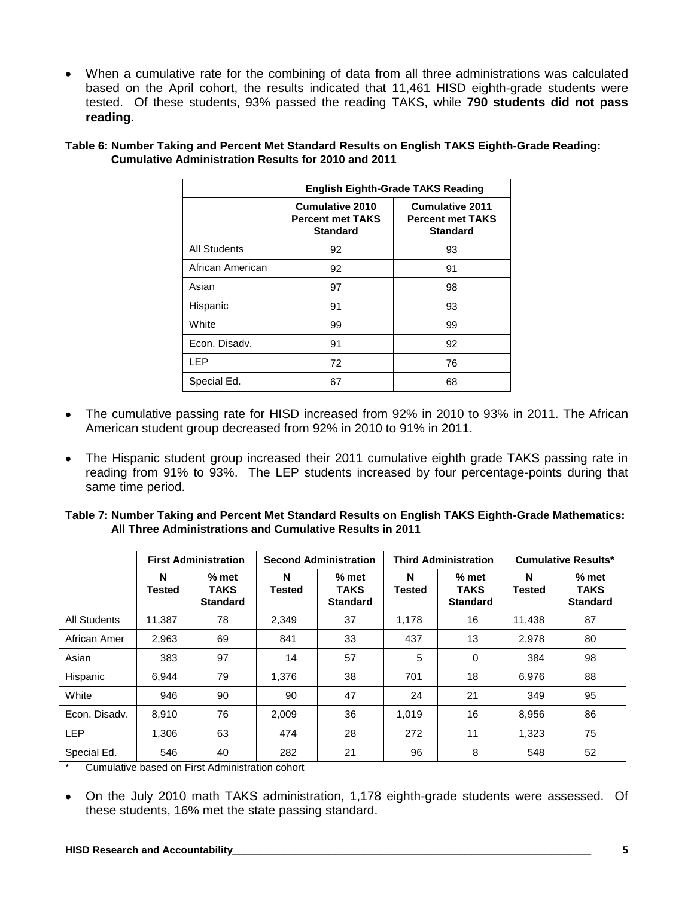When a cumulative rate for the combining of data from all three administrations was calculated based on the April cohort, the results indicated that 11,461 HISD eighth-grade students were tested. Of these students, 93% passed the reading TAKS, while **790 students did not pass reading.** 

|                     |                                                               | <b>English Eighth-Grade TAKS Reading</b>                      |
|---------------------|---------------------------------------------------------------|---------------------------------------------------------------|
|                     | Cumulative 2010<br><b>Percent met TAKS</b><br><b>Standard</b> | Cumulative 2011<br><b>Percent met TAKS</b><br><b>Standard</b> |
| <b>All Students</b> | 92                                                            | 93                                                            |
| African American    | 92                                                            | 91                                                            |
| Asian               | 97                                                            | 98                                                            |
| Hispanic            | 91                                                            | 93                                                            |
| White               | 99                                                            | 99                                                            |
| Econ. Disadv.       | 91                                                            | 92                                                            |
| LEP                 | 72                                                            | 76                                                            |
| Special Ed.         | 67                                                            | 68                                                            |

#### **Table 6: Number Taking and Percent Met Standard Results on English TAKS Eighth-Grade Reading: Cumulative Administration Results for 2010 and 2011**

- The cumulative passing rate for HISD increased from 92% in 2010 to 93% in 2011. The African American student group decreased from 92% in 2010 to 91% in 2011.
- The Hispanic student group increased their 2011 cumulative eighth grade TAKS passing rate in reading from 91% to 93%. The LEP students increased by four percentage-points during that same time period.

#### **Table 7: Number Taking and Percent Met Standard Results on English TAKS Eighth-Grade Mathematics: All Three Administrations and Cumulative Results in 2011**

|                     |             | <b>First Administration</b>               |             | <b>Second Administration</b> |             | <b>Third Administration</b>             |             | <b>Cumulative Results*</b>              |
|---------------------|-------------|-------------------------------------------|-------------|------------------------------|-------------|-----------------------------------------|-------------|-----------------------------------------|
|                     | N<br>Tested | $%$ met<br><b>TAKS</b><br><b>Standard</b> | N<br>Tested |                              | N<br>Tested | % met<br><b>TAKS</b><br><b>Standard</b> | N<br>Tested | % met<br><b>TAKS</b><br><b>Standard</b> |
| <b>All Students</b> | 11.387      | 78                                        | 2,349       | 37                           | 1.178       | 16                                      | 11,438      | 87                                      |
| African Amer        | 2,963       | 69                                        | 841         | 33                           | 437         | 13                                      | 2,978       | 80                                      |
| Asian               | 383         | 97                                        | 14          | 57                           | 5           | 0                                       | 384         | 98                                      |
| Hispanic            | 6,944       | 79                                        | 1,376       | 38                           | 701         | 18                                      | 6,976       | 88                                      |
| White               | 946         | 90                                        | 90          | 47                           | 24          | 21                                      | 349         | 95                                      |
| Econ. Disady.       | 8,910       | 76                                        | 2,009       | 36                           | 1.019       | 16                                      | 8,956       | 86                                      |
| <b>LEP</b>          | 1,306       | 63                                        | 474         | 28                           | 272         | 11                                      | 1.323       | 75                                      |
| Special Ed.         | 546         | 40                                        | 282         | 21                           | 96          | 8                                       | 548         | 52                                      |

**Cumulative based on First Administration cohort** 

On the July 2010 math TAKS administration, 1,178 eighth-grade students were assessed. Of these students, 16% met the state passing standard.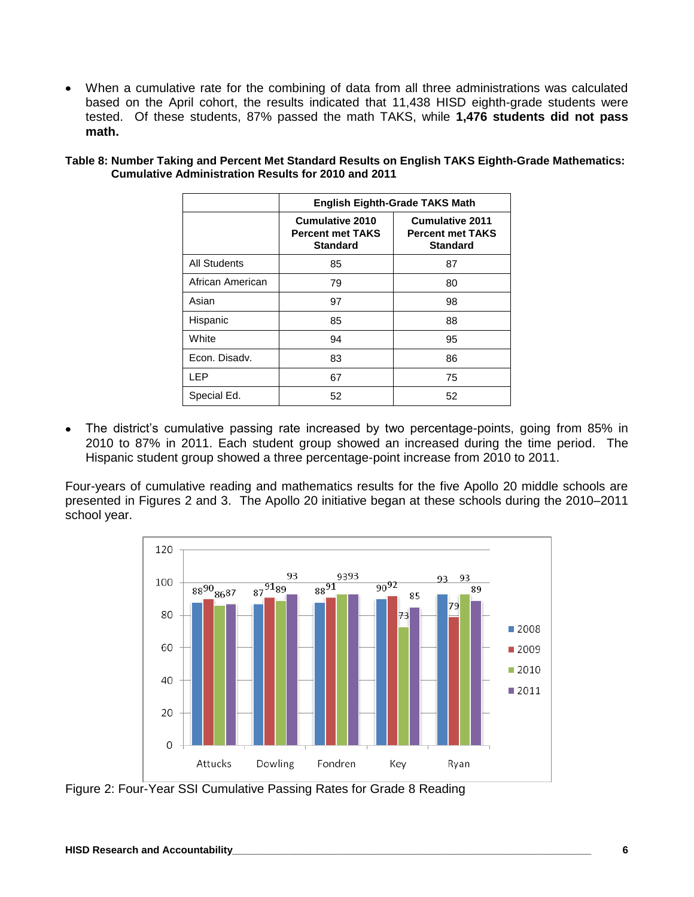When a cumulative rate for the combining of data from all three administrations was calculated based on the April cohort, the results indicated that 11,438 HISD eighth-grade students were tested. Of these students, 87% passed the math TAKS, while **1,476 students did not pass math.** 

|                     |                                                               | <b>English Eighth-Grade TAKS Math</b>                                |
|---------------------|---------------------------------------------------------------|----------------------------------------------------------------------|
|                     | Cumulative 2010<br><b>Percent met TAKS</b><br><b>Standard</b> | <b>Cumulative 2011</b><br><b>Percent met TAKS</b><br><b>Standard</b> |
| <b>All Students</b> | 85                                                            | 87                                                                   |
| African American    | 79                                                            | 80                                                                   |
| Asian               | 97                                                            | 98                                                                   |
| Hispanic            | 85                                                            | 88                                                                   |
| White               | 94                                                            | 95                                                                   |
| Econ. Disadv.       | 83                                                            | 86                                                                   |
| LEP                 | 67                                                            | 75                                                                   |
| Special Ed.         | 52                                                            | 52                                                                   |

**Table 8: Number Taking and Percent Met Standard Results on English TAKS Eighth-Grade Mathematics: Cumulative Administration Results for 2010 and 2011**

The district's cumulative passing rate increased by two percentage-points, going from 85% in 2010 to 87% in 2011. Each student group showed an increased during the time period. The Hispanic student group showed a three percentage-point increase from 2010 to 2011.

Four-years of cumulative reading and mathematics results for the five Apollo 20 middle schools are presented in Figures 2 and 3. The Apollo 20 initiative began at these schools during the 2010–2011 school year.



Figure 2: Four-Year SSI Cumulative Passing Rates for Grade 8 Reading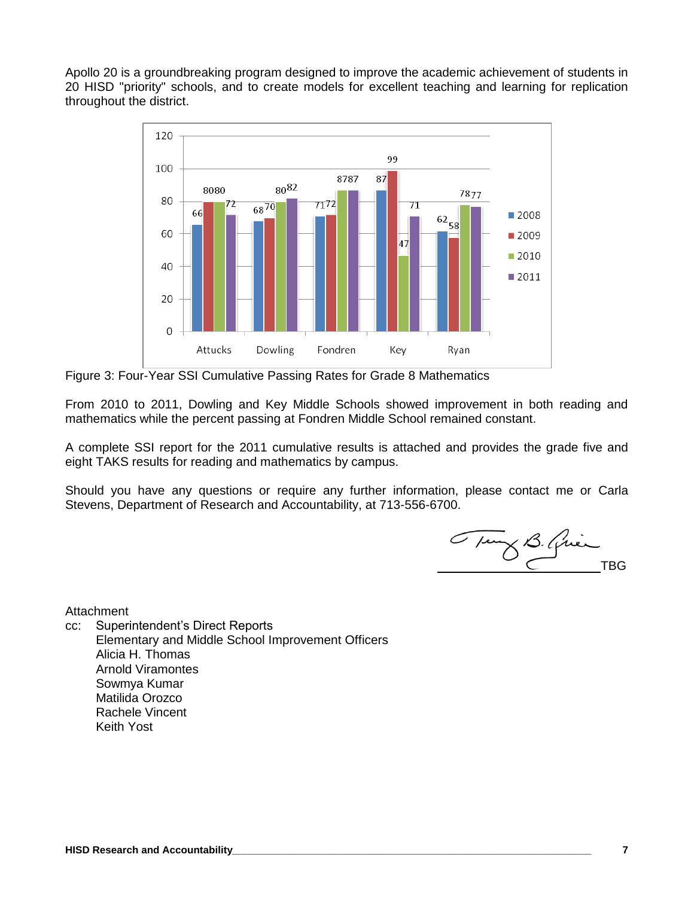Apollo 20 is a groundbreaking program designed to improve the academic achievement of students in 20 HISD "priority" schools, and to create models for excellent teaching and learning for replication throughout the district.



Figure 3: Four-Year SSI Cumulative Passing Rates for Grade 8 Mathematics

From 2010 to 2011, Dowling and Key Middle Schools showed improvement in both reading and mathematics while the percent passing at Fondren Middle School remained constant.

A complete SSI report for the 2011 cumulative results is attached and provides the grade five and eight TAKS results for reading and mathematics by campus.

Should you have any questions or require any further information, please contact me or Carla Stevens, Department of Research and Accountability, at 713-556-6700.

Tuny B. Quin

**Attachment** 

cc: Superintendent's Direct Reports Elementary and Middle School Improvement Officers Alicia H. Thomas Arnold Viramontes Sowmya Kumar Matilida Orozco Rachele Vincent Keith Yost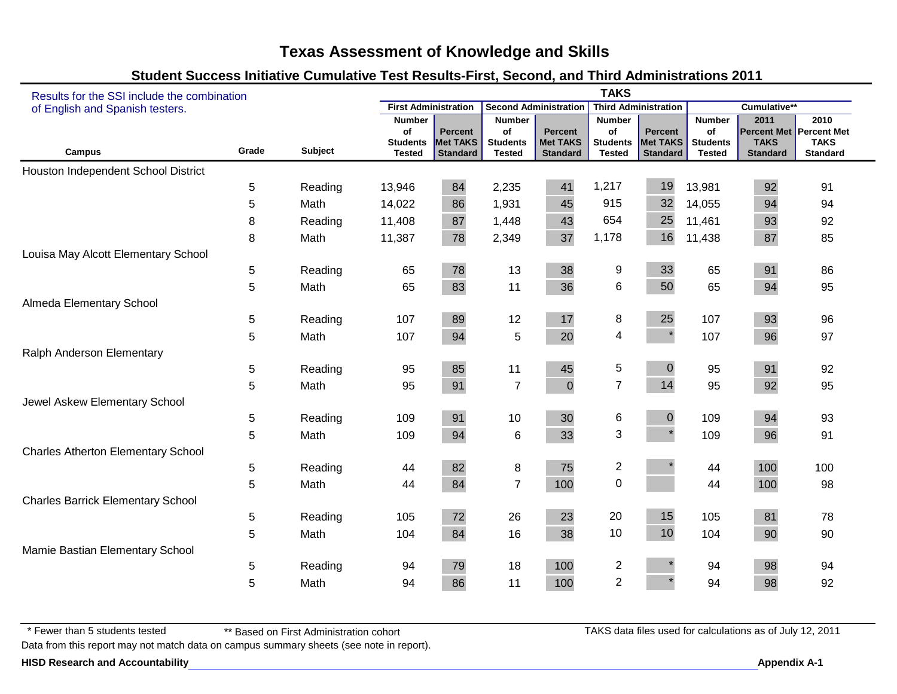### **Student Success Initiative Cumulative Test Results-First, Second, and Third Administrations 2011**

| Results for the SSI include the combination | <b>TAKS</b> |                |                                                         |                                               |                                                         |                                                      |                                                         |                                                      |                                                         |                                        |                                                                          |  |
|---------------------------------------------|-------------|----------------|---------------------------------------------------------|-----------------------------------------------|---------------------------------------------------------|------------------------------------------------------|---------------------------------------------------------|------------------------------------------------------|---------------------------------------------------------|----------------------------------------|--------------------------------------------------------------------------|--|
| of English and Spanish testers.             |             |                | <b>First Administration</b>                             |                                               | <b>Second Administration</b>                            |                                                      |                                                         | <b>Third Administration</b>                          |                                                         | Cumulative**                           |                                                                          |  |
| Campus                                      | Grade       | <b>Subject</b> | <b>Number</b><br>of<br><b>Students</b><br><b>Tested</b> | Percent<br><b>Met TAKS</b><br><b>Standard</b> | <b>Number</b><br>of<br><b>Students</b><br><b>Tested</b> | <b>Percent</b><br><b>Met TAKS</b><br><b>Standard</b> | <b>Number</b><br>of<br><b>Students</b><br><b>Tested</b> | <b>Percent</b><br><b>Met TAKS</b><br><b>Standard</b> | <b>Number</b><br>of<br><b>Students</b><br><b>Tested</b> | 2011<br><b>TAKS</b><br><b>Standard</b> | 2010<br><b>Percent Met Percent Met</b><br><b>TAKS</b><br><b>Standard</b> |  |
| Houston Independent School District         |             |                |                                                         |                                               |                                                         |                                                      |                                                         |                                                      |                                                         |                                        |                                                                          |  |
|                                             | $\sqrt{5}$  | Reading        | 13,946                                                  | 84                                            | 2,235                                                   | 41                                                   | 1,217                                                   | 19                                                   | 13,981                                                  | 92                                     | 91                                                                       |  |
|                                             | $\sqrt{5}$  | Math           | 14,022                                                  | 86                                            | 1,931                                                   | 45                                                   | 915                                                     | 32                                                   | 14,055                                                  | 94                                     | 94                                                                       |  |
|                                             | 8           | Reading        | 11,408                                                  | 87                                            | 1,448                                                   | 43                                                   | 654                                                     | 25                                                   | 11,461                                                  | 93                                     | 92                                                                       |  |
|                                             | 8           | Math           | 11,387                                                  | 78                                            | 2,349                                                   | 37                                                   | 1,178                                                   | 16                                                   | 11,438                                                  | 87                                     | 85                                                                       |  |
| Louisa May Alcott Elementary School         |             |                |                                                         |                                               |                                                         |                                                      |                                                         |                                                      |                                                         |                                        |                                                                          |  |
|                                             | $\sqrt{5}$  | Reading        | 65                                                      | 78                                            | 13                                                      | 38                                                   | 9                                                       | 33                                                   | 65                                                      | 91                                     | 86                                                                       |  |
|                                             | $\sqrt{5}$  | Math           | 65                                                      | 83                                            | 11                                                      | 36                                                   | 6                                                       | 50                                                   | 65                                                      | 94                                     | 95                                                                       |  |
| Almeda Elementary School                    |             |                |                                                         |                                               |                                                         |                                                      |                                                         |                                                      |                                                         |                                        |                                                                          |  |
|                                             | $\sqrt{5}$  | Reading        | 107                                                     | 89                                            | 12                                                      | 17                                                   | 8                                                       | 25                                                   | 107                                                     | 93                                     | 96                                                                       |  |
|                                             | 5           | Math           | 107                                                     | 94                                            | 5                                                       | 20                                                   | $\overline{\mathbf{4}}$                                 | $\star$                                              | 107                                                     | 96                                     | 97                                                                       |  |
| Ralph Anderson Elementary                   |             |                |                                                         |                                               |                                                         |                                                      |                                                         |                                                      |                                                         |                                        |                                                                          |  |
|                                             | $\mathbf 5$ | Reading        | 95                                                      | 85                                            | 11                                                      | 45                                                   | 5                                                       | $\pmb{0}$                                            | 95                                                      | 91                                     | 92                                                                       |  |
|                                             | 5           | Math           | 95                                                      | 91                                            | $\overline{7}$                                          | $\overline{0}$                                       | $\overline{7}$                                          | 14                                                   | 95                                                      | 92                                     | 95                                                                       |  |
| Jewel Askew Elementary School               |             |                |                                                         |                                               |                                                         |                                                      |                                                         |                                                      |                                                         |                                        |                                                                          |  |
|                                             | 5           | Reading        | 109                                                     | 91                                            | 10                                                      | 30                                                   | 6                                                       | $\pmb{0}$                                            | 109                                                     | 94                                     | 93                                                                       |  |
|                                             | $\,$ 5 $\,$ | Math           | 109                                                     | 94                                            | $\,6$                                                   | 33                                                   | $\ensuremath{\mathsf{3}}$                               |                                                      | 109                                                     | 96                                     | 91                                                                       |  |
| <b>Charles Atherton Elementary School</b>   |             |                |                                                         |                                               |                                                         |                                                      |                                                         |                                                      |                                                         |                                        |                                                                          |  |
|                                             | 5           | Reading        | 44                                                      | 82                                            | 8                                                       | 75                                                   | $\overline{c}$                                          |                                                      | 44                                                      | 100                                    | 100                                                                      |  |
|                                             | 5           | Math           | 44                                                      | 84                                            | $\overline{7}$                                          | 100                                                  | $\pmb{0}$                                               |                                                      | 44                                                      | 100                                    | 98                                                                       |  |
| <b>Charles Barrick Elementary School</b>    |             |                |                                                         |                                               |                                                         |                                                      |                                                         |                                                      |                                                         |                                        |                                                                          |  |
|                                             | 5           | Reading        | 105                                                     | 72                                            | 26                                                      | 23                                                   | 20                                                      | 15                                                   | 105                                                     | 81                                     | 78                                                                       |  |
|                                             | 5           | Math           | 104                                                     | 84                                            | 16                                                      | 38                                                   | 10                                                      | 10                                                   | 104                                                     | 90                                     | 90                                                                       |  |
| Mamie Bastian Elementary School             |             |                |                                                         |                                               |                                                         |                                                      |                                                         |                                                      |                                                         |                                        |                                                                          |  |
|                                             | 5           | Reading        | 94                                                      | 79                                            | 18                                                      | 100                                                  | 2                                                       |                                                      | 94                                                      | 98                                     | 94                                                                       |  |
|                                             | 5           | Math           | 94                                                      | 86                                            | 11                                                      | 100                                                  | $\overline{2}$                                          |                                                      | 94                                                      | 98                                     | 92                                                                       |  |

\* Fewer than 5 students tested

Data from this report may not match data on campus summary sheets (see note in report).

TAKS data files used for calculations as of July 12, 2011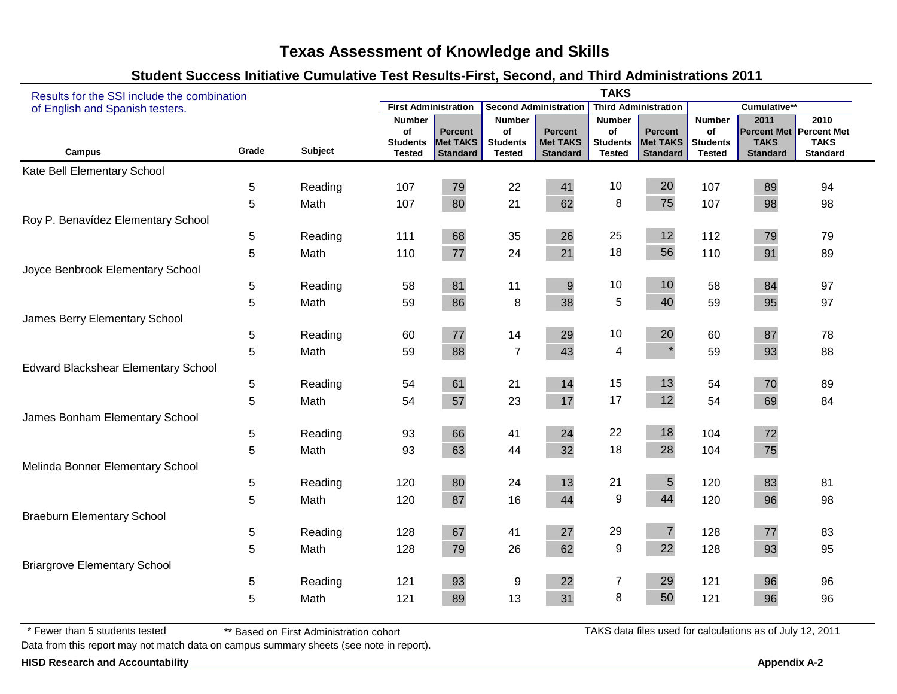### **Student Success Initiative Cumulative Test Results-First, Second, and Third Administrations 2011**

| Results for the SSI include the combination | <b>TAKS</b> |                |                                                         |                                                      |                                                         |                                                      |                                                         |                                                      |                                                         |                                        |                                                                          |
|---------------------------------------------|-------------|----------------|---------------------------------------------------------|------------------------------------------------------|---------------------------------------------------------|------------------------------------------------------|---------------------------------------------------------|------------------------------------------------------|---------------------------------------------------------|----------------------------------------|--------------------------------------------------------------------------|
| of English and Spanish testers.             |             |                | <b>First Administration</b>                             |                                                      |                                                         | <b>Second Administration</b>                         | <b>Third Administration</b>                             |                                                      |                                                         | Cumulative**                           |                                                                          |
| <b>Campus</b>                               | Grade       | <b>Subject</b> | <b>Number</b><br>of<br><b>Students</b><br><b>Tested</b> | <b>Percent</b><br><b>Met TAKS</b><br><b>Standard</b> | <b>Number</b><br>of<br><b>Students</b><br><b>Tested</b> | <b>Percent</b><br><b>Met TAKS</b><br><b>Standard</b> | <b>Number</b><br>of<br><b>Students</b><br><b>Tested</b> | <b>Percent</b><br><b>Met TAKS</b><br><b>Standard</b> | <b>Number</b><br>of<br><b>Students</b><br><b>Tested</b> | 2011<br><b>TAKS</b><br><b>Standard</b> | 2010<br><b>Percent Met Percent Met</b><br><b>TAKS</b><br><b>Standard</b> |
| Kate Bell Elementary School                 |             |                |                                                         |                                                      |                                                         |                                                      |                                                         |                                                      |                                                         |                                        |                                                                          |
|                                             | 5           | Reading        | 107                                                     | 79                                                   | 22                                                      | 41                                                   | 10                                                      | 20                                                   | 107                                                     | 89                                     | 94                                                                       |
|                                             | 5           | Math           | 107                                                     | 80                                                   | 21                                                      | 62                                                   | 8                                                       | 75                                                   | 107                                                     | 98                                     | 98                                                                       |
| Roy P. Benavídez Elementary School          |             |                |                                                         |                                                      |                                                         |                                                      |                                                         |                                                      |                                                         |                                        |                                                                          |
|                                             | 5           | Reading        | 111                                                     | 68                                                   | 35                                                      | 26                                                   | 25                                                      | 12                                                   | 112                                                     | 79                                     | 79                                                                       |
|                                             | 5           | Math           | 110                                                     | 77                                                   | 24                                                      | 21                                                   | 18                                                      | 56                                                   | 110                                                     | 91                                     | 89                                                                       |
| Joyce Benbrook Elementary School            |             |                |                                                         |                                                      |                                                         |                                                      |                                                         |                                                      |                                                         |                                        |                                                                          |
|                                             | 5           | Reading        | 58                                                      | 81                                                   | 11                                                      | 9                                                    | 10                                                      | 10                                                   | 58                                                      | 84                                     | 97                                                                       |
|                                             | 5           | Math           | 59                                                      | 86                                                   | 8                                                       | 38                                                   | 5                                                       | 40                                                   | 59                                                      | 95                                     | 97                                                                       |
| James Berry Elementary School               |             |                |                                                         |                                                      |                                                         |                                                      |                                                         |                                                      |                                                         |                                        |                                                                          |
|                                             | 5           | Reading        | 60                                                      | 77                                                   | 14                                                      | 29                                                   | 10                                                      | 20                                                   | 60                                                      | 87                                     | 78                                                                       |
|                                             | 5           | Math           | 59                                                      | 88                                                   | $\overline{7}$                                          | 43                                                   | 4                                                       |                                                      | 59                                                      | 93                                     | 88                                                                       |
| Edward Blackshear Elementary School         |             |                |                                                         |                                                      |                                                         |                                                      |                                                         |                                                      |                                                         |                                        |                                                                          |
|                                             | 5           | Reading        | 54                                                      | 61                                                   | 21                                                      | 14                                                   | 15                                                      | 13                                                   | 54                                                      | 70                                     | 89                                                                       |
|                                             | 5           | Math           | 54                                                      | 57                                                   | 23                                                      | 17                                                   | 17                                                      | 12                                                   | 54                                                      | 69                                     | 84                                                                       |
| James Bonham Elementary School              |             |                |                                                         |                                                      |                                                         |                                                      |                                                         |                                                      |                                                         |                                        |                                                                          |
|                                             | 5           | Reading        | 93                                                      | 66                                                   | 41                                                      | 24                                                   | 22                                                      | 18                                                   | 104                                                     | 72                                     |                                                                          |
|                                             | 5           | Math           | 93                                                      | 63                                                   | 44                                                      | 32                                                   | 18                                                      | 28                                                   | 104                                                     | 75                                     |                                                                          |
| Melinda Bonner Elementary School            |             |                |                                                         |                                                      |                                                         |                                                      |                                                         |                                                      |                                                         |                                        |                                                                          |
|                                             | 5           | Reading        | 120                                                     | 80                                                   | 24                                                      | 13                                                   | 21                                                      | $\sqrt{5}$                                           | 120                                                     | 83                                     | 81                                                                       |
|                                             | 5           | Math           | 120                                                     | 87                                                   | 16                                                      | 44                                                   | 9                                                       | 44                                                   | 120                                                     | 96                                     | 98                                                                       |
| <b>Braeburn Elementary School</b>           |             |                |                                                         |                                                      |                                                         |                                                      |                                                         |                                                      |                                                         |                                        |                                                                          |
|                                             | 5           | Reading        | 128                                                     | 67                                                   | 41                                                      | 27                                                   | 29                                                      | $\overline{7}$                                       | 128                                                     | 77                                     | 83                                                                       |
|                                             | 5           | Math           | 128                                                     | 79                                                   | 26                                                      | 62                                                   | $\boldsymbol{9}$                                        | 22                                                   | 128                                                     | 93                                     | 95                                                                       |
| <b>Briargrove Elementary School</b>         |             |                |                                                         |                                                      |                                                         |                                                      |                                                         |                                                      |                                                         |                                        |                                                                          |
|                                             | 5           | Reading        | 121                                                     | 93                                                   | 9                                                       | 22                                                   | 7                                                       | 29                                                   | 121                                                     | 96                                     | 96                                                                       |
|                                             | 5           | Math           | 121                                                     | 89                                                   | 13                                                      | 31                                                   | 8                                                       | 50                                                   | 121                                                     | 96                                     | 96                                                                       |

\* Fewer than 5 students tested

\*\* Based on First Administration cohort

Data from this report may not match data on campus summary sheets (see note in report).

TAKS data files used for calculations as of July 12, 2011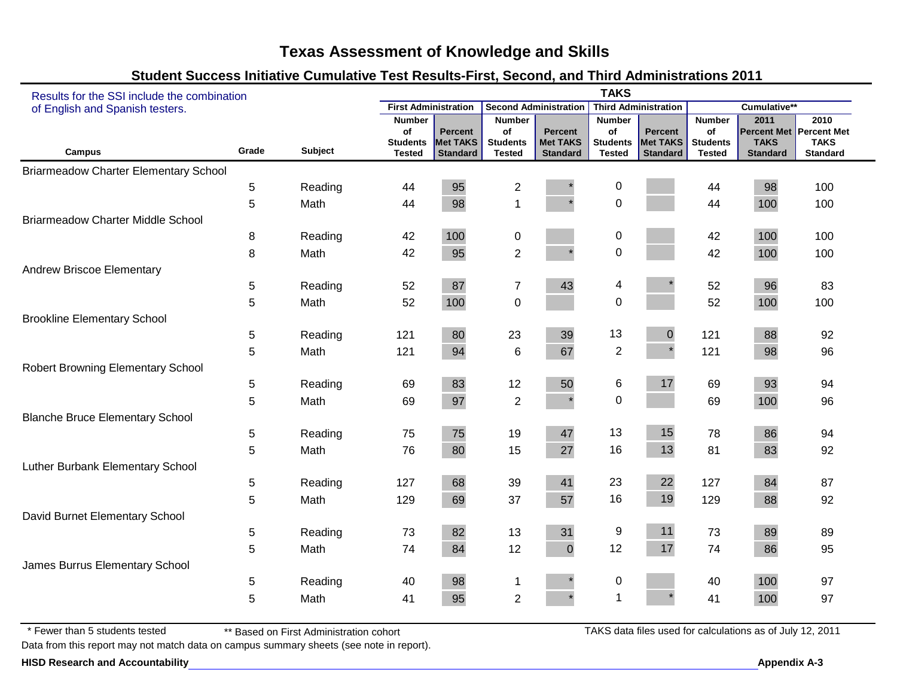### **Student Success Initiative Cumulative Test Results-First, Second, and Third Administrations 2011**

| Results for the SSI include the combination  |       |                |                                                         |                                                      |                                                         |                                                      | <b>TAKS</b>                                             |                                                      |                                                         |                                        |                                                                   |
|----------------------------------------------|-------|----------------|---------------------------------------------------------|------------------------------------------------------|---------------------------------------------------------|------------------------------------------------------|---------------------------------------------------------|------------------------------------------------------|---------------------------------------------------------|----------------------------------------|-------------------------------------------------------------------|
| of English and Spanish testers.              |       |                | <b>First Administration</b>                             |                                                      |                                                         | <b>Second Administration</b>                         |                                                         | <b>Third Administration</b>                          |                                                         | Cumulative**                           |                                                                   |
| <b>Campus</b>                                | Grade | <b>Subject</b> | <b>Number</b><br>of<br><b>Students</b><br><b>Tested</b> | <b>Percent</b><br><b>Met TAKS</b><br><b>Standard</b> | <b>Number</b><br>of<br><b>Students</b><br><b>Tested</b> | <b>Percent</b><br><b>Met TAKS</b><br><b>Standard</b> | <b>Number</b><br>of<br><b>Students</b><br><b>Tested</b> | <b>Percent</b><br><b>Met TAKS</b><br><b>Standard</b> | <b>Number</b><br>of<br><b>Students</b><br><b>Tested</b> | 2011<br><b>TAKS</b><br><b>Standard</b> | 2010<br>Percent Met Percent Met<br><b>TAKS</b><br><b>Standard</b> |
| <b>Briarmeadow Charter Elementary School</b> |       |                |                                                         |                                                      |                                                         |                                                      |                                                         |                                                      |                                                         |                                        |                                                                   |
|                                              | 5     | Reading        | 44                                                      | 95                                                   | $\overline{c}$                                          |                                                      | 0                                                       |                                                      | 44                                                      | 98                                     | 100                                                               |
|                                              | 5     | Math           | 44                                                      | 98                                                   | 1                                                       |                                                      | $\mathbf 0$                                             |                                                      | 44                                                      | 100                                    | 100                                                               |
| <b>Briarmeadow Charter Middle School</b>     |       |                |                                                         |                                                      |                                                         |                                                      |                                                         |                                                      |                                                         |                                        |                                                                   |
|                                              | 8     | Reading        | 42                                                      | 100                                                  | $\pmb{0}$                                               |                                                      | 0                                                       |                                                      | 42                                                      | 100                                    | 100                                                               |
|                                              | 8     | Math           | 42                                                      | 95                                                   | $\overline{2}$                                          |                                                      | $\pmb{0}$                                               |                                                      | 42                                                      | 100                                    | 100                                                               |
| <b>Andrew Briscoe Elementary</b>             |       |                |                                                         |                                                      |                                                         |                                                      |                                                         |                                                      |                                                         |                                        |                                                                   |
|                                              | 5     | Reading        | 52                                                      | 87                                                   | $\overline{7}$                                          | 43                                                   | 4                                                       |                                                      | 52                                                      | 96                                     | 83                                                                |
|                                              | 5     | Math           | 52                                                      | 100                                                  | $\mathbf 0$                                             |                                                      | $\pmb{0}$                                               |                                                      | 52                                                      | 100                                    | 100                                                               |
| <b>Brookline Elementary School</b>           |       |                |                                                         |                                                      |                                                         |                                                      |                                                         |                                                      |                                                         |                                        |                                                                   |
|                                              | 5     | Reading        | 121                                                     | 80                                                   | 23                                                      | 39                                                   | 13                                                      | $\pmb{0}$                                            | 121                                                     | 88                                     | 92                                                                |
|                                              | 5     | Math           | 121                                                     | 94                                                   | 6                                                       | 67                                                   | $\overline{2}$                                          |                                                      | 121                                                     | 98                                     | 96                                                                |
| <b>Robert Browning Elementary School</b>     |       |                |                                                         |                                                      |                                                         |                                                      |                                                         |                                                      |                                                         |                                        |                                                                   |
|                                              | 5     | Reading        | 69                                                      | 83                                                   | 12                                                      | 50                                                   | 6                                                       | 17                                                   | 69                                                      | 93                                     | 94                                                                |
|                                              | 5     | Math           | 69                                                      | 97                                                   | $\overline{2}$                                          |                                                      | $\boldsymbol{0}$                                        |                                                      | 69                                                      | 100                                    | 96                                                                |
| <b>Blanche Bruce Elementary School</b>       |       |                |                                                         |                                                      |                                                         |                                                      |                                                         |                                                      |                                                         |                                        |                                                                   |
|                                              | 5     | Reading        | 75                                                      | 75                                                   | 19                                                      | 47                                                   | 13                                                      | 15                                                   | 78                                                      | 86                                     | 94                                                                |
|                                              | 5     | Math           | 76                                                      | 80                                                   | 15                                                      | 27                                                   | 16                                                      | 13                                                   | 81                                                      | 83                                     | 92                                                                |
| Luther Burbank Elementary School             |       |                |                                                         |                                                      |                                                         |                                                      |                                                         |                                                      |                                                         |                                        |                                                                   |
|                                              | 5     | Reading        | 127                                                     | 68                                                   | 39                                                      | 41                                                   | 23                                                      | 22                                                   | 127                                                     | 84                                     | 87                                                                |
|                                              | 5     | Math           | 129                                                     | 69                                                   | 37                                                      | 57                                                   | 16                                                      | 19                                                   | 129                                                     | 88                                     | 92                                                                |
| David Burnet Elementary School               |       |                |                                                         |                                                      |                                                         |                                                      |                                                         |                                                      |                                                         |                                        |                                                                   |
|                                              | 5     | Reading        | 73                                                      | 82                                                   | 13                                                      | 31                                                   | 9                                                       | 11                                                   | 73                                                      | 89                                     | 89                                                                |
|                                              | 5     | Math           | 74                                                      | 84                                                   | 12                                                      | $\overline{0}$                                       | 12                                                      | 17                                                   | 74                                                      | 86                                     | 95                                                                |
| James Burrus Elementary School               |       |                |                                                         |                                                      |                                                         |                                                      |                                                         |                                                      |                                                         |                                        |                                                                   |
|                                              | 5     | Reading        | 40                                                      | 98                                                   | -1                                                      |                                                      | 0                                                       |                                                      | 40                                                      | 100                                    | 97                                                                |
|                                              | 5     | Math           | 41                                                      | 95                                                   | $\overline{2}$                                          |                                                      | 1                                                       |                                                      | 41                                                      | 100                                    | 97                                                                |

\* Fewer than 5 students tested

\*\* Based on First Administration cohort

Data from this report may not match data on campus summary sheets (see note in report).

TAKS data files used for calculations as of July 12, 2011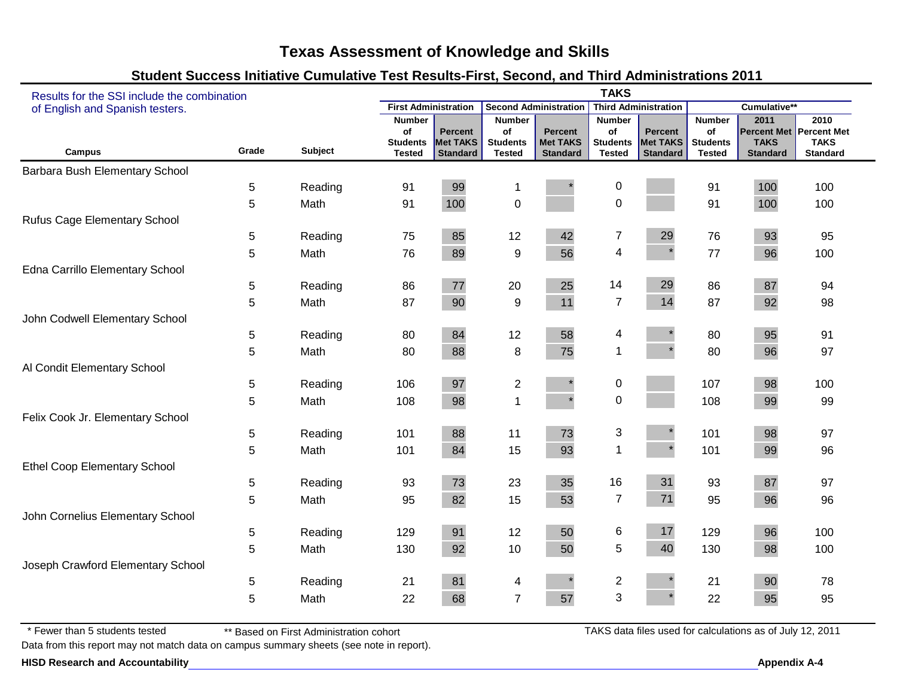### **Student Success Initiative Cumulative Test Results-First, Second, and Third Administrations 2011**

| Results for the SSI include the combination |       |         |                                                         |                                               |                                                         |                                                      | <b>TAKS</b>                                             |                                                      |                                                         |                                        |                                                                   |
|---------------------------------------------|-------|---------|---------------------------------------------------------|-----------------------------------------------|---------------------------------------------------------|------------------------------------------------------|---------------------------------------------------------|------------------------------------------------------|---------------------------------------------------------|----------------------------------------|-------------------------------------------------------------------|
| of English and Spanish testers.             |       |         | <b>First Administration</b>                             |                                               | <b>Second Administration</b>                            |                                                      |                                                         | <b>Third Administration</b>                          |                                                         | Cumulative**                           |                                                                   |
| Campus                                      | Grade | Subject | <b>Number</b><br>of<br><b>Students</b><br><b>Tested</b> | Percent<br><b>Met TAKS</b><br><b>Standard</b> | <b>Number</b><br>of<br><b>Students</b><br><b>Tested</b> | <b>Percent</b><br><b>Met TAKS</b><br><b>Standard</b> | <b>Number</b><br>of<br><b>Students</b><br><b>Tested</b> | <b>Percent</b><br><b>Met TAKS</b><br><b>Standard</b> | <b>Number</b><br>of<br><b>Students</b><br><b>Tested</b> | 2011<br><b>TAKS</b><br><b>Standard</b> | 2010<br>Percent Met Percent Met<br><b>TAKS</b><br><b>Standard</b> |
| Barbara Bush Elementary School              |       |         |                                                         |                                               |                                                         |                                                      |                                                         |                                                      |                                                         |                                        |                                                                   |
|                                             | 5     | Reading | 91                                                      | 99                                            | 1                                                       |                                                      | $\mathbf 0$                                             |                                                      | 91                                                      | 100                                    | 100                                                               |
|                                             | 5     | Math    | 91                                                      | 100                                           | $\pmb{0}$                                               |                                                      | $\mathbf 0$                                             |                                                      | 91                                                      | 100                                    | 100                                                               |
| Rufus Cage Elementary School                |       |         |                                                         |                                               |                                                         |                                                      |                                                         |                                                      |                                                         |                                        |                                                                   |
|                                             | 5     | Reading | 75                                                      | 85                                            | 12                                                      | 42                                                   | 7                                                       | 29                                                   | 76                                                      | 93                                     | 95                                                                |
|                                             | 5     | Math    | 76                                                      | 89                                            | $\boldsymbol{9}$                                        | 56                                                   | 4                                                       |                                                      | 77                                                      | 96                                     | 100                                                               |
| Edna Carrillo Elementary School             |       |         |                                                         |                                               |                                                         |                                                      |                                                         |                                                      |                                                         |                                        |                                                                   |
|                                             | 5     | Reading | 86                                                      | $77\,$                                        | 20                                                      | 25                                                   | 14                                                      | 29                                                   | 86                                                      | 87                                     | 94                                                                |
|                                             | 5     | Math    | 87                                                      | 90                                            | 9                                                       | 11                                                   | $\overline{7}$                                          | 14                                                   | 87                                                      | 92                                     | 98                                                                |
| John Codwell Elementary School              |       |         |                                                         |                                               |                                                         |                                                      |                                                         |                                                      |                                                         |                                        |                                                                   |
|                                             | 5     | Reading | 80                                                      | 84                                            | 12                                                      | 58                                                   | 4                                                       |                                                      | 80                                                      | 95                                     | 91                                                                |
|                                             | 5     | Math    | 80                                                      | 88                                            | 8                                                       | 75                                                   | 1                                                       |                                                      | 80                                                      | 96                                     | 97                                                                |
| Al Condit Elementary School                 |       |         |                                                         |                                               |                                                         |                                                      |                                                         |                                                      |                                                         |                                        |                                                                   |
|                                             | 5     | Reading | 106                                                     | 97                                            | $\overline{\mathbf{c}}$                                 |                                                      | 0                                                       |                                                      | 107                                                     | 98                                     | 100                                                               |
|                                             | 5     | Math    | 108                                                     | 98                                            | $\mathbf{1}$                                            | $\star$                                              | $\pmb{0}$                                               |                                                      | 108                                                     | 99                                     | 99                                                                |
| Felix Cook Jr. Elementary School            |       |         |                                                         |                                               |                                                         |                                                      |                                                         |                                                      |                                                         |                                        |                                                                   |
|                                             | 5     | Reading | 101                                                     | 88                                            | 11                                                      | 73                                                   | 3                                                       |                                                      | 101                                                     | 98                                     | 97                                                                |
|                                             | 5     | Math    | 101                                                     | 84                                            | 15                                                      | 93                                                   | 1                                                       |                                                      | 101                                                     | 99                                     | 96                                                                |
| <b>Ethel Coop Elementary School</b>         |       |         |                                                         |                                               |                                                         |                                                      |                                                         |                                                      |                                                         |                                        |                                                                   |
|                                             | 5     | Reading | 93                                                      | 73                                            | 23                                                      | 35                                                   | 16                                                      | 31                                                   | 93                                                      | 87                                     | 97                                                                |
|                                             | 5     | Math    | 95                                                      | 82                                            | 15                                                      | 53                                                   | $\overline{7}$                                          | 71                                                   | 95                                                      | 96                                     | 96                                                                |
| John Cornelius Elementary School            |       |         |                                                         |                                               |                                                         |                                                      |                                                         |                                                      |                                                         |                                        |                                                                   |
|                                             | 5     | Reading | 129                                                     | 91                                            | 12                                                      | 50                                                   | 6                                                       | $17$                                                 | 129                                                     | 96                                     | 100                                                               |
|                                             | 5     | Math    | 130                                                     | 92                                            | 10                                                      | 50                                                   | 5                                                       | 40                                                   | 130                                                     | 98                                     | 100                                                               |
| Joseph Crawford Elementary School           |       |         |                                                         |                                               |                                                         |                                                      |                                                         |                                                      |                                                         |                                        |                                                                   |
|                                             | 5     | Reading | 21                                                      | 81                                            | 4                                                       |                                                      | 2                                                       |                                                      | 21                                                      | 90                                     | 78                                                                |
|                                             | 5     | Math    | 22                                                      | 68                                            | $\overline{7}$                                          | 57                                                   | 3                                                       |                                                      | 22                                                      | 95                                     | 95                                                                |

\* Fewer than 5 students tested

\*\* Based on First Administration cohort

Data from this report may not match data on campus summary sheets (see note in report).

TAKS data files used for calculations as of July 12, 2011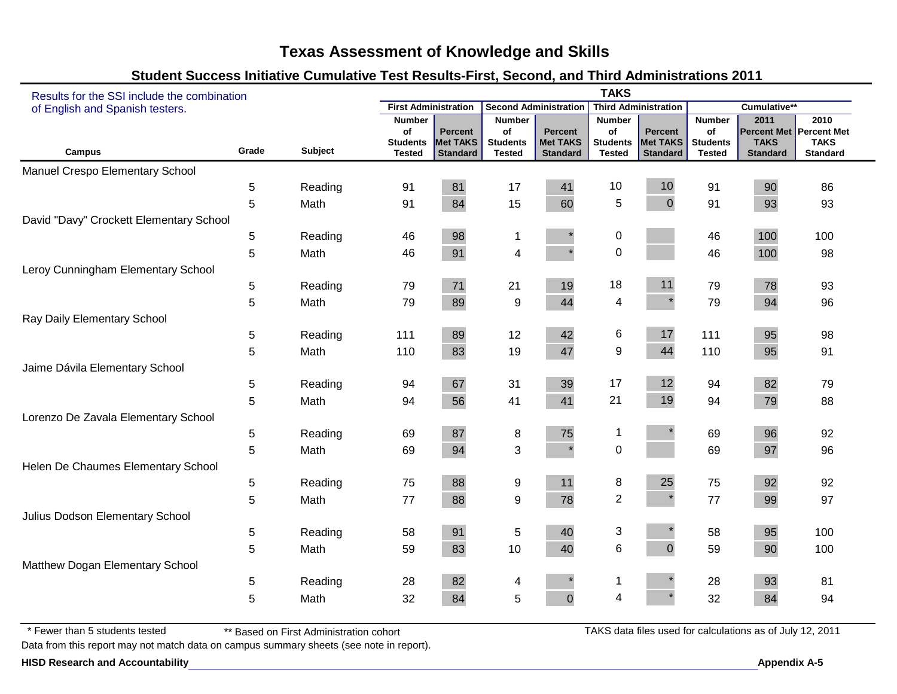### **Student Success Initiative Cumulative Test Results-First, Second, and Third Administrations 2011**

| Results for the SSI include the combination |       |         |                                                         |                                               |                                                         |                                                      | <b>TAKS</b>                                             |                                                      |                                                         |                                        |                                                                   |
|---------------------------------------------|-------|---------|---------------------------------------------------------|-----------------------------------------------|---------------------------------------------------------|------------------------------------------------------|---------------------------------------------------------|------------------------------------------------------|---------------------------------------------------------|----------------------------------------|-------------------------------------------------------------------|
| of English and Spanish testers.             |       |         | <b>First Administration</b>                             |                                               |                                                         | <b>Second Administration</b>                         |                                                         | <b>Third Administration</b>                          |                                                         | Cumulative**                           |                                                                   |
| Campus                                      | Grade | Subject | <b>Number</b><br>of<br><b>Students</b><br><b>Tested</b> | Percent<br><b>Met TAKS</b><br><b>Standard</b> | <b>Number</b><br>of<br><b>Students</b><br><b>Tested</b> | <b>Percent</b><br><b>Met TAKS</b><br><b>Standard</b> | <b>Number</b><br>of<br><b>Students</b><br><b>Tested</b> | <b>Percent</b><br><b>Met TAKS</b><br><b>Standard</b> | <b>Number</b><br>of<br><b>Students</b><br><b>Tested</b> | 2011<br><b>TAKS</b><br><b>Standard</b> | 2010<br>Percent Met Percent Met<br><b>TAKS</b><br><b>Standard</b> |
| Manuel Crespo Elementary School             |       |         |                                                         |                                               |                                                         |                                                      |                                                         |                                                      |                                                         |                                        |                                                                   |
|                                             | 5     | Reading | 91                                                      | 81                                            | 17                                                      | 41                                                   | 10                                                      | 10                                                   | 91                                                      | 90                                     | 86                                                                |
|                                             | 5     | Math    | 91                                                      | 84                                            | 15                                                      | 60                                                   | 5                                                       | $\overline{0}$                                       | 91                                                      | 93                                     | 93                                                                |
| David "Davy" Crockett Elementary School     |       |         |                                                         |                                               |                                                         |                                                      |                                                         |                                                      |                                                         |                                        |                                                                   |
|                                             | 5     | Reading | 46                                                      | 98                                            | 1                                                       |                                                      | 0                                                       |                                                      | 46                                                      | 100                                    | 100                                                               |
|                                             | 5     | Math    | 46                                                      | 91                                            | 4                                                       |                                                      | $\mathbf 0$                                             |                                                      | 46                                                      | 100                                    | 98                                                                |
| Leroy Cunningham Elementary School          |       |         |                                                         |                                               |                                                         |                                                      |                                                         |                                                      |                                                         |                                        |                                                                   |
|                                             | 5     | Reading | 79                                                      | $71$                                          | 21                                                      | 19                                                   | 18                                                      | 11                                                   | 79                                                      | 78                                     | 93                                                                |
|                                             | 5     | Math    | 79                                                      | 89                                            | 9                                                       | 44                                                   | 4                                                       |                                                      | 79                                                      | 94                                     | 96                                                                |
| Ray Daily Elementary School                 |       |         |                                                         |                                               |                                                         |                                                      |                                                         |                                                      |                                                         |                                        |                                                                   |
|                                             | 5     | Reading | 111                                                     | 89                                            | 12                                                      | 42                                                   | 6                                                       | 17                                                   | 111                                                     | 95                                     | 98                                                                |
|                                             | 5     | Math    | 110                                                     | 83                                            | 19                                                      | 47                                                   | 9                                                       | 44                                                   | 110                                                     | 95                                     | 91                                                                |
| Jaime Dávila Elementary School              |       |         |                                                         |                                               |                                                         |                                                      |                                                         |                                                      |                                                         |                                        |                                                                   |
|                                             | 5     | Reading | 94                                                      | 67                                            | 31                                                      | 39                                                   | 17                                                      | 12                                                   | 94                                                      | 82                                     | 79                                                                |
|                                             | 5     | Math    | 94                                                      | 56                                            | 41                                                      | 41                                                   | 21                                                      | 19                                                   | 94                                                      | 79                                     | 88                                                                |
| Lorenzo De Zavala Elementary School         |       |         |                                                         |                                               |                                                         |                                                      |                                                         |                                                      |                                                         |                                        |                                                                   |
|                                             | 5     | Reading | 69                                                      | 87                                            | 8                                                       | 75                                                   | 1                                                       |                                                      | 69                                                      | 96                                     | 92                                                                |
|                                             | 5     | Math    | 69                                                      | 94                                            | 3                                                       | $\star$                                              | $\pmb{0}$                                               |                                                      | 69                                                      | 97                                     | 96                                                                |
| Helen De Chaumes Elementary School          |       |         |                                                         |                                               |                                                         |                                                      |                                                         |                                                      |                                                         |                                        |                                                                   |
|                                             | 5     | Reading | 75                                                      | 88                                            | 9                                                       | 11                                                   | 8                                                       | 25                                                   | 75                                                      | 92                                     | 92                                                                |
|                                             | 5     | Math    | 77                                                      | 88                                            | $\boldsymbol{9}$                                        | 78                                                   | $\overline{c}$                                          |                                                      | 77                                                      | 99                                     | 97                                                                |
| Julius Dodson Elementary School             |       |         |                                                         |                                               |                                                         |                                                      |                                                         |                                                      |                                                         |                                        |                                                                   |
|                                             | 5     | Reading | 58                                                      | 91                                            | $\mathbf 5$                                             | 40                                                   | 3                                                       |                                                      | 58                                                      | 95                                     | 100                                                               |
|                                             | 5     | Math    | 59                                                      | 83                                            | 10                                                      | 40                                                   | 6                                                       | $\mathbf 0$                                          | 59                                                      | 90                                     | 100                                                               |
| Matthew Dogan Elementary School             |       |         |                                                         |                                               |                                                         |                                                      |                                                         |                                                      |                                                         |                                        |                                                                   |
|                                             | 5     | Reading | 28                                                      | 82                                            | 4                                                       |                                                      |                                                         |                                                      | 28                                                      | 93                                     | 81                                                                |
|                                             | 5     | Math    | 32                                                      | 84                                            | 5                                                       | $\overline{0}$                                       | 4                                                       |                                                      | 32                                                      | 84                                     | 94                                                                |

\* Fewer than 5 students tested

\*\* Based on First Administration cohort

Data from this report may not match data on campus summary sheets (see note in report).

TAKS data files used for calculations as of July 12, 2011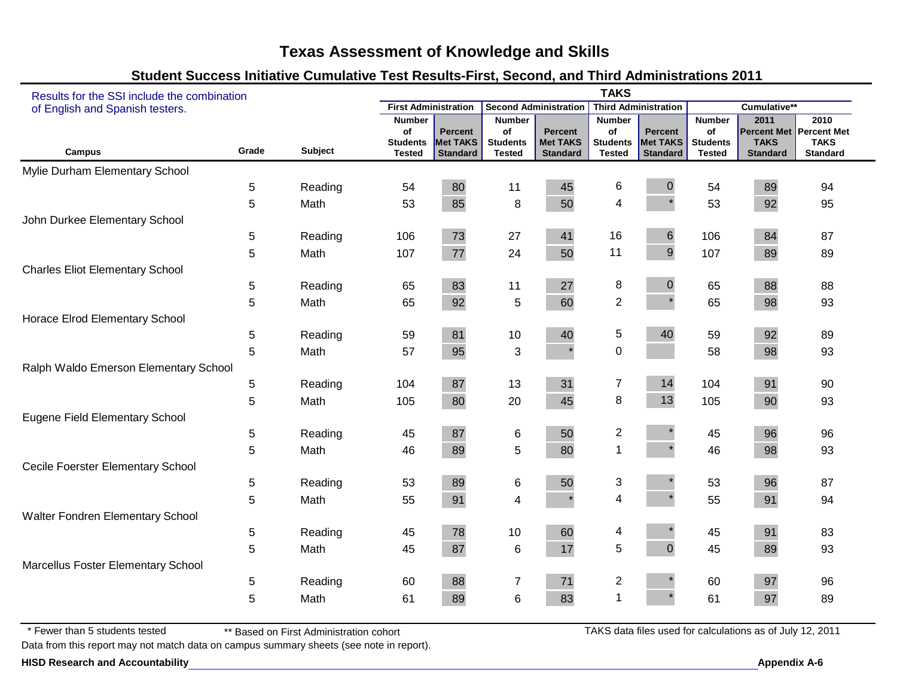### **Student Success Initiative Cumulative Test Results-First, Second, and Third Administrations 2011**

| Results for the SSI include the combination |             |         |                                                         |                                               |                                                         |                                                      | <b>TAKS</b>                                             |                                               |                                                         |                                        |                                                                   |
|---------------------------------------------|-------------|---------|---------------------------------------------------------|-----------------------------------------------|---------------------------------------------------------|------------------------------------------------------|---------------------------------------------------------|-----------------------------------------------|---------------------------------------------------------|----------------------------------------|-------------------------------------------------------------------|
| of English and Spanish testers.             |             |         | <b>First Administration</b>                             |                                               |                                                         | <b>Second Administration</b>                         |                                                         | <b>Third Administration</b>                   |                                                         | Cumulative**                           |                                                                   |
| Campus                                      | Grade       | Subject | <b>Number</b><br>of<br><b>Students</b><br><b>Tested</b> | Percent<br><b>Met TAKS</b><br><b>Standard</b> | <b>Number</b><br>of<br><b>Students</b><br><b>Tested</b> | <b>Percent</b><br><b>Met TAKS</b><br><b>Standard</b> | <b>Number</b><br>of<br><b>Students</b><br><b>Tested</b> | Percent<br><b>Met TAKS</b><br><b>Standard</b> | <b>Number</b><br>of<br><b>Students</b><br><b>Tested</b> | 2011<br><b>TAKS</b><br><b>Standard</b> | 2010<br>Percent Met Percent Met<br><b>TAKS</b><br><b>Standard</b> |
| Mylie Durham Elementary School              |             |         |                                                         |                                               |                                                         |                                                      |                                                         |                                               |                                                         |                                        |                                                                   |
|                                             | $\sqrt{5}$  | Reading | 54                                                      | 80                                            | 11                                                      | 45                                                   | 6                                                       | 0                                             | 54                                                      | 89                                     | 94                                                                |
|                                             | $\sqrt{5}$  | Math    | 53                                                      | 85                                            | 8                                                       | 50                                                   | $\overline{\mathbf{4}}$                                 |                                               | 53                                                      | 92                                     | 95                                                                |
| John Durkee Elementary School               |             |         |                                                         |                                               |                                                         |                                                      |                                                         |                                               |                                                         |                                        |                                                                   |
|                                             | 5           | Reading | 106                                                     | 73                                            | 27                                                      | 41                                                   | 16                                                      | $\,$ 6 $\,$                                   | 106                                                     | 84                                     | 87                                                                |
|                                             | $\mathbf 5$ | Math    | 107                                                     | 77                                            | 24                                                      | 50                                                   | 11                                                      | $\overline{9}$                                | 107                                                     | 89                                     | 89                                                                |
| <b>Charles Eliot Elementary School</b>      |             |         |                                                         |                                               |                                                         |                                                      |                                                         |                                               |                                                         |                                        |                                                                   |
|                                             | $\mathbf 5$ | Reading | 65                                                      | 83                                            | 11                                                      | 27                                                   | 8                                                       | $\boldsymbol{0}$                              | 65                                                      | 88                                     | 88                                                                |
|                                             | $\mathbf 5$ | Math    | 65                                                      | 92                                            | 5                                                       | 60                                                   | $\overline{2}$                                          |                                               | 65                                                      | 98                                     | 93                                                                |
| Horace Elrod Elementary School              |             |         |                                                         |                                               |                                                         |                                                      |                                                         |                                               |                                                         |                                        |                                                                   |
|                                             | 5           | Reading | 59                                                      | 81                                            | 10                                                      | 40                                                   | 5                                                       | 40                                            | 59                                                      | 92                                     | 89                                                                |
|                                             | $\sqrt{5}$  | Math    | 57                                                      | 95                                            | 3                                                       | $\star$                                              | 0                                                       |                                               | 58                                                      | 98                                     | 93                                                                |
| Ralph Waldo Emerson Elementary School       |             |         |                                                         |                                               |                                                         |                                                      |                                                         |                                               |                                                         |                                        |                                                                   |
|                                             | $\sqrt{5}$  | Reading | 104                                                     | 87                                            | 13                                                      | 31                                                   | 7                                                       | 14                                            | 104                                                     | 91                                     | 90                                                                |
|                                             | $\sqrt{5}$  | Math    | 105                                                     | 80                                            | 20                                                      | 45                                                   | 8                                                       | 13                                            | 105                                                     | 90                                     | 93                                                                |
| <b>Eugene Field Elementary School</b>       |             |         |                                                         |                                               |                                                         |                                                      |                                                         |                                               |                                                         |                                        |                                                                   |
|                                             | 5           | Reading | 45                                                      | 87                                            | 6                                                       | 50                                                   | 2                                                       |                                               | 45                                                      | 96                                     | 96                                                                |
|                                             | $\sqrt{5}$  | Math    | 46                                                      | 89                                            | 5                                                       | 80                                                   | $\mathbf{1}$                                            |                                               | 46                                                      | 98                                     | 93                                                                |
| Cecile Foerster Elementary School           |             |         |                                                         |                                               |                                                         |                                                      |                                                         |                                               |                                                         |                                        |                                                                   |
|                                             | 5           | Reading | 53                                                      | 89                                            | 6                                                       | 50<br>$\star$                                        | 3                                                       |                                               | 53                                                      | 96                                     | 87                                                                |
|                                             | 5           | Math    | 55                                                      | 91                                            | 4                                                       |                                                      | $\overline{\mathbf{4}}$                                 |                                               | 55                                                      | 91                                     | 94                                                                |
| Walter Fondren Elementary School            |             |         |                                                         |                                               |                                                         |                                                      |                                                         |                                               |                                                         |                                        |                                                                   |
|                                             | 5           | Reading | 45                                                      | 78                                            | 10                                                      | 60                                                   | 4                                                       | $\overline{0}$                                | 45                                                      | 91                                     | 83                                                                |
|                                             | $\,$ 5 $\,$ | Math    | 45                                                      | 87                                            | $\,6$                                                   | 17                                                   | 5                                                       |                                               | 45                                                      | 89                                     | 93                                                                |
| Marcellus Foster Elementary School          |             |         |                                                         |                                               |                                                         |                                                      |                                                         |                                               |                                                         |                                        |                                                                   |
|                                             | $\sqrt{5}$  | Reading | 60                                                      | 88                                            | $\overline{7}$                                          | 71                                                   | 2<br>1                                                  |                                               | 60                                                      | 97                                     | 96                                                                |
|                                             | 5           | Math    | 61                                                      | 89                                            | 6                                                       | 83                                                   |                                                         |                                               | 61                                                      | 97                                     | 89                                                                |

\* Fewer than 5 students tested

\*\* Based on First Administration cohort

Data from this report may not match data on campus summary sheets (see note in report).

TAKS data files used for calculations as of July 12, 2011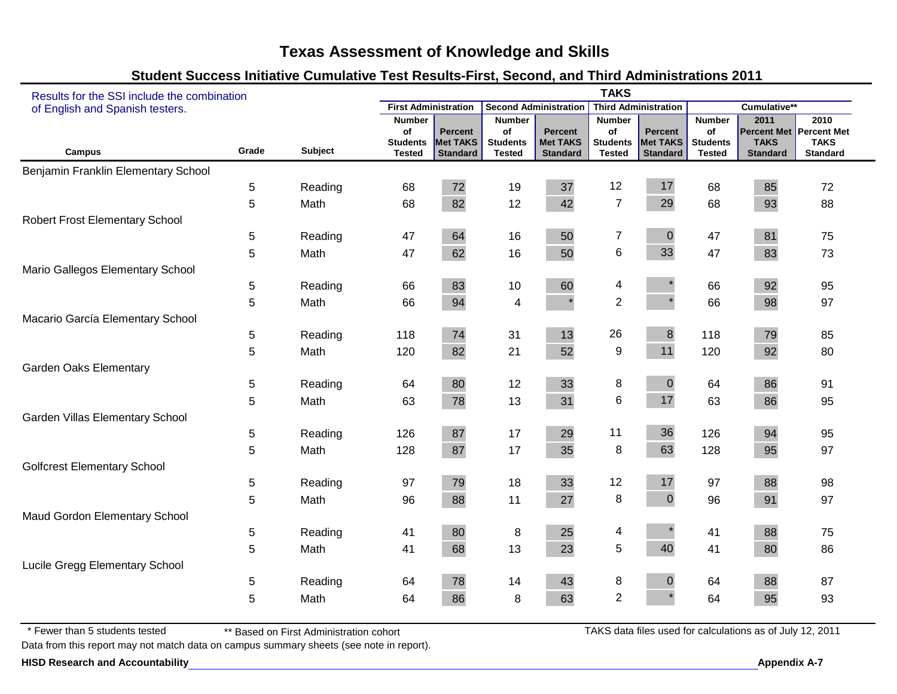### **Student Success Initiative Cumulative Test Results-First, Second, and Third Administrations 2011**

| Results for the SSI include the combination |       |                |                                                         |                                                      |                                                         |                                                      | <b>TAKS</b>                                             |                                                      |                                                         |                                        |                                                                   |
|---------------------------------------------|-------|----------------|---------------------------------------------------------|------------------------------------------------------|---------------------------------------------------------|------------------------------------------------------|---------------------------------------------------------|------------------------------------------------------|---------------------------------------------------------|----------------------------------------|-------------------------------------------------------------------|
| of English and Spanish testers.             |       |                | <b>First Administration</b>                             |                                                      |                                                         | <b>Second Administration</b>                         |                                                         | <b>Third Administration</b>                          |                                                         | Cumulative**                           |                                                                   |
| Campus                                      | Grade | <b>Subject</b> | <b>Number</b><br>of<br><b>Students</b><br><b>Tested</b> | <b>Percent</b><br><b>Met TAKS</b><br><b>Standard</b> | <b>Number</b><br>of<br><b>Students</b><br><b>Tested</b> | <b>Percent</b><br><b>Met TAKS</b><br><b>Standard</b> | <b>Number</b><br>of<br><b>Students</b><br><b>Tested</b> | <b>Percent</b><br><b>Met TAKS</b><br><b>Standard</b> | <b>Number</b><br>of<br><b>Students</b><br><b>Tested</b> | 2011<br><b>TAKS</b><br><b>Standard</b> | 2010<br>Percent Met Percent Met<br><b>TAKS</b><br><b>Standard</b> |
| Benjamin Franklin Elementary School         |       |                |                                                         |                                                      |                                                         |                                                      |                                                         |                                                      |                                                         |                                        |                                                                   |
|                                             | 5     | Reading        | 68                                                      | 72                                                   | 19                                                      | 37                                                   | 12                                                      | 17                                                   | 68                                                      | 85                                     | 72                                                                |
|                                             | 5     | Math           | 68                                                      | 82                                                   | 12                                                      | 42                                                   | $\overline{7}$                                          | 29                                                   | 68                                                      | 93                                     | 88                                                                |
| Robert Frost Elementary School              |       |                |                                                         |                                                      |                                                         |                                                      |                                                         |                                                      |                                                         |                                        |                                                                   |
|                                             | 5     | Reading        | 47                                                      | 64                                                   | 16                                                      | 50                                                   | $\overline{7}$                                          | $\pmb{0}$                                            | 47                                                      | 81                                     | 75                                                                |
|                                             | 5     | Math           | 47                                                      | 62                                                   | 16                                                      | 50                                                   | 6                                                       | 33                                                   | 47                                                      | 83                                     | 73                                                                |
| Mario Gallegos Elementary School            |       |                |                                                         |                                                      |                                                         |                                                      |                                                         |                                                      |                                                         |                                        |                                                                   |
|                                             | 5     | Reading        | 66                                                      | 83                                                   | 10                                                      | 60                                                   | 4                                                       |                                                      | 66                                                      | 92                                     | 95                                                                |
|                                             | 5     | Math           | 66                                                      | 94                                                   | 4                                                       |                                                      | $\overline{2}$                                          |                                                      | 66                                                      | 98                                     | 97                                                                |
| Macario García Elementary School            |       |                |                                                         |                                                      |                                                         |                                                      |                                                         |                                                      |                                                         |                                        |                                                                   |
|                                             | 5     | Reading        | 118                                                     | 74                                                   | 31                                                      | 13                                                   | 26                                                      | 8                                                    | 118                                                     | 79                                     | 85                                                                |
|                                             | 5     | Math           | 120                                                     | 82                                                   | 21                                                      | 52                                                   | 9                                                       | 11                                                   | 120                                                     | 92                                     | 80                                                                |
| <b>Garden Oaks Elementary</b>               |       |                |                                                         |                                                      |                                                         |                                                      |                                                         |                                                      |                                                         |                                        |                                                                   |
|                                             | 5     | Reading        | 64                                                      | 80                                                   | 12                                                      | 33                                                   | 8                                                       | $\mathbf 0$                                          | 64                                                      | 86                                     | 91                                                                |
|                                             | 5     | Math           | 63                                                      | 78                                                   | 13                                                      | 31                                                   | 6                                                       | 17                                                   | 63                                                      | 86                                     | 95                                                                |
| <b>Garden Villas Elementary School</b>      |       |                |                                                         |                                                      |                                                         |                                                      |                                                         |                                                      |                                                         |                                        |                                                                   |
|                                             | 5     | Reading        | 126                                                     | 87                                                   | 17                                                      | 29                                                   | 11                                                      | 36                                                   | 126                                                     | 94                                     | 95                                                                |
|                                             | 5     | Math           | 128                                                     | 87                                                   | 17                                                      | 35                                                   | 8                                                       | 63                                                   | 128                                                     | 95                                     | 97                                                                |
| <b>Golfcrest Elementary School</b>          |       |                |                                                         |                                                      |                                                         |                                                      |                                                         |                                                      |                                                         |                                        |                                                                   |
|                                             | 5     | Reading        | 97                                                      | 79                                                   | 18                                                      | 33                                                   | 12                                                      | 17                                                   | 97                                                      | 88                                     | 98                                                                |
|                                             | 5     | Math           | 96                                                      | 88                                                   | 11                                                      | 27                                                   | 8                                                       | $\overline{0}$                                       | 96                                                      | 91                                     | 97                                                                |
| Maud Gordon Elementary School               |       |                |                                                         |                                                      |                                                         |                                                      |                                                         |                                                      |                                                         |                                        |                                                                   |
|                                             | 5     | Reading        | 41                                                      | 80                                                   | 8                                                       | 25                                                   | 4                                                       |                                                      | 41                                                      | 88                                     | 75                                                                |
|                                             | 5     | Math           | 41                                                      | 68                                                   | 13                                                      | 23                                                   | 5                                                       | 40                                                   | 41                                                      | 80                                     | 86                                                                |
| Lucile Gregg Elementary School              |       |                |                                                         |                                                      |                                                         |                                                      |                                                         |                                                      |                                                         |                                        |                                                                   |
|                                             | 5     | Reading        | 64                                                      | 78                                                   | 14                                                      | 43                                                   | 8                                                       | 0                                                    | 64                                                      | 88                                     | 87                                                                |
|                                             | 5     | Math           | 64                                                      | 86                                                   | 8                                                       | 63                                                   | $\overline{2}$                                          |                                                      | 64                                                      | 95                                     | 93                                                                |

\* Fewer than 5 students tested

\*\* Based on First Administration cohort

Data from this report may not match data on campus summary sheets (see note in report).

TAKS data files used for calculations as of July 12, 2011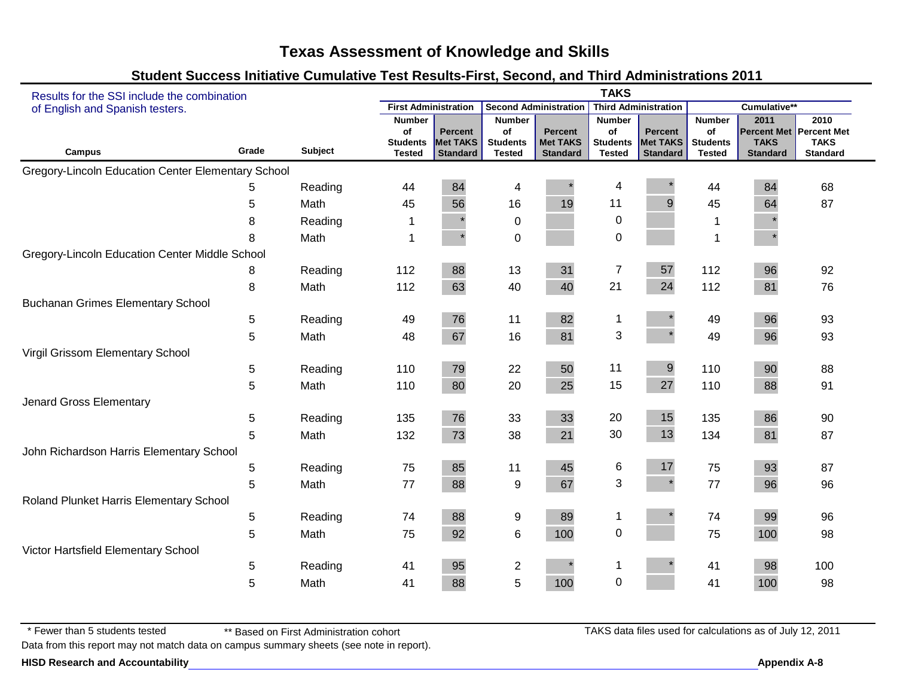### **Student Success Initiative Cumulative Test Results-First, Second, and Third Administrations 2011**

| Results for the SSI include the combination        |            |         |                                                         |                                                      | <b>TAKS</b>                                             |                                                      |                                                         |                                                      |                                                         |                                        |                                                                          |
|----------------------------------------------------|------------|---------|---------------------------------------------------------|------------------------------------------------------|---------------------------------------------------------|------------------------------------------------------|---------------------------------------------------------|------------------------------------------------------|---------------------------------------------------------|----------------------------------------|--------------------------------------------------------------------------|
| of English and Spanish testers.                    |            |         | <b>First Administration</b>                             |                                                      |                                                         | <b>Second Administration</b>                         |                                                         | <b>Third Administration</b>                          |                                                         | Cumulative**                           |                                                                          |
| <b>Campus</b>                                      | Grade      | Subject | <b>Number</b><br>of<br><b>Students</b><br><b>Tested</b> | <b>Percent</b><br><b>Met TAKS</b><br><b>Standard</b> | <b>Number</b><br>of<br><b>Students</b><br><b>Tested</b> | <b>Percent</b><br><b>Met TAKS</b><br><b>Standard</b> | <b>Number</b><br>of<br><b>Students</b><br><b>Tested</b> | <b>Percent</b><br><b>Met TAKS</b><br><b>Standard</b> | <b>Number</b><br>of<br><b>Students</b><br><b>Tested</b> | 2011<br><b>TAKS</b><br><b>Standard</b> | 2010<br><b>Percent Met Percent Met</b><br><b>TAKS</b><br><b>Standard</b> |
| Gregory-Lincoln Education Center Elementary School |            |         |                                                         |                                                      |                                                         |                                                      |                                                         |                                                      |                                                         |                                        |                                                                          |
|                                                    | 5          | Reading | 44                                                      | 84                                                   | 4                                                       |                                                      | 4                                                       |                                                      | 44                                                      | 84                                     | 68                                                                       |
|                                                    | 5          | Math    | 45                                                      | 56                                                   | 16                                                      | 19                                                   | 11                                                      | 9                                                    | 45                                                      | 64                                     | 87                                                                       |
|                                                    | 8          | Reading | -1                                                      |                                                      | 0                                                       |                                                      | $\pmb{0}$                                               |                                                      | 1                                                       |                                        |                                                                          |
|                                                    | 8          | Math    | 1                                                       |                                                      | $\mathbf 0$                                             |                                                      | 0                                                       |                                                      |                                                         |                                        |                                                                          |
| Gregory-Lincoln Education Center Middle School     |            |         |                                                         |                                                      |                                                         |                                                      |                                                         |                                                      |                                                         |                                        |                                                                          |
|                                                    | 8          | Reading | 112                                                     | 88                                                   | 13                                                      | 31                                                   | 7                                                       | 57                                                   | 112                                                     | 96                                     | 92                                                                       |
|                                                    | 8          | Math    | 112                                                     | 63                                                   | 40                                                      | 40                                                   | 21                                                      | 24                                                   | 112                                                     | 81                                     | 76                                                                       |
| <b>Buchanan Grimes Elementary School</b>           |            |         |                                                         |                                                      |                                                         |                                                      |                                                         |                                                      |                                                         |                                        |                                                                          |
|                                                    | 5          | Reading | 49                                                      | 76                                                   | 11                                                      | 82                                                   | 1                                                       |                                                      | 49                                                      | 96                                     | 93                                                                       |
|                                                    | 5          | Math    | 48                                                      | 67                                                   | 16                                                      | 81                                                   | 3                                                       |                                                      | 49                                                      | 96                                     | 93                                                                       |
| Virgil Grissom Elementary School                   |            |         |                                                         |                                                      |                                                         |                                                      |                                                         |                                                      |                                                         |                                        |                                                                          |
|                                                    | 5          | Reading | 110                                                     | 79                                                   | 22                                                      | 50                                                   | 11                                                      | $9\,$                                                | 110                                                     | 90                                     | 88                                                                       |
|                                                    | 5          | Math    | 110                                                     | 80                                                   | 20                                                      | 25                                                   | 15                                                      | 27                                                   | 110                                                     | 88                                     | 91                                                                       |
| Jenard Gross Elementary                            |            |         |                                                         |                                                      |                                                         |                                                      |                                                         |                                                      |                                                         |                                        |                                                                          |
|                                                    | 5          | Reading | 135                                                     | 76                                                   | 33                                                      | 33                                                   | 20                                                      | 15                                                   | 135                                                     | 86                                     | 90                                                                       |
|                                                    | $\sqrt{5}$ | Math    | 132                                                     | 73                                                   | 38                                                      | 21                                                   | 30                                                      | 13                                                   | 134                                                     | 81                                     | 87                                                                       |
| John Richardson Harris Elementary School           |            |         |                                                         |                                                      |                                                         |                                                      |                                                         |                                                      |                                                         |                                        |                                                                          |
|                                                    | 5          | Reading | 75                                                      | 85                                                   | 11                                                      | 45                                                   | 6                                                       | 17                                                   | 75                                                      | 93                                     | 87                                                                       |
|                                                    | 5          | Math    | 77                                                      | 88                                                   | 9                                                       | 67                                                   | 3                                                       |                                                      | 77                                                      | 96                                     | 96                                                                       |
| Roland Plunket Harris Elementary School            |            |         |                                                         |                                                      |                                                         |                                                      | 1                                                       |                                                      |                                                         |                                        |                                                                          |
|                                                    | 5          | Reading | 74                                                      | 88<br>92                                             | 9                                                       | 89<br>100                                            |                                                         |                                                      | 74                                                      | 99                                     | 96                                                                       |
|                                                    | 5          | Math    | 75                                                      |                                                      | $\,6\,$                                                 |                                                      | 0                                                       |                                                      | 75                                                      | 100                                    | 98                                                                       |
| Victor Hartsfield Elementary School                | 5          | Reading | 41                                                      | 95                                                   | $\overline{2}$                                          |                                                      | 1                                                       |                                                      | 41                                                      | 98                                     | 100                                                                      |
|                                                    | 5          | Math    |                                                         | 88                                                   | 5                                                       | 100                                                  | 0                                                       |                                                      | 41                                                      | 100                                    | 98                                                                       |
|                                                    |            |         | 41                                                      |                                                      |                                                         |                                                      |                                                         |                                                      |                                                         |                                        |                                                                          |

\* Fewer than 5 students tested

Data from this report may not match data on campus summary sheets (see note in report).

TAKS data files used for calculations as of July 12, 2011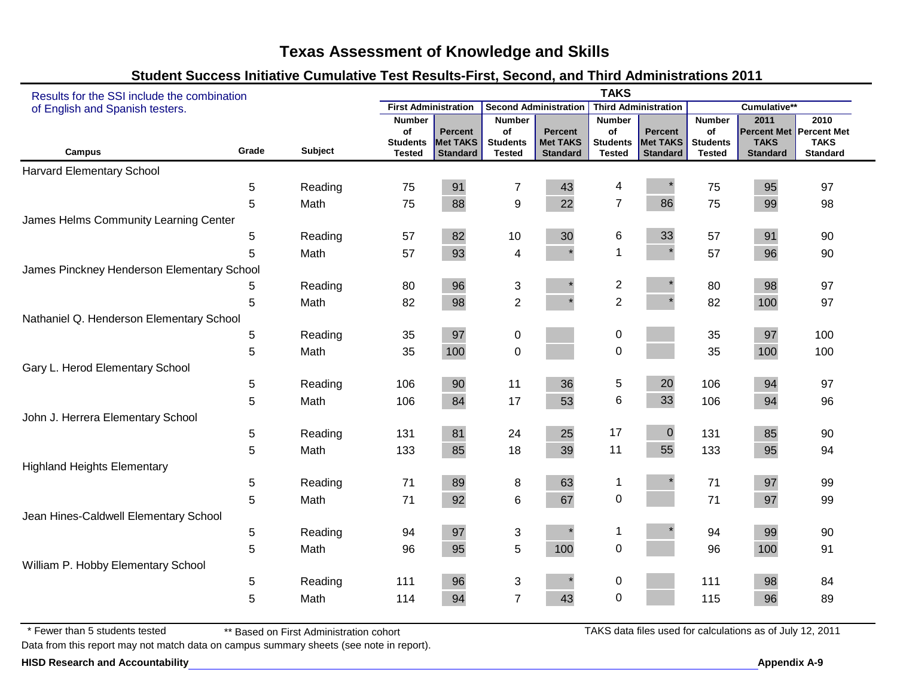### **Student Success Initiative Cumulative Test Results-First, Second, and Third Administrations 2011**

| Results for the SSI include the combination |       |         |                                                         |                                               |                                                         |                                                      | <b>TAKS</b>                                             |                                                      |                                                         |                                        |                                                                   |
|---------------------------------------------|-------|---------|---------------------------------------------------------|-----------------------------------------------|---------------------------------------------------------|------------------------------------------------------|---------------------------------------------------------|------------------------------------------------------|---------------------------------------------------------|----------------------------------------|-------------------------------------------------------------------|
| of English and Spanish testers.             |       |         | <b>First Administration</b>                             |                                               |                                                         | <b>Second Administration</b>                         |                                                         | <b>Third Administration</b>                          |                                                         | Cumulative**                           |                                                                   |
| Campus                                      | Grade | Subject | <b>Number</b><br>of<br><b>Students</b><br><b>Tested</b> | Percent<br><b>Met TAKS</b><br><b>Standard</b> | <b>Number</b><br>of<br><b>Students</b><br><b>Tested</b> | <b>Percent</b><br><b>Met TAKS</b><br><b>Standard</b> | <b>Number</b><br>of<br><b>Students</b><br><b>Tested</b> | <b>Percent</b><br><b>Met TAKS</b><br><b>Standard</b> | <b>Number</b><br>of<br><b>Students</b><br><b>Tested</b> | 2011<br><b>TAKS</b><br><b>Standard</b> | 2010<br>Percent Met Percent Met<br><b>TAKS</b><br><b>Standard</b> |
| <b>Harvard Elementary School</b>            |       |         |                                                         |                                               |                                                         |                                                      |                                                         |                                                      |                                                         |                                        |                                                                   |
|                                             | 5     | Reading | 75                                                      | 91                                            | $\overline{7}$                                          | 43                                                   | 4                                                       |                                                      | 75                                                      | 95                                     | 97                                                                |
|                                             | 5     | Math    | 75                                                      | 88                                            | 9                                                       | 22                                                   | $\overline{7}$                                          | 86                                                   | 75                                                      | 99                                     | 98                                                                |
| James Helms Community Learning Center       |       |         |                                                         |                                               |                                                         |                                                      |                                                         |                                                      |                                                         |                                        |                                                                   |
|                                             | 5     | Reading | 57                                                      | 82                                            | 10                                                      | 30                                                   | 6                                                       | 33                                                   | 57                                                      | 91                                     | 90                                                                |
|                                             | 5     | Math    | 57                                                      | 93                                            | $\overline{\mathbf{4}}$                                 |                                                      | 1                                                       |                                                      | 57                                                      | 96                                     | 90                                                                |
| James Pinckney Henderson Elementary School  |       |         |                                                         |                                               |                                                         |                                                      |                                                         |                                                      |                                                         |                                        |                                                                   |
|                                             | 5     | Reading | 80                                                      | 96                                            | 3                                                       |                                                      | $\overline{\mathbf{c}}$                                 |                                                      | 80                                                      | 98                                     | 97                                                                |
|                                             | 5     | Math    | 82                                                      | 98                                            | $\overline{c}$                                          | $\star$                                              | $\overline{2}$                                          |                                                      | 82                                                      | 100                                    | 97                                                                |
| Nathaniel Q. Henderson Elementary School    |       |         |                                                         |                                               |                                                         |                                                      |                                                         |                                                      |                                                         |                                        |                                                                   |
|                                             | 5     | Reading | 35                                                      | 97                                            | $\pmb{0}$                                               |                                                      | 0                                                       |                                                      | 35                                                      | 97                                     | 100                                                               |
|                                             | 5     | Math    | 35                                                      | 100                                           | $\,0\,$                                                 |                                                      | $\pmb{0}$                                               |                                                      | 35                                                      | 100                                    | 100                                                               |
| Gary L. Herod Elementary School             |       |         |                                                         |                                               |                                                         |                                                      |                                                         |                                                      |                                                         |                                        |                                                                   |
|                                             | 5     | Reading | 106                                                     | 90                                            | 11                                                      | 36                                                   | 5                                                       | 20                                                   | 106                                                     | 94                                     | 97                                                                |
|                                             | 5     | Math    | 106                                                     | 84                                            | 17                                                      | 53                                                   | 6                                                       | 33                                                   | 106                                                     | 94                                     | 96                                                                |
| John J. Herrera Elementary School           |       |         |                                                         |                                               |                                                         |                                                      |                                                         |                                                      |                                                         |                                        |                                                                   |
|                                             | 5     | Reading | 131                                                     | 81                                            | 24                                                      | 25                                                   | 17                                                      | $\overline{0}$                                       | 131                                                     | 85                                     | 90                                                                |
|                                             | 5     | Math    | 133                                                     | 85                                            | 18                                                      | 39                                                   | 11                                                      | 55                                                   | 133                                                     | 95                                     | 94                                                                |
| <b>Highland Heights Elementary</b>          |       |         |                                                         |                                               |                                                         |                                                      |                                                         |                                                      |                                                         |                                        |                                                                   |
|                                             | 5     | Reading | 71                                                      | 89                                            | 8                                                       | 63                                                   | 1                                                       |                                                      | 71                                                      | 97                                     | 99                                                                |
|                                             | 5     | Math    | 71                                                      | 92                                            | 6                                                       | 67                                                   | 0                                                       |                                                      | 71                                                      | 97                                     | 99                                                                |
| Jean Hines-Caldwell Elementary School       |       |         |                                                         |                                               |                                                         |                                                      |                                                         |                                                      |                                                         |                                        |                                                                   |
|                                             | 5     | Reading | 94                                                      | 97                                            | 3                                                       |                                                      | 1                                                       |                                                      | 94                                                      | 99                                     | 90                                                                |
|                                             | 5     | Math    | 96                                                      | 95                                            | $\sqrt{5}$                                              | 100                                                  | 0                                                       |                                                      | 96                                                      | 100                                    | 91                                                                |
| William P. Hobby Elementary School          |       |         |                                                         |                                               |                                                         |                                                      |                                                         |                                                      |                                                         |                                        |                                                                   |
|                                             | 5     | Reading | 111                                                     | 96                                            | 3                                                       |                                                      | 0                                                       |                                                      | 111                                                     | 98                                     | 84                                                                |
|                                             | 5     | Math    | 114                                                     | 94                                            | $\overline{7}$                                          | 43                                                   | $\overline{0}$                                          |                                                      | 115                                                     | 96                                     | 89                                                                |

\* Fewer than 5 students tested

\*\* Based on First Administration cohort

Data from this report may not match data on campus summary sheets (see note in report).

TAKS data files used for calculations as of July 12, 2011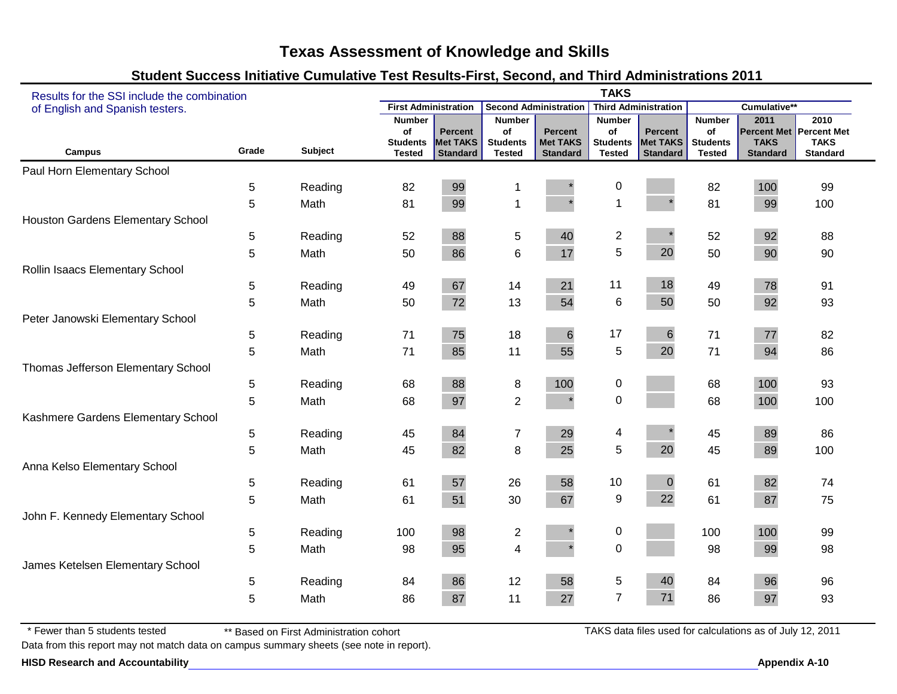### **Student Success Initiative Cumulative Test Results-First, Second, and Third Administrations 2011**

| Results for the SSI include the combination |       |         |                                                         |                                               |                                                         |                                                      | <b>TAKS</b>                                             |                                                      |                                                         |                                        |                                                                          |
|---------------------------------------------|-------|---------|---------------------------------------------------------|-----------------------------------------------|---------------------------------------------------------|------------------------------------------------------|---------------------------------------------------------|------------------------------------------------------|---------------------------------------------------------|----------------------------------------|--------------------------------------------------------------------------|
| of English and Spanish testers.             |       |         | <b>First Administration</b>                             |                                               | <b>Second Administration</b>                            |                                                      |                                                         | <b>Third Administration</b>                          |                                                         | Cumulative**                           |                                                                          |
| Campus                                      | Grade | Subject | <b>Number</b><br>of<br><b>Students</b><br><b>Tested</b> | Percent<br><b>Met TAKS</b><br><b>Standard</b> | <b>Number</b><br>of<br><b>Students</b><br><b>Tested</b> | <b>Percent</b><br><b>Met TAKS</b><br><b>Standard</b> | <b>Number</b><br>of<br><b>Students</b><br><b>Tested</b> | <b>Percent</b><br><b>Met TAKS</b><br><b>Standard</b> | <b>Number</b><br>of<br><b>Students</b><br><b>Tested</b> | 2011<br><b>TAKS</b><br><b>Standard</b> | 2010<br><b>Percent Met Percent Met</b><br><b>TAKS</b><br><b>Standard</b> |
| Paul Horn Elementary School                 |       |         |                                                         |                                               |                                                         |                                                      |                                                         |                                                      |                                                         |                                        |                                                                          |
|                                             | 5     | Reading | 82                                                      | 99                                            | 1                                                       |                                                      | $\mathbf 0$                                             |                                                      | 82                                                      | 100                                    | 99                                                                       |
|                                             | 5     | Math    | 81                                                      | 99                                            | 1                                                       | $\star$                                              | $\mathbf{1}$                                            |                                                      | 81                                                      | 99                                     | 100                                                                      |
| Houston Gardens Elementary School           |       |         |                                                         |                                               |                                                         |                                                      |                                                         |                                                      |                                                         |                                        |                                                                          |
|                                             | 5     | Reading | 52                                                      | 88                                            | $\,$ 5 $\,$                                             | 40                                                   | $\overline{c}$                                          |                                                      | 52                                                      | 92                                     | 88                                                                       |
|                                             | 5     | Math    | 50                                                      | 86                                            | 6                                                       | 17                                                   | 5                                                       | 20                                                   | 50                                                      | 90                                     | 90                                                                       |
| Rollin Isaacs Elementary School             |       |         |                                                         |                                               |                                                         |                                                      |                                                         |                                                      |                                                         |                                        |                                                                          |
|                                             | 5     | Reading | 49                                                      | 67                                            | 14                                                      | 21                                                   | 11                                                      | 18                                                   | 49                                                      | 78                                     | 91                                                                       |
|                                             | 5     | Math    | 50                                                      | 72                                            | 13                                                      | 54                                                   | 6                                                       | 50                                                   | 50                                                      | 92                                     | 93                                                                       |
| Peter Janowski Elementary School            |       |         |                                                         |                                               |                                                         |                                                      |                                                         |                                                      |                                                         |                                        |                                                                          |
|                                             | 5     | Reading | 71                                                      | 75                                            | 18                                                      | $\,6$                                                | 17                                                      | $6\phantom{1}6$                                      | 71                                                      | 77                                     | 82                                                                       |
|                                             | 5     | Math    | 71                                                      | 85                                            | 11                                                      | 55                                                   | 5                                                       | 20                                                   | 71                                                      | 94                                     | 86                                                                       |
| Thomas Jefferson Elementary School          |       |         |                                                         |                                               |                                                         |                                                      |                                                         |                                                      |                                                         |                                        |                                                                          |
|                                             | 5     | Reading | 68                                                      | 88                                            | 8                                                       | 100                                                  | 0                                                       |                                                      | 68                                                      | 100                                    | 93                                                                       |
|                                             | 5     | Math    | 68                                                      | 97                                            | $\overline{2}$                                          | $\star$                                              | $\pmb{0}$                                               |                                                      | 68                                                      | 100                                    | 100                                                                      |
| Kashmere Gardens Elementary School          |       |         |                                                         |                                               |                                                         |                                                      |                                                         |                                                      |                                                         |                                        |                                                                          |
|                                             | 5     | Reading | 45                                                      | 84                                            | $\boldsymbol{7}$                                        | 29                                                   | 4                                                       |                                                      | 45                                                      | 89                                     | 86                                                                       |
|                                             | 5     | Math    | 45                                                      | 82                                            | 8                                                       | 25                                                   | 5                                                       | 20                                                   | 45                                                      | 89                                     | 100                                                                      |
| Anna Kelso Elementary School                |       |         |                                                         |                                               |                                                         |                                                      |                                                         |                                                      |                                                         |                                        |                                                                          |
|                                             | 5     | Reading | 61                                                      | 57                                            | 26                                                      | 58                                                   | 10                                                      | $\overline{0}$                                       | 61                                                      | 82                                     | 74                                                                       |
|                                             | 5     | Math    | 61                                                      | 51                                            | 30                                                      | 67                                                   | 9                                                       | 22                                                   | 61                                                      | 87                                     | 75                                                                       |
| John F. Kennedy Elementary School           |       |         |                                                         |                                               |                                                         |                                                      |                                                         |                                                      |                                                         |                                        |                                                                          |
|                                             | 5     | Reading | 100                                                     | 98                                            | $\overline{\mathbf{c}}$                                 |                                                      | 0                                                       |                                                      | 100                                                     | 100                                    | 99                                                                       |
|                                             | 5     | Math    | 98                                                      | 95                                            | 4                                                       |                                                      | $\pmb{0}$                                               |                                                      | 98                                                      | 99                                     | 98                                                                       |
| James Ketelsen Elementary School            |       |         |                                                         |                                               |                                                         |                                                      |                                                         |                                                      |                                                         |                                        |                                                                          |
|                                             | 5     | Reading | 84                                                      | 86                                            | 12                                                      | 58                                                   | 5                                                       | 40                                                   | 84                                                      | 96                                     | 96                                                                       |
|                                             | 5     | Math    | 86                                                      | 87                                            | 11                                                      | 27                                                   | $\overline{7}$                                          | 71                                                   | 86                                                      | 97                                     | 93                                                                       |

\* Fewer than 5 students tested

\*\* Based on First Administration cohort

Data from this report may not match data on campus summary sheets (see note in report).

TAKS data files used for calculations as of July 12, 2011

**HISD Research and Accountability Appendix A-10 Appendix A-10 Appendix A-10 Appendix A-10**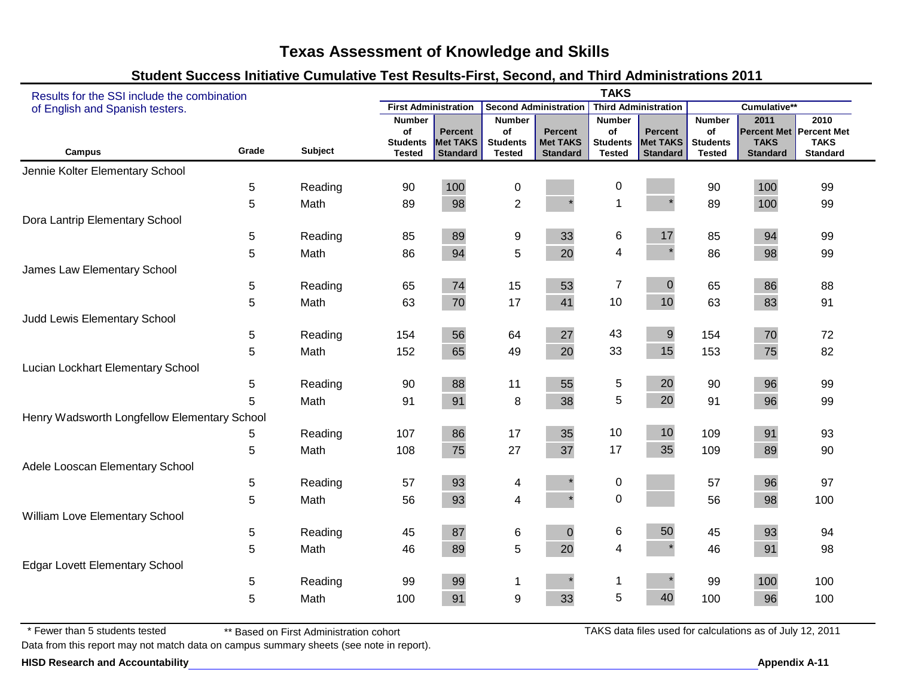### **Student Success Initiative Cumulative Test Results-First, Second, and Third Administrations 2011**

| Results for the SSI include the combination  |       |         |                                                         |                                               |                                                         |                                                      | <b>TAKS</b>                                             |                                                      |                                                         |                                        |                                                                   |
|----------------------------------------------|-------|---------|---------------------------------------------------------|-----------------------------------------------|---------------------------------------------------------|------------------------------------------------------|---------------------------------------------------------|------------------------------------------------------|---------------------------------------------------------|----------------------------------------|-------------------------------------------------------------------|
| of English and Spanish testers.              |       |         | <b>First Administration</b>                             |                                               |                                                         | <b>Second Administration</b>                         |                                                         | <b>Third Administration</b>                          |                                                         | Cumulative**                           |                                                                   |
| Campus                                       | Grade | Subject | <b>Number</b><br>of<br><b>Students</b><br><b>Tested</b> | Percent<br><b>Met TAKS</b><br><b>Standard</b> | <b>Number</b><br>of<br><b>Students</b><br><b>Tested</b> | <b>Percent</b><br><b>Met TAKS</b><br><b>Standard</b> | <b>Number</b><br>of<br><b>Students</b><br><b>Tested</b> | <b>Percent</b><br><b>Met TAKS</b><br><b>Standard</b> | <b>Number</b><br>of<br><b>Students</b><br><b>Tested</b> | 2011<br><b>TAKS</b><br><b>Standard</b> | 2010<br>Percent Met Percent Met<br><b>TAKS</b><br><b>Standard</b> |
| Jennie Kolter Elementary School              |       |         |                                                         |                                               |                                                         |                                                      |                                                         |                                                      |                                                         |                                        |                                                                   |
|                                              | 5     | Reading | 90                                                      | 100                                           | 0                                                       |                                                      | 0                                                       |                                                      | 90                                                      | 100                                    | 99                                                                |
|                                              | 5     | Math    | 89                                                      | 98                                            | $\overline{2}$                                          |                                                      | 1                                                       |                                                      | 89                                                      | 100                                    | 99                                                                |
| Dora Lantrip Elementary School               |       |         |                                                         |                                               |                                                         |                                                      |                                                         |                                                      |                                                         |                                        |                                                                   |
|                                              | 5     | Reading | 85                                                      | 89                                            | 9                                                       | 33                                                   | 6                                                       | 17                                                   | 85                                                      | 94                                     | 99                                                                |
|                                              | 5     | Math    | 86                                                      | 94                                            | 5                                                       | 20                                                   | $\overline{\mathbf{4}}$                                 |                                                      | 86                                                      | 98                                     | 99                                                                |
| James Law Elementary School                  |       |         |                                                         |                                               |                                                         |                                                      |                                                         |                                                      |                                                         |                                        |                                                                   |
|                                              | 5     | Reading | 65                                                      | 74                                            | 15                                                      | 53                                                   | $\boldsymbol{7}$                                        | $\boldsymbol{0}$                                     | 65                                                      | 86                                     | 88                                                                |
|                                              | 5     | Math    | 63                                                      | 70                                            | 17                                                      | 41                                                   | 10                                                      | 10                                                   | 63                                                      | 83                                     | 91                                                                |
| Judd Lewis Elementary School                 |       |         |                                                         |                                               |                                                         |                                                      |                                                         |                                                      |                                                         |                                        |                                                                   |
|                                              | 5     | Reading | 154                                                     | 56                                            | 64                                                      | 27                                                   | 43                                                      | $\boldsymbol{9}$                                     | 154                                                     | 70                                     | 72                                                                |
|                                              | 5     | Math    | 152                                                     | 65                                            | 49                                                      | 20                                                   | 33                                                      | 15                                                   | 153                                                     | 75                                     | 82                                                                |
| Lucian Lockhart Elementary School            |       |         |                                                         |                                               |                                                         |                                                      |                                                         |                                                      |                                                         |                                        |                                                                   |
|                                              | 5     | Reading | 90                                                      | 88                                            | 11                                                      | 55                                                   | 5                                                       | 20                                                   | 90                                                      | 96                                     | 99                                                                |
|                                              | 5     | Math    | 91                                                      | 91                                            | 8                                                       | 38                                                   | 5                                                       | 20                                                   | 91                                                      | 96                                     | 99                                                                |
| Henry Wadsworth Longfellow Elementary School |       |         |                                                         |                                               |                                                         |                                                      |                                                         |                                                      |                                                         |                                        |                                                                   |
|                                              | 5     | Reading | 107                                                     | 86                                            | 17                                                      | 35                                                   | 10                                                      | 10                                                   | 109                                                     | 91                                     | 93                                                                |
|                                              | 5     | Math    | 108                                                     | 75                                            | 27                                                      | 37                                                   | 17                                                      | 35                                                   | 109                                                     | 89                                     | 90                                                                |
| Adele Looscan Elementary School              |       |         |                                                         |                                               |                                                         |                                                      |                                                         |                                                      |                                                         |                                        |                                                                   |
|                                              | 5     | Reading | 57                                                      | 93                                            | 4                                                       |                                                      | 0                                                       |                                                      | 57                                                      | 96                                     | 97                                                                |
|                                              | 5     | Math    | 56                                                      | 93                                            | 4                                                       | $\star$                                              | 0                                                       |                                                      | 56                                                      | 98                                     | 100                                                               |
| William Love Elementary School               |       |         |                                                         |                                               |                                                         |                                                      |                                                         |                                                      |                                                         |                                        |                                                                   |
|                                              | 5     | Reading | 45                                                      | 87                                            | 6                                                       | ${\bf 0}$                                            | 6                                                       | 50                                                   | 45                                                      | 93                                     | 94                                                                |
|                                              | 5     | Math    | 46                                                      | 89                                            | 5                                                       | 20                                                   | 4                                                       |                                                      | 46                                                      | 91                                     | 98                                                                |
| <b>Edgar Lovett Elementary School</b>        |       |         |                                                         |                                               |                                                         |                                                      |                                                         |                                                      |                                                         |                                        |                                                                   |
|                                              | 5     | Reading | 99                                                      | 99                                            | 1                                                       |                                                      |                                                         |                                                      | 99                                                      | 100                                    | 100                                                               |
|                                              | 5     | Math    | 100                                                     | 91                                            | 9                                                       | 33                                                   | 5                                                       | 40                                                   | 100                                                     | 96                                     | 100                                                               |

\* Fewer than 5 students tested

\*\* Based on First Administration cohort

Data from this report may not match data on campus summary sheets (see note in report).

TAKS data files used for calculations as of July 12, 2011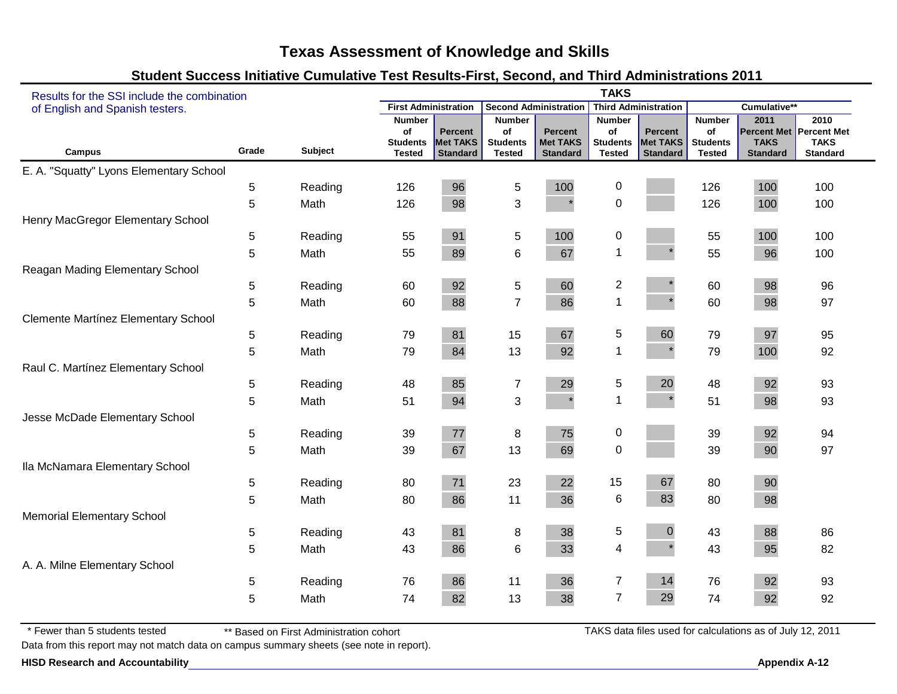### **Student Success Initiative Cumulative Test Results-First, Second, and Third Administrations 2011**

| Results for the SSI include the combination |       |                |                                                         |                                                      |                                                         |                                                      | <b>TAKS</b>                                             |                                                      |                                                         |                                        |                                                                          |
|---------------------------------------------|-------|----------------|---------------------------------------------------------|------------------------------------------------------|---------------------------------------------------------|------------------------------------------------------|---------------------------------------------------------|------------------------------------------------------|---------------------------------------------------------|----------------------------------------|--------------------------------------------------------------------------|
| of English and Spanish testers.             |       |                | <b>First Administration</b>                             |                                                      | <b>Second Administration</b>                            |                                                      |                                                         | <b>Third Administration</b>                          |                                                         | Cumulative**                           |                                                                          |
| <b>Campus</b>                               | Grade | <b>Subject</b> | <b>Number</b><br>of<br><b>Students</b><br><b>Tested</b> | <b>Percent</b><br><b>Met TAKS</b><br><b>Standard</b> | <b>Number</b><br>of<br><b>Students</b><br><b>Tested</b> | <b>Percent</b><br><b>Met TAKS</b><br><b>Standard</b> | <b>Number</b><br>of<br><b>Students</b><br><b>Tested</b> | <b>Percent</b><br><b>Met TAKS</b><br><b>Standard</b> | <b>Number</b><br>of<br><b>Students</b><br><b>Tested</b> | 2011<br><b>TAKS</b><br><b>Standard</b> | 2010<br><b>Percent Met Percent Met</b><br><b>TAKS</b><br><b>Standard</b> |
| E. A. "Squatty" Lyons Elementary School     |       |                |                                                         |                                                      |                                                         |                                                      |                                                         |                                                      |                                                         |                                        |                                                                          |
|                                             | 5     | Reading        | 126                                                     | 96                                                   | $\,$ 5 $\,$                                             | 100                                                  | 0                                                       |                                                      | 126                                                     | 100                                    | 100                                                                      |
|                                             | 5     | Math           | 126                                                     | 98                                                   | 3                                                       |                                                      | $\pmb{0}$                                               |                                                      | 126                                                     | 100                                    | 100                                                                      |
| Henry MacGregor Elementary School           |       |                |                                                         |                                                      |                                                         |                                                      |                                                         |                                                      |                                                         |                                        |                                                                          |
|                                             | 5     | Reading        | 55                                                      | 91                                                   | $\,$ 5 $\,$                                             | 100                                                  | 0                                                       |                                                      | 55                                                      | 100                                    | 100                                                                      |
|                                             | 5     | Math           | 55                                                      | 89                                                   | 6                                                       | 67                                                   | $\mathbf{1}$                                            |                                                      | 55                                                      | 96                                     | 100                                                                      |
| Reagan Mading Elementary School             |       |                |                                                         |                                                      |                                                         |                                                      |                                                         |                                                      |                                                         |                                        |                                                                          |
|                                             | 5     | Reading        | 60                                                      | 92                                                   | $\,$ 5 $\,$                                             | 60                                                   | $\overline{\mathbf{c}}$                                 |                                                      | 60                                                      | 98                                     | 96                                                                       |
|                                             | 5     | Math           | 60                                                      | 88                                                   | $\overline{7}$                                          | 86                                                   | $\mathbf{1}$                                            |                                                      | 60                                                      | 98                                     | 97                                                                       |
| <b>Clemente Martínez Elementary School</b>  |       |                |                                                         |                                                      |                                                         |                                                      |                                                         |                                                      |                                                         |                                        |                                                                          |
|                                             | 5     | Reading        | 79                                                      | 81                                                   | 15                                                      | 67                                                   | 5                                                       | 60                                                   | 79                                                      | 97                                     | 95                                                                       |
|                                             | 5     | Math           | 79                                                      | 84                                                   | 13                                                      | 92                                                   | 1                                                       |                                                      | 79                                                      | 100                                    | 92                                                                       |
| Raul C. Martínez Elementary School          |       |                |                                                         |                                                      |                                                         |                                                      |                                                         |                                                      |                                                         |                                        |                                                                          |
|                                             | 5     | Reading        | 48                                                      | 85                                                   | $\boldsymbol{7}$                                        | 29                                                   | 5                                                       | 20                                                   | 48                                                      | 92                                     | 93                                                                       |
|                                             | 5     | Math           | 51                                                      | 94                                                   | 3                                                       | $\star$                                              | 1                                                       |                                                      | 51                                                      | 98                                     | 93                                                                       |
| Jesse McDade Elementary School              |       |                |                                                         |                                                      |                                                         |                                                      |                                                         |                                                      |                                                         |                                        |                                                                          |
|                                             | 5     | Reading        | 39                                                      | 77                                                   | 8                                                       | 75                                                   | 0                                                       |                                                      | 39                                                      | 92                                     | 94                                                                       |
|                                             | 5     | Math           | 39                                                      | 67                                                   | 13                                                      | 69                                                   | $\pmb{0}$                                               |                                                      | 39                                                      | 90                                     | 97                                                                       |
| Ila McNamara Elementary School              |       |                |                                                         |                                                      |                                                         |                                                      |                                                         |                                                      |                                                         |                                        |                                                                          |
|                                             | 5     | Reading        | 80                                                      | $71$                                                 | 23                                                      | 22                                                   | 15                                                      | 67                                                   | 80                                                      | 90                                     |                                                                          |
|                                             | 5     | Math           | 80                                                      | 86                                                   | 11                                                      | 36                                                   | 6                                                       | 83                                                   | 80                                                      | 98                                     |                                                                          |
| <b>Memorial Elementary School</b>           |       |                |                                                         |                                                      |                                                         |                                                      |                                                         |                                                      |                                                         |                                        |                                                                          |
|                                             | 5     | Reading        | 43                                                      | 81                                                   | 8                                                       | 38                                                   | 5                                                       | $\overline{0}$                                       | 43                                                      | 88                                     | 86                                                                       |
|                                             | 5     | Math           | 43                                                      | 86                                                   | $\,6$                                                   | 33                                                   | 4                                                       |                                                      | 43                                                      | 95                                     | 82                                                                       |
| A. A. Milne Elementary School               |       |                |                                                         |                                                      |                                                         |                                                      |                                                         |                                                      |                                                         |                                        |                                                                          |
|                                             | 5     | Reading        | 76                                                      | 86                                                   | 11                                                      | 36                                                   | 7                                                       | 14                                                   | 76                                                      | 92                                     | 93                                                                       |
|                                             | 5     | Math           | 74                                                      | 82                                                   | 13                                                      | 38                                                   | $\overline{7}$                                          | 29                                                   | 74                                                      | 92                                     | 92                                                                       |

\* Fewer than 5 students tested

\*\* Based on First Administration cohort

Data from this report may not match data on campus summary sheets (see note in report).

TAKS data files used for calculations as of July 12, 2011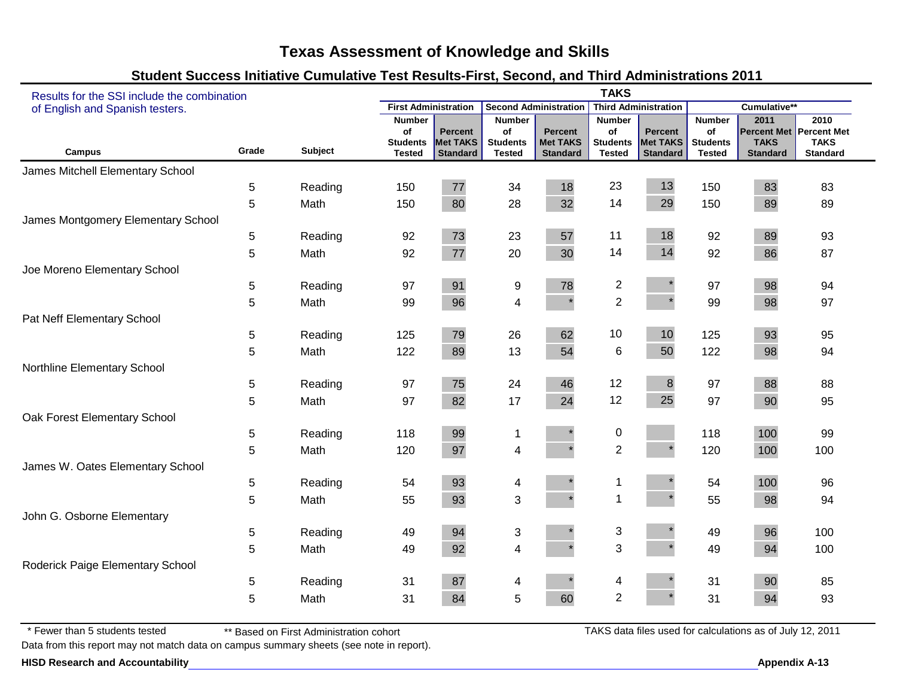### **Student Success Initiative Cumulative Test Results-First, Second, and Third Administrations 2011**

| Results for the SSI include the combination |       |         |                                                         |                                               |                                                         |                                                      | <b>TAKS</b>                                             |                                                      |                                                         |                                        |                                                                   |
|---------------------------------------------|-------|---------|---------------------------------------------------------|-----------------------------------------------|---------------------------------------------------------|------------------------------------------------------|---------------------------------------------------------|------------------------------------------------------|---------------------------------------------------------|----------------------------------------|-------------------------------------------------------------------|
| of English and Spanish testers.             |       |         | <b>First Administration</b>                             |                                               |                                                         | <b>Second Administration</b>                         |                                                         | <b>Third Administration</b>                          |                                                         | Cumulative**                           |                                                                   |
| Campus                                      | Grade | Subject | <b>Number</b><br>of<br><b>Students</b><br><b>Tested</b> | Percent<br><b>Met TAKS</b><br><b>Standard</b> | <b>Number</b><br>of<br><b>Students</b><br><b>Tested</b> | <b>Percent</b><br><b>Met TAKS</b><br><b>Standard</b> | <b>Number</b><br>of<br><b>Students</b><br><b>Tested</b> | <b>Percent</b><br><b>Met TAKS</b><br><b>Standard</b> | <b>Number</b><br>οf<br><b>Students</b><br><b>Tested</b> | 2011<br><b>TAKS</b><br><b>Standard</b> | 2010<br>Percent Met Percent Met<br><b>TAKS</b><br><b>Standard</b> |
| James Mitchell Elementary School            |       |         |                                                         |                                               |                                                         |                                                      |                                                         |                                                      |                                                         |                                        |                                                                   |
|                                             | 5     | Reading | 150                                                     | $77\,$                                        | 34                                                      | 18                                                   | 23                                                      | 13                                                   | 150                                                     | 83                                     | 83                                                                |
|                                             | 5     | Math    | 150                                                     | 80                                            | 28                                                      | 32                                                   | 14                                                      | 29                                                   | 150                                                     | 89                                     | 89                                                                |
| James Montgomery Elementary School          |       |         |                                                         |                                               |                                                         |                                                      |                                                         |                                                      |                                                         |                                        |                                                                   |
|                                             | 5     | Reading | 92                                                      | 73                                            | 23                                                      | 57                                                   | 11                                                      | 18                                                   | 92                                                      | 89                                     | 93                                                                |
|                                             | 5     | Math    | 92                                                      | 77                                            | 20                                                      | 30                                                   | 14                                                      | 14                                                   | 92                                                      | 86                                     | 87                                                                |
| Joe Moreno Elementary School                |       |         |                                                         |                                               |                                                         |                                                      |                                                         |                                                      |                                                         |                                        |                                                                   |
|                                             | 5     | Reading | 97                                                      | 91                                            | 9                                                       | 78                                                   | $\overline{c}$                                          |                                                      | 97                                                      | 98                                     | 94                                                                |
|                                             | 5     | Math    | 99                                                      | 96                                            | $\overline{4}$                                          | $\star$                                              | $\overline{2}$                                          |                                                      | 99                                                      | 98                                     | 97                                                                |
| Pat Neff Elementary School                  |       |         |                                                         |                                               |                                                         |                                                      |                                                         |                                                      |                                                         |                                        |                                                                   |
|                                             | 5     | Reading | 125                                                     | 79                                            | 26                                                      | 62                                                   | 10                                                      | 10                                                   | 125                                                     | 93                                     | 95                                                                |
|                                             | 5     | Math    | 122                                                     | 89                                            | 13                                                      | 54                                                   | $6\phantom{1}6$                                         | 50                                                   | 122                                                     | 98                                     | 94                                                                |
| Northline Elementary School                 |       |         |                                                         |                                               |                                                         |                                                      | 12                                                      |                                                      |                                                         |                                        |                                                                   |
|                                             | 5     | Reading | 97                                                      | 75                                            | 24                                                      | 46                                                   | 12                                                      | $\,8\,$<br>25                                        | 97                                                      | 88                                     | 88                                                                |
| Oak Forest Elementary School                | 5     | Math    | 97                                                      | 82                                            | 17                                                      | 24                                                   |                                                         |                                                      | 97                                                      | 90                                     | 95                                                                |
|                                             | 5     | Reading | 118                                                     | 99                                            | 1                                                       |                                                      | 0                                                       |                                                      | 118                                                     | 100                                    | 99                                                                |
|                                             | 5     | Math    | 120                                                     | 97                                            | $\overline{\mathbf{4}}$                                 |                                                      | $\overline{c}$                                          |                                                      | 120                                                     | 100                                    | 100                                                               |
| James W. Oates Elementary School            |       |         |                                                         |                                               |                                                         |                                                      |                                                         |                                                      |                                                         |                                        |                                                                   |
|                                             | 5     | Reading | 54                                                      | 93                                            | 4                                                       |                                                      | 1                                                       |                                                      | 54                                                      | 100                                    | 96                                                                |
|                                             | 5     | Math    | 55                                                      | 93                                            | 3                                                       |                                                      |                                                         |                                                      | 55                                                      | 98                                     | 94                                                                |
| John G. Osborne Elementary                  |       |         |                                                         |                                               |                                                         |                                                      |                                                         |                                                      |                                                         |                                        |                                                                   |
|                                             | 5     | Reading | 49                                                      | 94                                            | 3                                                       |                                                      | 3                                                       |                                                      | 49                                                      | 96                                     | 100                                                               |
|                                             | 5     | Math    | 49                                                      | 92                                            | $\overline{\mathbf{4}}$                                 |                                                      | 3                                                       |                                                      | 49                                                      | 94                                     | 100                                                               |
| Roderick Paige Elementary School            |       |         |                                                         |                                               |                                                         |                                                      |                                                         |                                                      |                                                         |                                        |                                                                   |
|                                             | 5     | Reading | 31                                                      | 87                                            | 4                                                       |                                                      | 4                                                       |                                                      | 31                                                      | 90                                     | 85                                                                |
|                                             | 5     | Math    | 31                                                      | 84                                            | 5                                                       | 60                                                   | $\overline{2}$                                          |                                                      | 31                                                      | 94                                     | 93                                                                |
|                                             |       |         |                                                         |                                               |                                                         |                                                      |                                                         |                                                      |                                                         |                                        |                                                                   |

\* Fewer than 5 students tested

\*\* Based on First Administration cohort

Data from this report may not match data on campus summary sheets (see note in report).

TAKS data files used for calculations as of July 12, 2011

**HISD Research and Accountability Appendix A-13 Appendix A-13 Appendix A-13**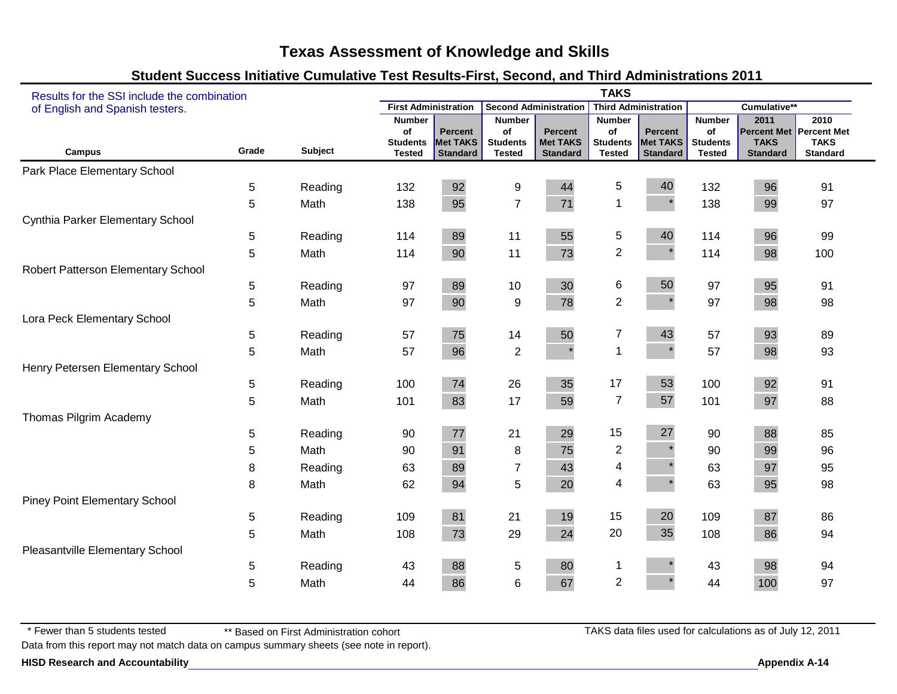### **Student Success Initiative Cumulative Test Results-First, Second, and Third Administrations 2011**

|                                      | Results for the SSI include the combination |         |                                                         |                                               | <b>TAKS</b>                                             |                                                      |                                                  |                                               |                                                         |                                        |                                                                          |  |  |  |
|--------------------------------------|---------------------------------------------|---------|---------------------------------------------------------|-----------------------------------------------|---------------------------------------------------------|------------------------------------------------------|--------------------------------------------------|-----------------------------------------------|---------------------------------------------------------|----------------------------------------|--------------------------------------------------------------------------|--|--|--|
| of English and Spanish testers.      |                                             |         |                                                         | <b>First Administration</b>                   |                                                         | <b>Second Administration</b>                         |                                                  | <b>Third Administration</b>                   |                                                         | Cumulative**                           |                                                                          |  |  |  |
| <b>Campus</b>                        | Grade                                       | Subject | <b>Number</b><br>of<br><b>Students</b><br><b>Tested</b> | Percent<br><b>Met TAKS</b><br><b>Standard</b> | <b>Number</b><br>of<br><b>Students</b><br><b>Tested</b> | <b>Percent</b><br><b>Met TAKS</b><br><b>Standard</b> | <b>Number</b><br>of<br><b>Students</b><br>Tested | Percent<br><b>Met TAKS</b><br><b>Standard</b> | <b>Number</b><br>of<br><b>Students</b><br><b>Tested</b> | 2011<br><b>TAKS</b><br><b>Standard</b> | 2010<br><b>Percent Met Percent Met</b><br><b>TAKS</b><br><b>Standard</b> |  |  |  |
| Park Place Elementary School         |                                             |         |                                                         |                                               |                                                         |                                                      |                                                  |                                               |                                                         |                                        |                                                                          |  |  |  |
|                                      | 5                                           | Reading | 132                                                     | 92                                            | 9                                                       | 44                                                   | 5                                                | 40                                            | 132                                                     | 96                                     | 91                                                                       |  |  |  |
|                                      | 5                                           | Math    | 138                                                     | 95                                            | $\overline{7}$                                          | 71                                                   | $\mathbf 1$                                      |                                               | 138                                                     | 99                                     | 97                                                                       |  |  |  |
| Cynthia Parker Elementary School     |                                             |         |                                                         |                                               |                                                         |                                                      |                                                  |                                               |                                                         |                                        |                                                                          |  |  |  |
|                                      | 5                                           | Reading | 114                                                     | 89                                            | 11                                                      | 55                                                   | 5                                                | 40                                            | 114                                                     | 96                                     | 99                                                                       |  |  |  |
|                                      | 5                                           | Math    | 114                                                     | 90                                            | 11                                                      | 73                                                   | $\overline{2}$                                   |                                               | 114                                                     | 98                                     | 100                                                                      |  |  |  |
| Robert Patterson Elementary School   |                                             |         |                                                         |                                               |                                                         |                                                      |                                                  |                                               |                                                         |                                        |                                                                          |  |  |  |
|                                      | 5                                           | Reading | 97                                                      | 89                                            | 10                                                      | 30                                                   | 6                                                | 50                                            | 97                                                      | 95                                     | 91                                                                       |  |  |  |
|                                      | 5                                           | Math    | 97                                                      | 90                                            | 9                                                       | 78                                                   | $\overline{2}$                                   |                                               | 97                                                      | 98                                     | 98                                                                       |  |  |  |
| Lora Peck Elementary School          |                                             |         |                                                         |                                               |                                                         |                                                      |                                                  |                                               |                                                         |                                        |                                                                          |  |  |  |
|                                      | 5                                           | Reading | 57                                                      | 75                                            | 14                                                      | 50                                                   | $\overline{7}$                                   | 43                                            | 57                                                      | 93                                     | 89                                                                       |  |  |  |
|                                      | 5                                           | Math    | 57                                                      | 96                                            | $\overline{2}$                                          |                                                      | $\mathbf 1$                                      |                                               | 57                                                      | 98                                     | 93                                                                       |  |  |  |
| Henry Petersen Elementary School     |                                             |         |                                                         |                                               |                                                         |                                                      |                                                  |                                               |                                                         |                                        |                                                                          |  |  |  |
|                                      | 5                                           | Reading | 100                                                     | 74                                            | 26                                                      | 35                                                   | 17                                               | 53                                            | 100                                                     | 92                                     | 91                                                                       |  |  |  |
|                                      | 5                                           | Math    | 101                                                     | 83                                            | 17                                                      | 59                                                   | $\overline{7}$                                   | 57                                            | 101                                                     | 97                                     | 88                                                                       |  |  |  |
| Thomas Pilgrim Academy               |                                             |         |                                                         |                                               |                                                         |                                                      |                                                  |                                               |                                                         |                                        |                                                                          |  |  |  |
|                                      | 5                                           | Reading | 90                                                      | 77                                            | 21                                                      | 29                                                   | 15                                               | 27                                            | 90                                                      | 88                                     | 85                                                                       |  |  |  |
|                                      | 5                                           | Math    | 90                                                      | 91                                            | 8                                                       | 75                                                   | $\overline{c}$                                   |                                               | 90                                                      | 99                                     | 96                                                                       |  |  |  |
|                                      | 8                                           | Reading | 63                                                      | 89                                            | $\overline{7}$                                          | 43                                                   | 4                                                |                                               | 63                                                      | 97                                     | 95                                                                       |  |  |  |
|                                      | 8                                           | Math    | 62                                                      | 94                                            | 5                                                       | 20                                                   | $\overline{\mathbf{4}}$                          |                                               | 63                                                      | 95                                     | 98                                                                       |  |  |  |
| <b>Piney Point Elementary School</b> |                                             |         |                                                         |                                               |                                                         |                                                      |                                                  |                                               |                                                         |                                        |                                                                          |  |  |  |
|                                      | 5                                           | Reading | 109                                                     | 81                                            | 21                                                      | 19                                                   | 15                                               | 20                                            | 109                                                     | 87                                     | 86                                                                       |  |  |  |
|                                      | 5                                           | Math    | 108                                                     | 73                                            | 29                                                      | 24                                                   | 20                                               | 35                                            | 108                                                     | 86                                     | 94                                                                       |  |  |  |
| Pleasantville Elementary School      |                                             |         |                                                         |                                               |                                                         |                                                      |                                                  |                                               |                                                         |                                        |                                                                          |  |  |  |
|                                      | 5                                           | Reading | 43                                                      | 88                                            | 5                                                       | 80                                                   | 1                                                |                                               | 43                                                      | 98                                     | 94                                                                       |  |  |  |
|                                      | 5                                           | Math    | 44                                                      | 86                                            | 6                                                       | 67                                                   | $\overline{2}$                                   |                                               | 44                                                      | 100                                    | 97                                                                       |  |  |  |

\* Fewer than 5 students tested

Data from this report may not match data on campus summary sheets (see note in report).

TAKS data files used for calculations as of July 12, 2011

**HISD Research and Accountability Appendix A-14 Appendix A-14 Appendix A-14**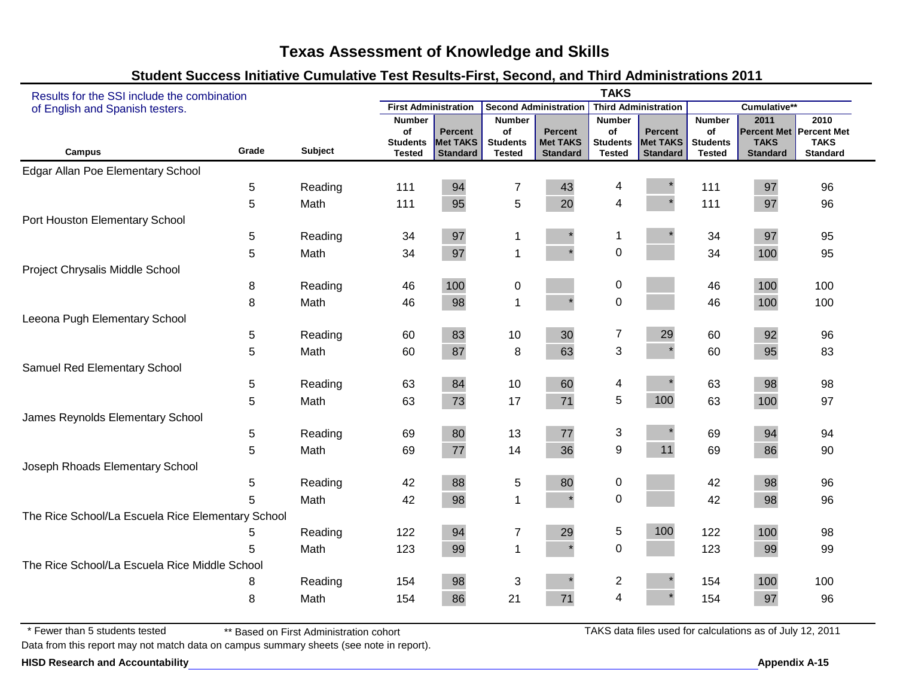### **Student Success Initiative Cumulative Test Results-First, Second, and Third Administrations 2011**

| Results for the SSI include the combination       |       | <b>TAKS</b>    |                                                         |                                               |                                                         |                                                      |                                                         |                                                      |                                                         |                                        |                                                                   |
|---------------------------------------------------|-------|----------------|---------------------------------------------------------|-----------------------------------------------|---------------------------------------------------------|------------------------------------------------------|---------------------------------------------------------|------------------------------------------------------|---------------------------------------------------------|----------------------------------------|-------------------------------------------------------------------|
| of English and Spanish testers.                   |       |                | <b>First Administration</b>                             |                                               |                                                         | <b>Second Administration</b>                         |                                                         | <b>Third Administration</b>                          |                                                         | Cumulative**                           |                                                                   |
| <b>Campus</b>                                     | Grade | <b>Subject</b> | <b>Number</b><br>of<br><b>Students</b><br><b>Tested</b> | Percent<br><b>Met TAKS</b><br><b>Standard</b> | <b>Number</b><br>of<br><b>Students</b><br><b>Tested</b> | <b>Percent</b><br><b>Met TAKS</b><br><b>Standard</b> | <b>Number</b><br>of<br><b>Students</b><br><b>Tested</b> | <b>Percent</b><br><b>Met TAKS</b><br><b>Standard</b> | <b>Number</b><br>of<br><b>Students</b><br><b>Tested</b> | 2011<br><b>TAKS</b><br><b>Standard</b> | 2010<br>Percent Met Percent Met<br><b>TAKS</b><br><b>Standard</b> |
| Edgar Allan Poe Elementary School                 |       |                |                                                         |                                               |                                                         |                                                      |                                                         |                                                      |                                                         |                                        |                                                                   |
|                                                   | 5     | Reading        | 111                                                     | 94                                            | $\overline{7}$                                          | 43                                                   | 4                                                       |                                                      | 111                                                     | 97                                     | 96                                                                |
|                                                   | 5     | Math           | 111                                                     | 95                                            | 5                                                       | 20                                                   | 4                                                       |                                                      | 111                                                     | 97                                     | 96                                                                |
| Port Houston Elementary School                    |       |                |                                                         |                                               |                                                         |                                                      |                                                         |                                                      |                                                         |                                        |                                                                   |
|                                                   | 5     | Reading        | 34                                                      | 97                                            |                                                         |                                                      | 1                                                       |                                                      | 34                                                      | 97                                     | 95                                                                |
|                                                   | 5     | Math           | 34                                                      | 97                                            | $\overline{\mathbf{1}}$                                 |                                                      | $\pmb{0}$                                               |                                                      | 34                                                      | 100                                    | 95                                                                |
| Project Chrysalis Middle School                   |       |                |                                                         |                                               |                                                         |                                                      |                                                         |                                                      |                                                         |                                        |                                                                   |
|                                                   | 8     | Reading        | 46                                                      | 100                                           | 0                                                       |                                                      | 0                                                       |                                                      | 46                                                      | 100                                    | 100                                                               |
|                                                   | 8     | Math           | 46                                                      | 98                                            | 1                                                       |                                                      | $\pmb{0}$                                               |                                                      | 46                                                      | 100                                    | 100                                                               |
| Leeona Pugh Elementary School                     |       |                |                                                         |                                               |                                                         |                                                      |                                                         |                                                      |                                                         |                                        |                                                                   |
|                                                   | 5     | Reading        | 60                                                      | 83                                            | 10                                                      | 30                                                   | $\overline{7}$                                          | 29                                                   | 60                                                      | 92                                     | 96                                                                |
|                                                   | 5     | Math           | 60                                                      | 87                                            | 8                                                       | 63                                                   | 3                                                       |                                                      | 60                                                      | 95                                     | 83                                                                |
| Samuel Red Elementary School                      |       |                |                                                         |                                               |                                                         |                                                      |                                                         |                                                      |                                                         |                                        |                                                                   |
|                                                   | 5     | Reading        | 63                                                      | 84                                            | 10                                                      | 60                                                   | 4                                                       |                                                      | 63                                                      | 98                                     | 98                                                                |
|                                                   | 5     | Math           | 63                                                      | 73                                            | 17                                                      | 71                                                   | 5                                                       | 100                                                  | 63                                                      | 100                                    | 97                                                                |
| James Reynolds Elementary School                  |       |                |                                                         |                                               |                                                         |                                                      |                                                         |                                                      |                                                         |                                        |                                                                   |
|                                                   | 5     | Reading        | 69                                                      | 80                                            | 13                                                      | 77                                                   | 3                                                       |                                                      | 69                                                      | 94                                     | 94                                                                |
|                                                   | 5     | Math           | 69                                                      | $77 \,$                                       | 14                                                      | 36                                                   | 9                                                       | $11$                                                 | 69                                                      | 86                                     | 90                                                                |
| Joseph Rhoads Elementary School                   |       |                |                                                         |                                               |                                                         |                                                      |                                                         |                                                      |                                                         |                                        |                                                                   |
|                                                   | 5     | Reading        | 42                                                      | 88                                            | $\,$ 5 $\,$                                             | 80                                                   | 0                                                       |                                                      | 42                                                      | 98                                     | 96                                                                |
|                                                   | 5     | Math           | 42                                                      | 98                                            | -1                                                      |                                                      | 0                                                       |                                                      | 42                                                      | 98                                     | 96                                                                |
| The Rice School/La Escuela Rice Elementary School |       |                |                                                         |                                               |                                                         |                                                      |                                                         |                                                      |                                                         |                                        |                                                                   |
|                                                   | 5     | Reading        | 122                                                     | 94                                            | $\overline{7}$                                          | 29                                                   | 5                                                       | 100                                                  | 122                                                     | 100                                    | 98                                                                |
|                                                   | 5     | Math           | 123                                                     | 99                                            | $\mathbf{1}$                                            |                                                      | $\boldsymbol{0}$                                        |                                                      | 123                                                     | 99                                     | 99                                                                |
| The Rice School/La Escuela Rice Middle School     |       |                |                                                         |                                               |                                                         |                                                      |                                                         |                                                      |                                                         |                                        |                                                                   |
|                                                   | 8     | Reading        | 154                                                     | 98                                            | 3                                                       |                                                      | $\overline{\mathbf{c}}$                                 |                                                      | 154                                                     | 100                                    | 100                                                               |
|                                                   | 8     | Math           | 154                                                     | 86                                            | 21                                                      | 71                                                   | 4                                                       |                                                      | 154                                                     | 97                                     | 96                                                                |

\* Fewer than 5 students tested

\*\* Based on First Administration cohort

Data from this report may not match data on campus summary sheets (see note in report).

TAKS data files used for calculations as of July 12, 2011

**HISD Research and Accountability Appendix A-15 Appendix A-15 Appendix A-15**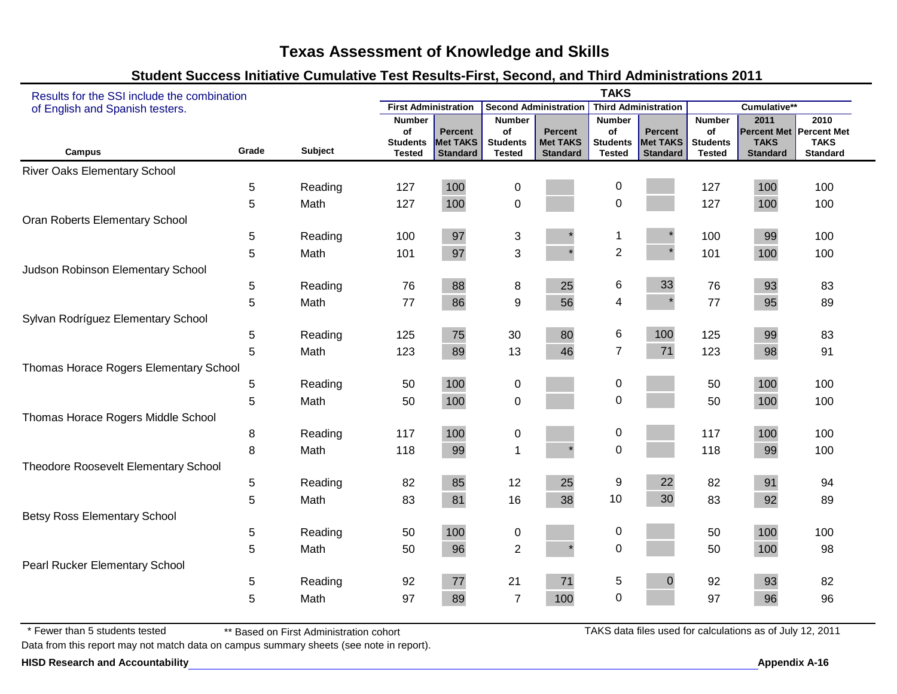### **Student Success Initiative Cumulative Test Results-First, Second, and Third Administrations 2011**

| Results for the SSI include the combination |       | <b>TAKS</b> |                                                         |                                               |                                                         |                                                      |                                                         |                                                      |                                                         |                                        |                                                                          |
|---------------------------------------------|-------|-------------|---------------------------------------------------------|-----------------------------------------------|---------------------------------------------------------|------------------------------------------------------|---------------------------------------------------------|------------------------------------------------------|---------------------------------------------------------|----------------------------------------|--------------------------------------------------------------------------|
| of English and Spanish testers.             |       |             | <b>First Administration</b>                             |                                               | <b>Second Administration</b>                            |                                                      |                                                         | <b>Third Administration</b>                          |                                                         | Cumulative**                           |                                                                          |
| Campus                                      | Grade | Subject     | <b>Number</b><br>of<br><b>Students</b><br><b>Tested</b> | Percent<br><b>Met TAKS</b><br><b>Standard</b> | <b>Number</b><br>of<br><b>Students</b><br><b>Tested</b> | <b>Percent</b><br><b>Met TAKS</b><br><b>Standard</b> | <b>Number</b><br>of<br><b>Students</b><br><b>Tested</b> | <b>Percent</b><br><b>Met TAKS</b><br><b>Standard</b> | <b>Number</b><br>of<br><b>Students</b><br><b>Tested</b> | 2011<br><b>TAKS</b><br><b>Standard</b> | 2010<br><b>Percent Met Percent Met</b><br><b>TAKS</b><br><b>Standard</b> |
| <b>River Oaks Elementary School</b>         |       |             |                                                         |                                               |                                                         |                                                      |                                                         |                                                      |                                                         |                                        |                                                                          |
|                                             | 5     | Reading     | 127                                                     | 100                                           | 0                                                       |                                                      | 0                                                       |                                                      | 127                                                     | 100                                    | 100                                                                      |
|                                             | 5     | Math        | 127                                                     | 100                                           | $\pmb{0}$                                               |                                                      | 0                                                       |                                                      | 127                                                     | 100                                    | 100                                                                      |
| Oran Roberts Elementary School              |       |             |                                                         |                                               |                                                         |                                                      |                                                         |                                                      |                                                         |                                        |                                                                          |
|                                             | 5     | Reading     | 100                                                     | 97                                            | 3                                                       |                                                      | 1                                                       |                                                      | 100                                                     | 99                                     | 100                                                                      |
|                                             | 5     | Math        | 101                                                     | 97                                            | 3                                                       |                                                      | $\overline{c}$                                          |                                                      | 101                                                     | 100                                    | 100                                                                      |
| Judson Robinson Elementary School           |       |             |                                                         |                                               |                                                         |                                                      |                                                         |                                                      |                                                         |                                        |                                                                          |
|                                             | 5     | Reading     | 76                                                      | 88                                            | 8                                                       | 25                                                   | 6                                                       | 33                                                   | 76                                                      | 93                                     | 83                                                                       |
|                                             | 5     | Math        | 77                                                      | 86                                            | 9                                                       | 56                                                   | $\overline{\mathbf{4}}$                                 | $\star$                                              | 77                                                      | 95                                     | 89                                                                       |
| Sylvan Rodríguez Elementary School          |       |             |                                                         |                                               |                                                         |                                                      |                                                         |                                                      |                                                         |                                        |                                                                          |
|                                             | 5     | Reading     | 125                                                     | 75                                            | 30                                                      | 80                                                   | 6                                                       | 100                                                  | 125                                                     | 99                                     | 83                                                                       |
|                                             | 5     | Math        | 123                                                     | 89                                            | 13                                                      | 46                                                   | $\overline{7}$                                          | 71                                                   | 123                                                     | 98                                     | 91                                                                       |
| Thomas Horace Rogers Elementary School      |       |             |                                                         |                                               |                                                         |                                                      |                                                         |                                                      |                                                         |                                        |                                                                          |
|                                             | 5     | Reading     | 50                                                      | 100                                           | 0                                                       |                                                      | 0                                                       |                                                      | 50                                                      | 100                                    | 100                                                                      |
|                                             | 5     | Math        | 50                                                      | 100                                           | $\pmb{0}$                                               |                                                      | $\mathbf 0$                                             |                                                      | 50                                                      | 100                                    | 100                                                                      |
| Thomas Horace Rogers Middle School          |       |             |                                                         |                                               |                                                         |                                                      |                                                         |                                                      |                                                         |                                        |                                                                          |
|                                             | 8     | Reading     | 117                                                     | 100                                           | $\pmb{0}$                                               |                                                      | 0                                                       |                                                      | 117                                                     | 100                                    | 100                                                                      |
|                                             | 8     | Math        | 118                                                     | 99                                            | $\mathbf 1$                                             |                                                      | $\pmb{0}$                                               |                                                      | 118                                                     | 99                                     | 100                                                                      |
| Theodore Roosevelt Elementary School        |       |             |                                                         |                                               |                                                         |                                                      |                                                         |                                                      |                                                         |                                        |                                                                          |
|                                             | 5     | Reading     | 82                                                      | 85                                            | 12                                                      | 25                                                   | 9                                                       | 22                                                   | 82                                                      | 91                                     | 94                                                                       |
|                                             | 5     | Math        | 83                                                      | 81                                            | 16                                                      | 38                                                   | 10                                                      | 30                                                   | 83                                                      | 92                                     | 89                                                                       |
| <b>Betsy Ross Elementary School</b>         |       |             |                                                         |                                               |                                                         |                                                      |                                                         |                                                      |                                                         |                                        |                                                                          |
|                                             | 5     | Reading     | 50                                                      | 100                                           | 0                                                       |                                                      | 0                                                       |                                                      | 50                                                      | 100                                    | 100                                                                      |
|                                             | 5     | Math        | 50                                                      | 96                                            | $\sqrt{2}$                                              |                                                      | $\pmb{0}$                                               |                                                      | 50                                                      | 100                                    | 98                                                                       |
| Pearl Rucker Elementary School              |       |             |                                                         |                                               |                                                         |                                                      |                                                         |                                                      |                                                         |                                        |                                                                          |
|                                             | 5     | Reading     | 92                                                      | $77\,$                                        | 21                                                      | $71$                                                 | 5                                                       | 0                                                    | 92                                                      | 93                                     | 82                                                                       |
|                                             | 5     | Math        | 97                                                      | 89                                            | $\overline{7}$                                          | 100                                                  | $\overline{0}$                                          |                                                      | 97                                                      | 96                                     | 96                                                                       |

\* Fewer than 5 students tested

\*\* Based on First Administration cohort

Data from this report may not match data on campus summary sheets (see note in report).

**HISD Research and Accountability Appendix A-16 Appendix A-16 Appendix A-16 Appendix A-16 Appendix A-16**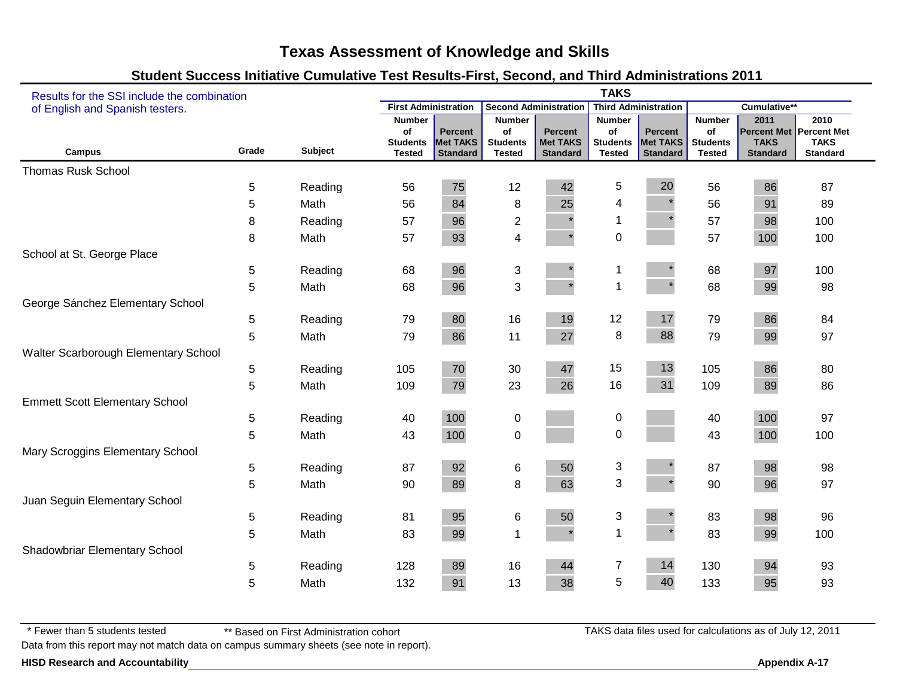### **Student Success Initiative Cumulative Test Results-First, Second, and Third Administrations 2011**

| Results for the SSI include the combination |             |                |                                                         |                                                      |                                                         | <b>TAKS</b>                                          |                                                         |                                                      |                                                         |                                        |                                                                          |
|---------------------------------------------|-------------|----------------|---------------------------------------------------------|------------------------------------------------------|---------------------------------------------------------|------------------------------------------------------|---------------------------------------------------------|------------------------------------------------------|---------------------------------------------------------|----------------------------------------|--------------------------------------------------------------------------|
| of English and Spanish testers.             |             |                | <b>First Administration</b>                             |                                                      |                                                         | <b>Second Administration</b>                         |                                                         | <b>Third Administration</b>                          |                                                         | Cumulative**                           |                                                                          |
| <b>Campus</b>                               | Grade       | <b>Subject</b> | <b>Number</b><br>of<br><b>Students</b><br><b>Tested</b> | <b>Percent</b><br><b>Met TAKS</b><br><b>Standard</b> | <b>Number</b><br>of<br><b>Students</b><br><b>Tested</b> | <b>Percent</b><br><b>Met TAKS</b><br><b>Standard</b> | <b>Number</b><br>of<br><b>Students</b><br><b>Tested</b> | <b>Percent</b><br><b>Met TAKS</b><br><b>Standard</b> | <b>Number</b><br>of<br><b>Students</b><br><b>Tested</b> | 2011<br><b>TAKS</b><br><b>Standard</b> | 2010<br><b>Percent Met Percent Met</b><br><b>TAKS</b><br><b>Standard</b> |
| <b>Thomas Rusk School</b>                   |             |                |                                                         |                                                      |                                                         |                                                      |                                                         |                                                      |                                                         |                                        |                                                                          |
|                                             | 5           | Reading        | 56                                                      | 75                                                   | 12                                                      | 42                                                   | 5                                                       | 20                                                   | 56                                                      | 86                                     | 87                                                                       |
|                                             | 5           | Math           | 56                                                      | 84                                                   | 8                                                       | 25                                                   | 4                                                       |                                                      | 56                                                      | 91                                     | 89                                                                       |
|                                             | 8           | Reading        | 57                                                      | 96                                                   | $\overline{2}$                                          |                                                      | 1                                                       |                                                      | 57                                                      | 98                                     | 100                                                                      |
|                                             | 8           | Math           | 57                                                      | 93                                                   | 4                                                       |                                                      | 0                                                       |                                                      | 57                                                      | 100                                    | 100                                                                      |
| School at St. George Place                  |             |                |                                                         |                                                      |                                                         |                                                      |                                                         |                                                      |                                                         |                                        |                                                                          |
|                                             | 5           | Reading        | 68                                                      | 96                                                   | 3                                                       |                                                      | 1                                                       |                                                      | 68                                                      | 97                                     | 100                                                                      |
|                                             | 5           | Math           | 68                                                      | 96                                                   | 3                                                       |                                                      | $\mathbf{1}$                                            |                                                      | 68                                                      | 99                                     | 98                                                                       |
| George Sánchez Elementary School            |             |                |                                                         |                                                      |                                                         |                                                      |                                                         |                                                      |                                                         |                                        |                                                                          |
|                                             | 5           | Reading        | 79                                                      | 80                                                   | 16                                                      | 19                                                   | 12                                                      | 17                                                   | 79                                                      | 86                                     | 84                                                                       |
|                                             | $\mathbf 5$ | Math           | 79                                                      | 86                                                   | 11                                                      | 27                                                   | 8                                                       | 88                                                   | 79                                                      | 99                                     | 97                                                                       |
| Walter Scarborough Elementary School        |             |                |                                                         |                                                      |                                                         |                                                      |                                                         |                                                      |                                                         |                                        |                                                                          |
|                                             | $\sqrt{5}$  | Reading        | 105                                                     | 70                                                   | 30                                                      | 47                                                   | 15                                                      | 13                                                   | 105                                                     | 86                                     | 80                                                                       |
|                                             | $\mathbf 5$ | Math           | 109                                                     | 79                                                   | 23                                                      | 26                                                   | 16                                                      | 31                                                   | 109                                                     | 89                                     | 86                                                                       |
| <b>Emmett Scott Elementary School</b>       |             |                |                                                         |                                                      |                                                         |                                                      |                                                         |                                                      |                                                         |                                        |                                                                          |
|                                             | 5           | Reading        | 40                                                      | 100                                                  | $\mathbf 0$                                             |                                                      | 0                                                       |                                                      | 40                                                      | 100                                    | 97                                                                       |
|                                             | 5           | Math           | 43                                                      | 100                                                  | $\pmb{0}$                                               |                                                      | $\boldsymbol{0}$                                        |                                                      | 43                                                      | 100                                    | 100                                                                      |
| Mary Scroggins Elementary School            |             |                |                                                         |                                                      |                                                         |                                                      |                                                         |                                                      |                                                         |                                        |                                                                          |
|                                             | 5           | Reading        | 87                                                      | 92                                                   | 6                                                       | 50                                                   | 3<br>3                                                  |                                                      | 87                                                      | 98                                     | 98                                                                       |
| Juan Seguin Elementary School               | 5           | Math           | 90                                                      | 89                                                   | 8                                                       | 63                                                   |                                                         |                                                      | 90                                                      | 96                                     | 97                                                                       |
|                                             | $\mathbf 5$ | Reading        | 81                                                      | 95                                                   | $\,6$                                                   | 50                                                   | 3                                                       |                                                      | 83                                                      | 98                                     | 96                                                                       |
|                                             | 5           | Math           | 83                                                      | 99                                                   | 1                                                       |                                                      | $\mathbf{1}$                                            |                                                      | 83                                                      | 99                                     | 100                                                                      |
| Shadowbriar Elementary School               |             |                |                                                         |                                                      |                                                         |                                                      |                                                         |                                                      |                                                         |                                        |                                                                          |
|                                             | 5           | Reading        | 128                                                     | 89                                                   | 16                                                      | 44                                                   | $\overline{7}$                                          | 14                                                   | 130                                                     | 94                                     | 93                                                                       |
|                                             | 5           | Math           | 132                                                     | 91                                                   | 13                                                      | 38                                                   | 5                                                       | 40                                                   | 133                                                     | 95                                     | 93                                                                       |
|                                             |             |                |                                                         |                                                      |                                                         |                                                      |                                                         |                                                      |                                                         |                                        |                                                                          |

\* Fewer than 5 students tested

Data from this report may not match data on campus summary sheets (see note in report).

TAKS data files used for calculations as of July 12, 2011

**HISD Research and Accountability Appendix A-17 Appendix A-17 Appendix A-17**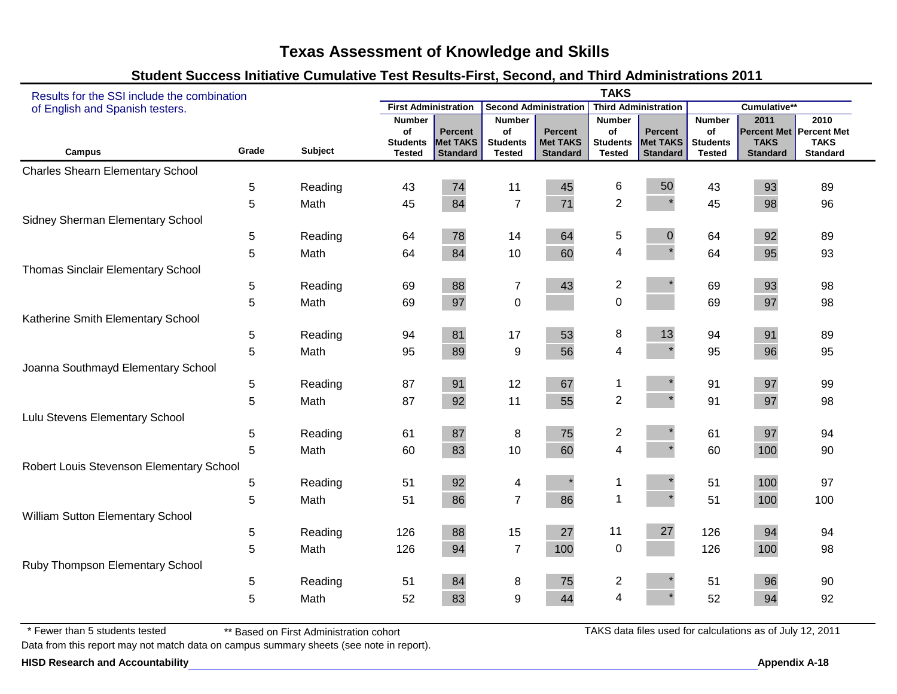### **Student Success Initiative Cumulative Test Results-First, Second, and Third Administrations 2011**

| Results for the SSI include the combination |       |                |                                                         |                                                      |                                                         | <b>TAKS</b>                                          |                                                         |                                                      |                                                         |                                        |                                                                   |
|---------------------------------------------|-------|----------------|---------------------------------------------------------|------------------------------------------------------|---------------------------------------------------------|------------------------------------------------------|---------------------------------------------------------|------------------------------------------------------|---------------------------------------------------------|----------------------------------------|-------------------------------------------------------------------|
| of English and Spanish testers.             |       |                | <b>First Administration</b>                             |                                                      |                                                         | <b>Second Administration</b>                         |                                                         | <b>Third Administration</b>                          |                                                         | Cumulative**                           |                                                                   |
| <b>Campus</b>                               | Grade | <b>Subject</b> | <b>Number</b><br>of<br><b>Students</b><br><b>Tested</b> | <b>Percent</b><br><b>Met TAKS</b><br><b>Standard</b> | <b>Number</b><br>of<br><b>Students</b><br><b>Tested</b> | <b>Percent</b><br><b>Met TAKS</b><br><b>Standard</b> | <b>Number</b><br>of<br><b>Students</b><br><b>Tested</b> | <b>Percent</b><br><b>Met TAKS</b><br><b>Standard</b> | <b>Number</b><br>of<br><b>Students</b><br><b>Tested</b> | 2011<br><b>TAKS</b><br><b>Standard</b> | 2010<br>Percent Met Percent Met<br><b>TAKS</b><br><b>Standard</b> |
| <b>Charles Shearn Elementary School</b>     |       |                |                                                         |                                                      |                                                         |                                                      |                                                         |                                                      |                                                         |                                        |                                                                   |
|                                             | 5     | Reading        | 43                                                      | 74                                                   | 11                                                      | 45                                                   | 6                                                       | 50                                                   | 43                                                      | 93                                     | 89                                                                |
|                                             | 5     | Math           | 45                                                      | 84                                                   | $\overline{7}$                                          | 71                                                   | $\overline{2}$                                          |                                                      | 45                                                      | 98                                     | 96                                                                |
| Sidney Sherman Elementary School            |       |                |                                                         |                                                      |                                                         |                                                      |                                                         |                                                      |                                                         |                                        |                                                                   |
|                                             | 5     | Reading        | 64                                                      | 78                                                   | 14                                                      | 64                                                   | 5                                                       | 0                                                    | 64                                                      | 92                                     | 89                                                                |
|                                             | 5     | Math           | 64                                                      | 84                                                   | 10                                                      | 60                                                   | 4                                                       |                                                      | 64                                                      | 95                                     | 93                                                                |
| Thomas Sinclair Elementary School           |       |                |                                                         |                                                      |                                                         |                                                      |                                                         |                                                      |                                                         |                                        |                                                                   |
|                                             | 5     | Reading        | 69                                                      | 88                                                   | $\overline{7}$                                          | 43                                                   | $\overline{\mathbf{c}}$                                 |                                                      | 69                                                      | 93                                     | 98                                                                |
|                                             | 5     | Math           | 69                                                      | 97                                                   | $\mathbf 0$                                             |                                                      | $\pmb{0}$                                               |                                                      | 69                                                      | 97                                     | 98                                                                |
| Katherine Smith Elementary School           |       |                |                                                         |                                                      |                                                         |                                                      |                                                         |                                                      |                                                         |                                        |                                                                   |
|                                             | 5     | Reading        | 94                                                      | 81                                                   | 17                                                      | 53                                                   | 8                                                       | 13                                                   | 94                                                      | 91                                     | 89                                                                |
|                                             | 5     | Math           | 95                                                      | 89                                                   | 9                                                       | 56                                                   | 4                                                       |                                                      | 95                                                      | 96                                     | 95                                                                |
| Joanna Southmayd Elementary School          |       |                |                                                         |                                                      |                                                         |                                                      |                                                         |                                                      |                                                         |                                        |                                                                   |
|                                             | 5     | Reading        | 87                                                      | 91                                                   | 12                                                      | 67                                                   | 1                                                       |                                                      | 91                                                      | 97                                     | 99                                                                |
|                                             | 5     | Math           | 87                                                      | 92                                                   | 11                                                      | 55                                                   | $\overline{2}$                                          |                                                      | 91                                                      | 97                                     | 98                                                                |
| Lulu Stevens Elementary School              |       |                |                                                         |                                                      |                                                         |                                                      |                                                         |                                                      |                                                         |                                        |                                                                   |
|                                             | 5     | Reading        | 61                                                      | 87                                                   | 8                                                       | 75                                                   | $\overline{\mathbf{c}}$                                 |                                                      | 61                                                      | 97                                     | 94                                                                |
|                                             | 5     | Math           | 60                                                      | 83                                                   | 10                                                      | 60                                                   | $\overline{\mathbf{4}}$                                 |                                                      | 60                                                      | 100                                    | 90                                                                |
| Robert Louis Stevenson Elementary School    |       |                |                                                         |                                                      |                                                         |                                                      |                                                         |                                                      |                                                         |                                        |                                                                   |
|                                             | 5     | Reading        | 51                                                      | 92                                                   | $\overline{\mathbf{4}}$                                 | $\ast$                                               | 1                                                       |                                                      | 51                                                      | 100                                    | 97                                                                |
|                                             | 5     | Math           | 51                                                      | 86                                                   | $\overline{7}$                                          | 86                                                   | 1                                                       |                                                      | 51                                                      | 100                                    | 100                                                               |
| William Sutton Elementary School            |       |                |                                                         |                                                      |                                                         |                                                      |                                                         |                                                      |                                                         |                                        |                                                                   |
|                                             | 5     | Reading        | 126                                                     | 88                                                   | 15                                                      | 27                                                   | 11                                                      | 27                                                   | 126                                                     | 94                                     | 94                                                                |
|                                             | 5     | Math           | 126                                                     | 94                                                   | $\overline{7}$                                          | 100                                                  | $\pmb{0}$                                               |                                                      | 126                                                     | 100                                    | 98                                                                |
| Ruby Thompson Elementary School             |       |                |                                                         |                                                      |                                                         |                                                      |                                                         |                                                      |                                                         |                                        |                                                                   |
|                                             | 5     | Reading        | 51                                                      | 84                                                   | 8                                                       | 75                                                   | 2                                                       |                                                      | 51                                                      | 96                                     | 90                                                                |
|                                             | 5     | Math           | 52                                                      | 83                                                   | 9                                                       | 44                                                   | 4                                                       |                                                      | 52                                                      | 94                                     | 92                                                                |

\* Fewer than 5 students tested

\*\* Based on First Administration cohort

Data from this report may not match data on campus summary sheets (see note in report).

TAKS data files used for calculations as of July 12, 2011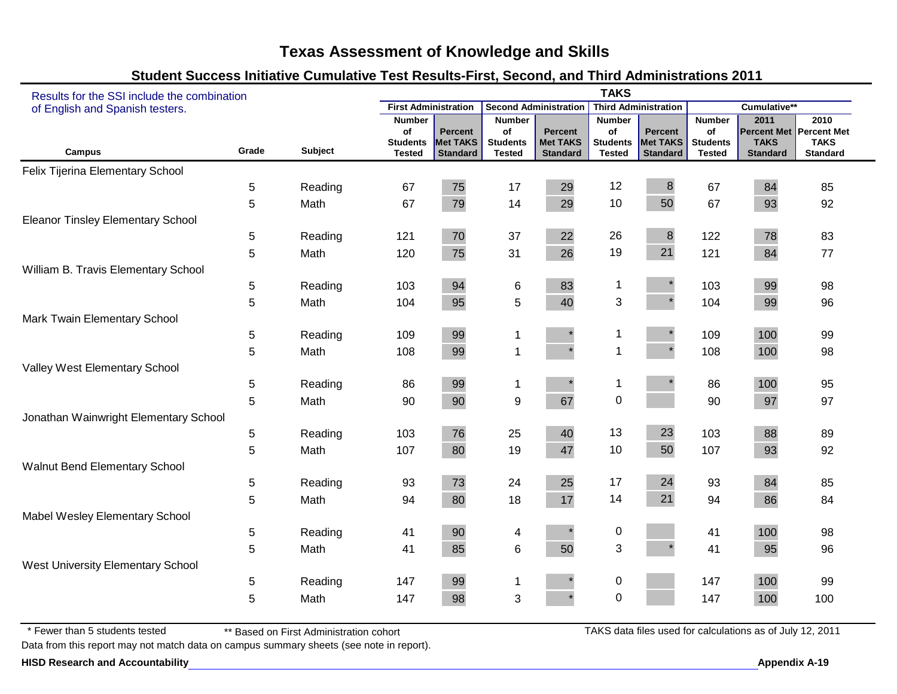### **Student Success Initiative Cumulative Test Results-First, Second, and Third Administrations 2011**

| Results for the SSI include the combination | <b>TAKS</b> |         |                                                         |                                               |                                                         |                                                      |                                                         |                                               |                                                         |                                                                          |                                        |  |
|---------------------------------------------|-------------|---------|---------------------------------------------------------|-----------------------------------------------|---------------------------------------------------------|------------------------------------------------------|---------------------------------------------------------|-----------------------------------------------|---------------------------------------------------------|--------------------------------------------------------------------------|----------------------------------------|--|
| of English and Spanish testers.             |             |         | <b>First Administration</b>                             |                                               |                                                         | <b>Second Administration</b>                         |                                                         | <b>Third Administration</b>                   |                                                         | Cumulative**                                                             |                                        |  |
| <b>Campus</b>                               | Grade       | Subject | <b>Number</b><br>of<br><b>Students</b><br><b>Tested</b> | Percent<br><b>Met TAKS</b><br><b>Standard</b> | <b>Number</b><br>of<br><b>Students</b><br><b>Tested</b> | <b>Percent</b><br><b>Met TAKS</b><br><b>Standard</b> | <b>Number</b><br>of<br><b>Students</b><br><b>Tested</b> | Percent<br><b>Met TAKS</b><br><b>Standard</b> | <b>Number</b><br>of<br><b>Students</b><br><b>Tested</b> | 2011<br><b>Percent Met Percent Met</b><br><b>TAKS</b><br><b>Standard</b> | 2010<br><b>TAKS</b><br><b>Standard</b> |  |
| Felix Tijerina Elementary School            |             |         |                                                         |                                               |                                                         |                                                      |                                                         |                                               |                                                         |                                                                          |                                        |  |
|                                             | 5           | Reading | 67                                                      | 75                                            | 17                                                      | 29                                                   | 12                                                      | $\bf 8$                                       | 67                                                      | 84                                                                       | 85                                     |  |
|                                             | $\,$ 5 $\,$ | Math    | 67                                                      | 79                                            | 14                                                      | 29                                                   | 10                                                      | 50                                            | 67                                                      | 93                                                                       | 92                                     |  |
| <b>Eleanor Tinsley Elementary School</b>    |             |         |                                                         |                                               |                                                         |                                                      |                                                         |                                               |                                                         |                                                                          |                                        |  |
|                                             | 5           | Reading | 121                                                     | 70                                            | 37                                                      | 22                                                   | 26                                                      | $\bf 8$                                       | 122                                                     | 78                                                                       | 83                                     |  |
|                                             | $\,$ 5 $\,$ | Math    | 120                                                     | 75                                            | 31                                                      | 26                                                   | 19                                                      | 21                                            | 121                                                     | 84                                                                       | 77                                     |  |
| William B. Travis Elementary School         |             |         |                                                         |                                               |                                                         |                                                      |                                                         |                                               |                                                         |                                                                          |                                        |  |
|                                             | $\,$ 5 $\,$ | Reading | 103                                                     | 94                                            | 6                                                       | 83                                                   | -1                                                      |                                               | 103                                                     | 99                                                                       | 98                                     |  |
|                                             | $\sqrt{5}$  | Math    | 104                                                     | 95                                            | 5                                                       | 40                                                   | 3                                                       |                                               | 104                                                     | 99                                                                       | 96                                     |  |
| Mark Twain Elementary School                |             |         |                                                         |                                               |                                                         |                                                      |                                                         |                                               |                                                         |                                                                          |                                        |  |
|                                             | 5           | Reading | 109                                                     | 99                                            | 1                                                       |                                                      | 1                                                       |                                               | 109                                                     | 100                                                                      | 99                                     |  |
|                                             | 5           | Math    | 108                                                     | 99                                            | 1                                                       |                                                      | $\mathbf{1}$                                            |                                               | 108                                                     | 100                                                                      | 98                                     |  |
| Valley West Elementary School               |             |         |                                                         |                                               |                                                         |                                                      |                                                         |                                               |                                                         |                                                                          |                                        |  |
|                                             | $\,$ 5 $\,$ | Reading | 86                                                      | 99                                            | 1                                                       |                                                      |                                                         |                                               | 86                                                      | 100                                                                      | 95                                     |  |
|                                             | $\,$ 5 $\,$ | Math    | 90                                                      | 90                                            | 9                                                       | 67                                                   | $\boldsymbol{0}$                                        |                                               | 90                                                      | 97                                                                       | 97                                     |  |
| Jonathan Wainwright Elementary School       |             |         |                                                         |                                               |                                                         |                                                      |                                                         |                                               |                                                         |                                                                          |                                        |  |
|                                             | 5           | Reading | 103                                                     | 76                                            | 25                                                      | 40                                                   | 13                                                      | 23                                            | 103                                                     | 88                                                                       | 89                                     |  |
|                                             | $\sqrt{5}$  | Math    | 107                                                     | 80                                            | 19                                                      | 47                                                   | 10                                                      | 50                                            | 107                                                     | 93                                                                       | 92                                     |  |
| Walnut Bend Elementary School               |             |         |                                                         |                                               |                                                         |                                                      |                                                         |                                               |                                                         |                                                                          |                                        |  |
|                                             | 5           | Reading | 93                                                      | 73                                            | 24                                                      | 25                                                   | 17                                                      | 24                                            | 93                                                      | 84                                                                       | 85                                     |  |
|                                             | 5           | Math    | 94                                                      | 80                                            | 18                                                      | 17                                                   | 14                                                      | 21                                            | 94                                                      | 86                                                                       | 84                                     |  |
| Mabel Wesley Elementary School              |             |         |                                                         |                                               |                                                         |                                                      |                                                         |                                               |                                                         |                                                                          |                                        |  |
|                                             | 5           | Reading | 41                                                      | 90                                            | 4                                                       |                                                      | 0                                                       |                                               | 41                                                      | 100                                                                      | 98                                     |  |
|                                             | $\,$ 5 $\,$ | Math    | 41                                                      | 85                                            | $\,6$                                                   | 50                                                   | 3                                                       |                                               | 41                                                      | 95                                                                       | 96                                     |  |
| <b>West University Elementary School</b>    |             |         |                                                         |                                               |                                                         |                                                      |                                                         |                                               |                                                         |                                                                          |                                        |  |
|                                             | $\,$ 5 $\,$ | Reading | 147                                                     | 99                                            | 1                                                       |                                                      | $\mathbf 0$                                             |                                               | 147                                                     | 100                                                                      | 99                                     |  |
|                                             | 5           | Math    | 147                                                     | 98                                            | 3                                                       |                                                      | $\mathbf 0$                                             |                                               | 147                                                     | 100                                                                      | 100                                    |  |

\* Fewer than 5 students tested

\*\* Based on First Administration cohort

Data from this report may not match data on campus summary sheets (see note in report).

TAKS data files used for calculations as of July 12, 2011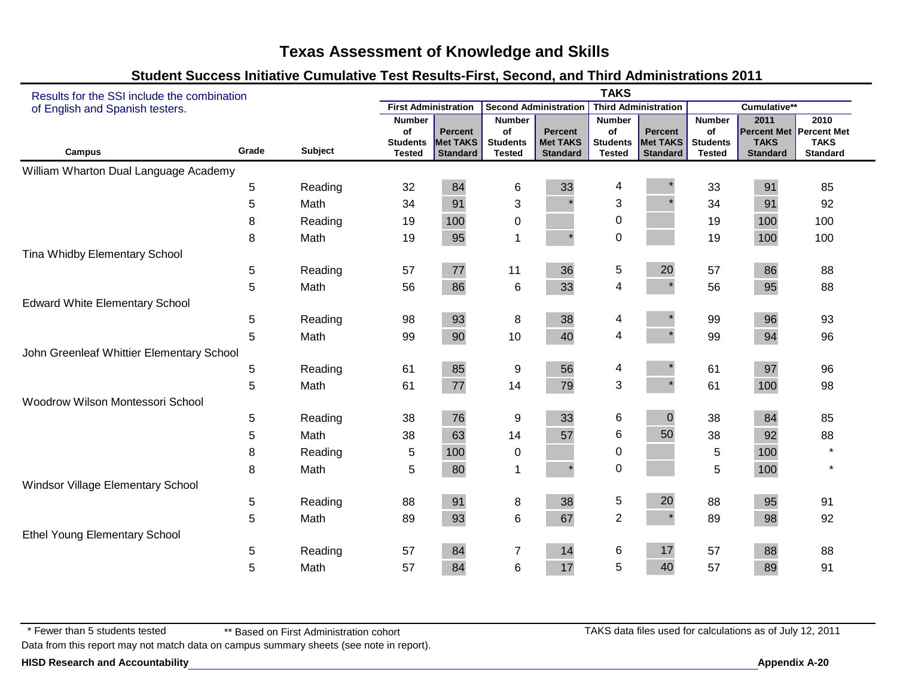### **Student Success Initiative Cumulative Test Results-First, Second, and Third Administrations 2011**

| Results for the SSI include the combination |             | <b>TAKS</b> |                                                         |                                                      |                                                         |                                                      |                                                         |                                                      |                                                         |                                        |                                                                          |
|---------------------------------------------|-------------|-------------|---------------------------------------------------------|------------------------------------------------------|---------------------------------------------------------|------------------------------------------------------|---------------------------------------------------------|------------------------------------------------------|---------------------------------------------------------|----------------------------------------|--------------------------------------------------------------------------|
| of English and Spanish testers.             |             |             | <b>First Administration</b>                             |                                                      |                                                         | <b>Second Administration</b>                         |                                                         | <b>Third Administration</b>                          |                                                         | Cumulative**                           |                                                                          |
| <b>Campus</b>                               | Grade       | Subject     | <b>Number</b><br>of<br><b>Students</b><br><b>Tested</b> | <b>Percent</b><br><b>Met TAKS</b><br><b>Standard</b> | <b>Number</b><br>of<br><b>Students</b><br><b>Tested</b> | <b>Percent</b><br><b>Met TAKS</b><br><b>Standard</b> | <b>Number</b><br>of<br><b>Students</b><br><b>Tested</b> | <b>Percent</b><br><b>Met TAKS</b><br><b>Standard</b> | <b>Number</b><br>of<br><b>Students</b><br><b>Tested</b> | 2011<br><b>TAKS</b><br><b>Standard</b> | 2010<br><b>Percent Met Percent Met</b><br><b>TAKS</b><br><b>Standard</b> |
| William Wharton Dual Language Academy       |             |             |                                                         |                                                      |                                                         |                                                      |                                                         |                                                      |                                                         |                                        |                                                                          |
|                                             | 5           | Reading     | 32                                                      | 84                                                   | 6                                                       | 33                                                   | 4                                                       |                                                      | 33                                                      | 91                                     | 85                                                                       |
|                                             | 5           | Math        | 34                                                      | 91                                                   | 3                                                       |                                                      | 3                                                       |                                                      | 34                                                      | 91                                     | 92                                                                       |
|                                             | 8           | Reading     | 19                                                      | 100                                                  | 0                                                       |                                                      | $\pmb{0}$                                               |                                                      | 19                                                      | 100                                    | 100                                                                      |
|                                             | 8           | Math        | 19                                                      | 95                                                   | 1                                                       |                                                      | $\boldsymbol{0}$                                        |                                                      | 19                                                      | 100                                    | 100                                                                      |
| Tina Whidby Elementary School               |             |             |                                                         |                                                      |                                                         |                                                      |                                                         |                                                      |                                                         |                                        |                                                                          |
|                                             | 5           | Reading     | 57                                                      | 77                                                   | 11                                                      | 36                                                   | 5                                                       | 20                                                   | 57                                                      | 86                                     | 88                                                                       |
|                                             | 5           | Math        | 56                                                      | 86                                                   | 6                                                       | 33                                                   | 4                                                       |                                                      | 56                                                      | 95                                     | 88                                                                       |
| <b>Edward White Elementary School</b>       |             |             |                                                         |                                                      |                                                         |                                                      |                                                         |                                                      |                                                         |                                        |                                                                          |
|                                             | $\mathbf 5$ | Reading     | 98                                                      | 93                                                   | 8                                                       | 38                                                   | 4                                                       |                                                      | 99                                                      | 96                                     | 93                                                                       |
|                                             | 5           | Math        | 99                                                      | 90                                                   | 10                                                      | 40                                                   | $\overline{\mathbf{4}}$                                 |                                                      | 99                                                      | 94                                     | 96                                                                       |
| John Greenleaf Whittier Elementary School   |             |             |                                                         |                                                      |                                                         |                                                      |                                                         |                                                      |                                                         |                                        |                                                                          |
|                                             | 5           | Reading     | 61                                                      | 85                                                   | 9                                                       | 56                                                   | 4                                                       |                                                      | 61                                                      | 97                                     | 96                                                                       |
|                                             | 5           | Math        | 61                                                      | 77                                                   | 14                                                      | 79                                                   | 3                                                       |                                                      | 61                                                      | 100                                    | 98                                                                       |
| Woodrow Wilson Montessori School            |             |             |                                                         |                                                      |                                                         |                                                      |                                                         |                                                      |                                                         |                                        |                                                                          |
|                                             | 5           | Reading     | 38                                                      | 76                                                   | 9                                                       | 33                                                   | 6                                                       | $\mathbf 0$                                          | 38                                                      | 84                                     | 85                                                                       |
|                                             | 5           | Math        | 38                                                      | 63                                                   | 14                                                      | 57                                                   | 6                                                       | 50                                                   | 38                                                      | 92                                     | 88                                                                       |
|                                             | 8           | Reading     | $\sqrt{5}$                                              | 100                                                  | 0                                                       |                                                      | $\boldsymbol{0}$                                        |                                                      | 5                                                       | 100                                    |                                                                          |
|                                             | 8           | Math        | 5                                                       | 80                                                   | 1                                                       |                                                      | 0                                                       |                                                      | 5                                                       | 100                                    | $\star$                                                                  |
| Windsor Village Elementary School           |             |             |                                                         |                                                      |                                                         |                                                      |                                                         |                                                      |                                                         |                                        |                                                                          |
|                                             | 5           | Reading     | 88                                                      | 91                                                   | 8                                                       | 38                                                   | 5                                                       | 20                                                   | 88                                                      | 95                                     | 91                                                                       |
|                                             | $\mathbf 5$ | Math        | 89                                                      | 93                                                   | $\,6$                                                   | 67                                                   | $\overline{2}$                                          |                                                      | 89                                                      | 98                                     | 92                                                                       |
| <b>Ethel Young Elementary School</b>        |             |             |                                                         |                                                      |                                                         |                                                      |                                                         |                                                      |                                                         |                                        |                                                                          |
|                                             | 5           | Reading     | 57                                                      | 84                                                   | $\boldsymbol{7}$                                        | 14                                                   | 6                                                       | 17                                                   | 57                                                      | 88                                     | 88                                                                       |
|                                             | 5           | Math        | 57                                                      | 84                                                   | 6                                                       | 17                                                   | 5                                                       | 40                                                   | 57                                                      | 89                                     | 91                                                                       |

\* Fewer than 5 students tested

Data from this report may not match data on campus summary sheets (see note in report).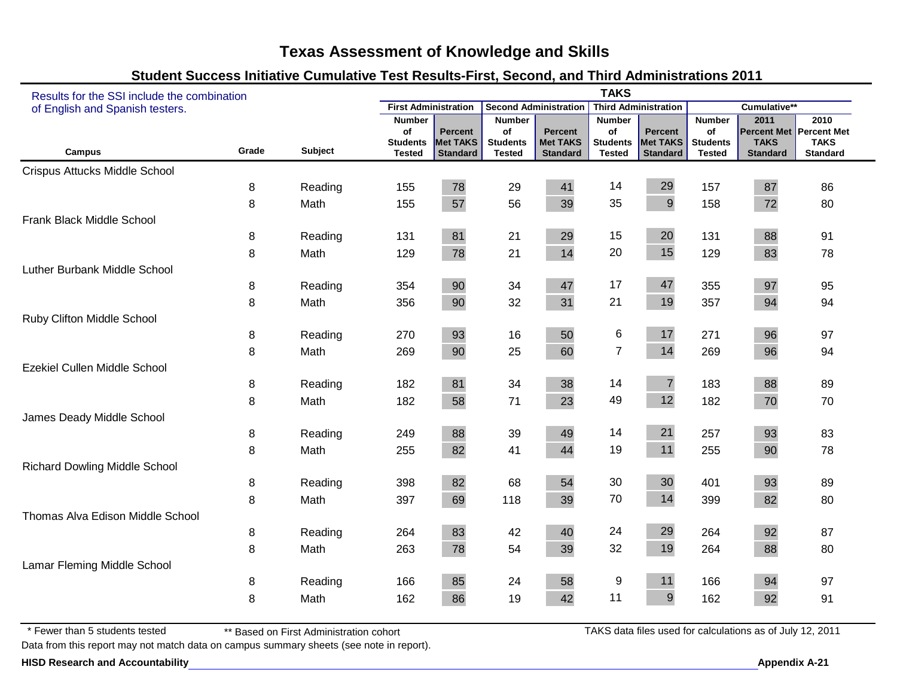### **Student Success Initiative Cumulative Test Results-First, Second, and Third Administrations 2011**

| <b>TAKS</b><br>Results for the SSI include the combination<br><b>Second Administration</b><br><b>Third Administration</b><br><b>First Administration</b> |         |                |                                                         |                                                      |                                                         |                                                      |                                                         |                                               |                                                         |                                        |                                                                          |
|----------------------------------------------------------------------------------------------------------------------------------------------------------|---------|----------------|---------------------------------------------------------|------------------------------------------------------|---------------------------------------------------------|------------------------------------------------------|---------------------------------------------------------|-----------------------------------------------|---------------------------------------------------------|----------------------------------------|--------------------------------------------------------------------------|
| of English and Spanish testers.                                                                                                                          |         |                |                                                         |                                                      |                                                         |                                                      |                                                         |                                               |                                                         | Cumulative**                           |                                                                          |
| <b>Campus</b>                                                                                                                                            | Grade   | <b>Subject</b> | <b>Number</b><br>of<br><b>Students</b><br><b>Tested</b> | <b>Percent</b><br><b>Met TAKS</b><br><b>Standard</b> | <b>Number</b><br>οf<br><b>Students</b><br><b>Tested</b> | <b>Percent</b><br><b>Met TAKS</b><br><b>Standard</b> | <b>Number</b><br>of<br><b>Students</b><br><b>Tested</b> | Percent<br><b>Met TAKS</b><br><b>Standard</b> | <b>Number</b><br>of<br><b>Students</b><br><b>Tested</b> | 2011<br><b>TAKS</b><br><b>Standard</b> | 2010<br><b>Percent Met Percent Met</b><br><b>TAKS</b><br><b>Standard</b> |
| Crispus Attucks Middle School                                                                                                                            |         |                |                                                         |                                                      |                                                         |                                                      |                                                         |                                               |                                                         |                                        |                                                                          |
|                                                                                                                                                          | 8       | Reading        | 155                                                     | 78                                                   | 29                                                      | 41                                                   | 14                                                      | 29                                            | 157                                                     | 87                                     | 86                                                                       |
|                                                                                                                                                          | 8       | Math           | 155                                                     | 57                                                   | 56                                                      | 39                                                   | 35                                                      | $\overline{9}$                                | 158                                                     | 72                                     | 80                                                                       |
| Frank Black Middle School                                                                                                                                |         |                |                                                         |                                                      |                                                         |                                                      |                                                         |                                               |                                                         |                                        |                                                                          |
|                                                                                                                                                          | 8       | Reading        | 131                                                     | 81                                                   | 21                                                      | 29                                                   | 15                                                      | 20                                            | 131                                                     | 88                                     | 91                                                                       |
|                                                                                                                                                          | $\bf 8$ | Math           | 129                                                     | 78                                                   | 21                                                      | 14                                                   | 20                                                      | 15                                            | 129                                                     | 83                                     | 78                                                                       |
| Luther Burbank Middle School                                                                                                                             |         |                |                                                         |                                                      |                                                         |                                                      |                                                         |                                               |                                                         |                                        |                                                                          |
|                                                                                                                                                          | 8       | Reading        | 354                                                     | 90                                                   | 34                                                      | 47                                                   | 17                                                      | 47                                            | 355                                                     | 97                                     | 95                                                                       |
|                                                                                                                                                          | 8       | Math           | 356                                                     | 90                                                   | 32                                                      | 31                                                   | 21                                                      | 19                                            | 357                                                     | 94                                     | 94                                                                       |
| Ruby Clifton Middle School                                                                                                                               |         |                |                                                         |                                                      |                                                         |                                                      |                                                         |                                               |                                                         |                                        |                                                                          |
|                                                                                                                                                          | 8       | Reading        | 270                                                     | 93                                                   | 16                                                      | 50                                                   | 6                                                       | 17                                            | 271                                                     | 96                                     | 97                                                                       |
|                                                                                                                                                          | 8       | Math           | 269                                                     | 90                                                   | 25                                                      | 60                                                   | $\overline{7}$                                          | 14                                            | 269                                                     | 96                                     | 94                                                                       |
| Ezekiel Cullen Middle School                                                                                                                             |         |                |                                                         |                                                      |                                                         |                                                      |                                                         |                                               |                                                         |                                        |                                                                          |
|                                                                                                                                                          | 8       | Reading        | 182                                                     | 81                                                   | 34                                                      | 38                                                   | 14                                                      | $\overline{7}$                                | 183                                                     | 88                                     | 89                                                                       |
|                                                                                                                                                          | 8       | Math           | 182                                                     | 58                                                   | 71                                                      | 23                                                   | 49                                                      | 12                                            | 182                                                     | 70                                     | 70                                                                       |
| James Deady Middle School                                                                                                                                |         |                |                                                         |                                                      |                                                         |                                                      |                                                         |                                               |                                                         |                                        |                                                                          |
|                                                                                                                                                          | 8       | Reading        | 249                                                     | 88                                                   | 39                                                      | 49                                                   | 14                                                      | 21                                            | 257                                                     | 93                                     | 83                                                                       |
|                                                                                                                                                          | 8       | Math           | 255                                                     | 82                                                   | 41                                                      | 44                                                   | 19                                                      | 11                                            | 255                                                     | 90                                     | 78                                                                       |
| <b>Richard Dowling Middle School</b>                                                                                                                     |         |                |                                                         |                                                      |                                                         |                                                      |                                                         | 30                                            |                                                         |                                        |                                                                          |
|                                                                                                                                                          | 8       | Reading        | 398                                                     | 82                                                   | 68                                                      | 54                                                   | 30<br>70                                                | 14                                            | 401                                                     | 93                                     | 89                                                                       |
| Thomas Alva Edison Middle School                                                                                                                         | 8       | Math           | 397                                                     | 69                                                   | 118                                                     | 39                                                   |                                                         |                                               | 399                                                     | 82                                     | 80                                                                       |
|                                                                                                                                                          |         | Reading        | 264                                                     | 83                                                   | 42                                                      | 40                                                   | 24                                                      | 29                                            | 264                                                     | 92                                     | 87                                                                       |
|                                                                                                                                                          | 8       |                |                                                         |                                                      |                                                         | 39                                                   | 32                                                      | 19                                            |                                                         |                                        |                                                                          |
|                                                                                                                                                          | 8       | Math           | 263                                                     | 78                                                   | 54                                                      |                                                      |                                                         |                                               | 264                                                     | 88                                     | 80                                                                       |
| Lamar Fleming Middle School                                                                                                                              | 8       | Reading        | 166                                                     | 85                                                   | 24                                                      | 58                                                   | 9                                                       | 11                                            | 166                                                     | 94                                     | 97                                                                       |
|                                                                                                                                                          | 8       | Math           | 162                                                     | 86                                                   | 19                                                      | 42                                                   | 11                                                      | $\overline{9}$                                | 162                                                     | 92                                     | 91                                                                       |
|                                                                                                                                                          |         |                |                                                         |                                                      |                                                         |                                                      |                                                         |                                               |                                                         |                                        |                                                                          |

\* Fewer than 5 students tested

\*\* Based on First Administration cohort

Data from this report may not match data on campus summary sheets (see note in report).

TAKS data files used for calculations as of July 12, 2011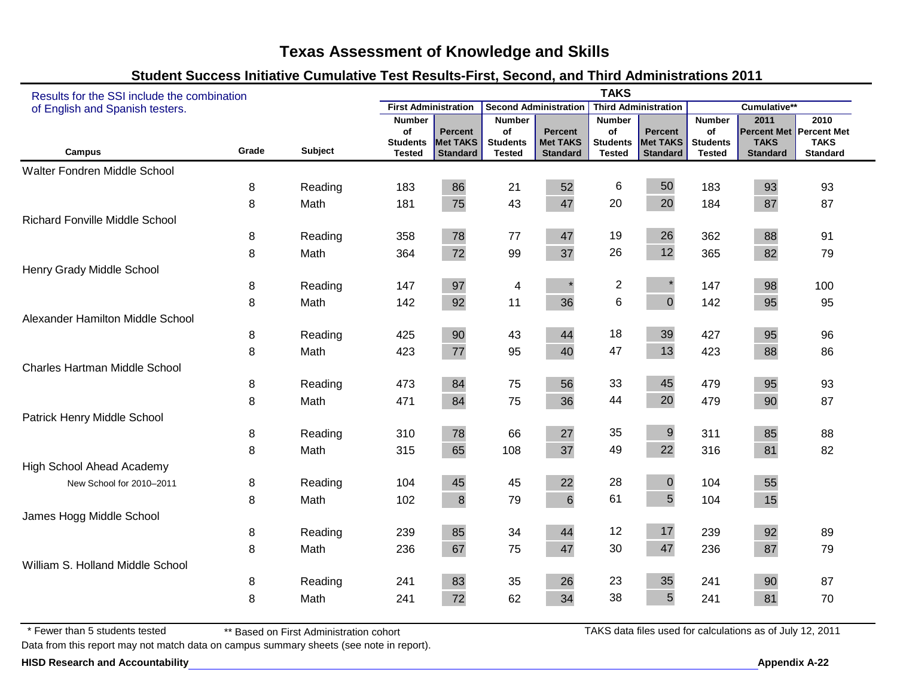### **Student Success Initiative Cumulative Test Results-First, Second, and Third Administrations 2011**

| Results for the SSI include the combination |       | <b>TAKS</b>    |                                                         |                                               |                                                         |                                                      |                                                         |                                                      |                                                         |                                        |                                                                          |
|---------------------------------------------|-------|----------------|---------------------------------------------------------|-----------------------------------------------|---------------------------------------------------------|------------------------------------------------------|---------------------------------------------------------|------------------------------------------------------|---------------------------------------------------------|----------------------------------------|--------------------------------------------------------------------------|
| of English and Spanish testers.             |       |                | <b>First Administration</b>                             |                                               | <b>Second Administration</b>                            |                                                      |                                                         | <b>Third Administration</b>                          |                                                         | Cumulative**                           |                                                                          |
| <b>Campus</b>                               | Grade | <b>Subject</b> | <b>Number</b><br>of<br><b>Students</b><br><b>Tested</b> | Percent<br><b>Met TAKS</b><br><b>Standard</b> | <b>Number</b><br>of<br><b>Students</b><br><b>Tested</b> | <b>Percent</b><br><b>Met TAKS</b><br><b>Standard</b> | <b>Number</b><br>of<br><b>Students</b><br><b>Tested</b> | <b>Percent</b><br><b>Met TAKS</b><br><b>Standard</b> | <b>Number</b><br>of<br><b>Students</b><br><b>Tested</b> | 2011<br><b>TAKS</b><br><b>Standard</b> | 2010<br><b>Percent Met Percent Met</b><br><b>TAKS</b><br><b>Standard</b> |
| Walter Fondren Middle School                |       |                |                                                         |                                               |                                                         |                                                      |                                                         |                                                      |                                                         |                                        |                                                                          |
|                                             | 8     | Reading        | 183                                                     | 86                                            | 21                                                      | 52                                                   | 6                                                       | 50                                                   | 183                                                     | 93                                     | 93                                                                       |
|                                             | 8     | Math           | 181                                                     | 75                                            | 43                                                      | 47                                                   | 20                                                      | 20                                                   | 184                                                     | 87                                     | 87                                                                       |
| <b>Richard Fonville Middle School</b>       |       |                |                                                         |                                               |                                                         |                                                      |                                                         |                                                      |                                                         |                                        |                                                                          |
|                                             | 8     | Reading        | 358                                                     | 78                                            | 77                                                      | 47                                                   | 19                                                      | 26                                                   | 362                                                     | 88                                     | 91                                                                       |
|                                             | 8     | Math           | 364                                                     | 72                                            | 99                                                      | 37                                                   | 26                                                      | 12                                                   | 365                                                     | 82                                     | 79                                                                       |
| Henry Grady Middle School                   |       |                |                                                         |                                               |                                                         |                                                      |                                                         |                                                      |                                                         |                                        |                                                                          |
|                                             | 8     | Reading        | 147                                                     | 97                                            | 4                                                       |                                                      | $\overline{c}$                                          |                                                      | 147                                                     | 98                                     | 100                                                                      |
|                                             | 8     | Math           | 142                                                     | 92                                            | 11                                                      | 36                                                   | 6                                                       | $\overline{0}$                                       | 142                                                     | 95                                     | 95                                                                       |
| Alexander Hamilton Middle School            |       |                |                                                         |                                               |                                                         |                                                      |                                                         |                                                      |                                                         |                                        |                                                                          |
|                                             | 8     | Reading        | 425                                                     | 90                                            | 43                                                      | 44                                                   | 18                                                      | 39                                                   | 427                                                     | 95                                     | 96                                                                       |
|                                             | 8     | Math           | 423                                                     | 77                                            | 95                                                      | 40                                                   | 47                                                      | 13                                                   | 423                                                     | 88                                     | 86                                                                       |
| <b>Charles Hartman Middle School</b>        |       |                |                                                         |                                               |                                                         |                                                      |                                                         |                                                      |                                                         |                                        |                                                                          |
|                                             | 8     | Reading        | 473                                                     | 84                                            | 75                                                      | 56                                                   | 33                                                      | 45                                                   | 479                                                     | 95                                     | 93                                                                       |
|                                             | 8     | Math           | 471                                                     | 84                                            | 75                                                      | 36                                                   | 44                                                      | 20                                                   | 479                                                     | 90                                     | 87                                                                       |
| Patrick Henry Middle School                 |       |                |                                                         |                                               |                                                         |                                                      |                                                         |                                                      |                                                         |                                        |                                                                          |
|                                             | 8     | Reading        | 310                                                     | 78                                            | 66                                                      | 27                                                   | 35                                                      | $9$                                                  | 311                                                     | 85                                     | 88                                                                       |
|                                             | 8     | Math           | 315                                                     | 65                                            | 108                                                     | 37                                                   | 49                                                      | 22                                                   | 316                                                     | 81                                     | 82                                                                       |
| High School Ahead Academy                   |       |                |                                                         |                                               |                                                         |                                                      |                                                         |                                                      |                                                         |                                        |                                                                          |
| New School for 2010-2011                    | 8     | Reading        | 104                                                     | 45                                            | 45                                                      | 22                                                   | 28                                                      | ${\bf 0}$                                            | 104                                                     | 55                                     |                                                                          |
|                                             | 8     | Math           | 102                                                     | $\,8\,$                                       | 79                                                      | $6\overline{6}$                                      | 61                                                      | $\overline{5}$                                       | 104                                                     | 15                                     |                                                                          |
| James Hogg Middle School                    |       |                |                                                         |                                               |                                                         |                                                      |                                                         |                                                      |                                                         |                                        |                                                                          |
|                                             | 8     | Reading        | 239                                                     | 85                                            | 34                                                      | 44                                                   | 12                                                      | 17                                                   | 239                                                     | 92                                     | 89                                                                       |
|                                             | 8     | Math           | 236                                                     | 67                                            | 75                                                      | 47                                                   | 30                                                      | 47                                                   | 236                                                     | 87                                     | 79                                                                       |
| William S. Holland Middle School            |       |                |                                                         |                                               |                                                         |                                                      |                                                         |                                                      |                                                         |                                        |                                                                          |
|                                             | 8     | Reading        | 241                                                     | 83                                            | 35                                                      | 26                                                   | 23<br>38                                                | 35<br>$\overline{5}$                                 | 241                                                     | 90                                     | 87                                                                       |
|                                             | 8     | Math           | 241                                                     | 72                                            | 62                                                      | 34                                                   |                                                         |                                                      | 241                                                     | 81                                     | 70                                                                       |

\* Fewer than 5 students tested

\*\* Based on First Administration cohort

Data from this report may not match data on campus summary sheets (see note in report).

TAKS data files used for calculations as of July 12, 2011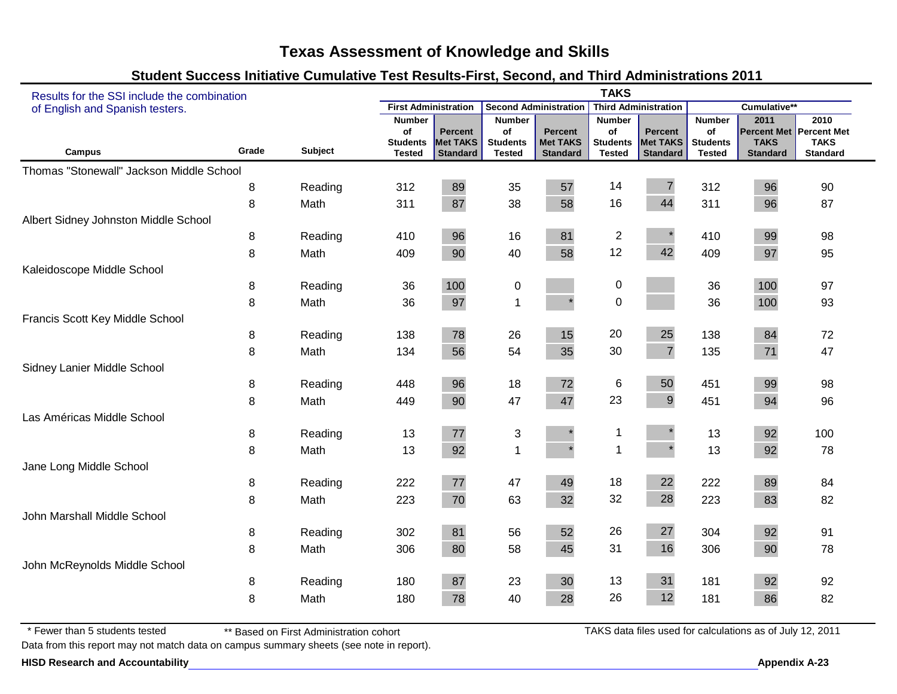### **Student Success Initiative Cumulative Test Results-First, Second, and Third Administrations 2011**

| Results for the SSI include the combination |       | <b>TAKS</b> |                                                         |                                               |                                                         |                                                      |                                                  |                                               |                                                         |                                        |                                                                          |
|---------------------------------------------|-------|-------------|---------------------------------------------------------|-----------------------------------------------|---------------------------------------------------------|------------------------------------------------------|--------------------------------------------------|-----------------------------------------------|---------------------------------------------------------|----------------------------------------|--------------------------------------------------------------------------|
| of English and Spanish testers.             |       |             | <b>First Administration</b>                             |                                               | <b>Second Administration</b>                            |                                                      |                                                  | <b>Third Administration</b>                   |                                                         | Cumulative**                           |                                                                          |
| Campus                                      | Grade | Subject     | <b>Number</b><br>оf<br><b>Students</b><br><b>Tested</b> | Percent<br><b>Met TAKS</b><br><b>Standard</b> | <b>Number</b><br>of<br><b>Students</b><br><b>Tested</b> | <b>Percent</b><br><b>Met TAKS</b><br><b>Standard</b> | <b>Number</b><br>оf<br><b>Students</b><br>Tested | Percent<br><b>Met TAKS</b><br><b>Standard</b> | <b>Number</b><br>of<br><b>Students</b><br><b>Tested</b> | 2011<br><b>TAKS</b><br><b>Standard</b> | 2010<br><b>Percent Met Percent Met</b><br><b>TAKS</b><br><b>Standard</b> |
| Thomas "Stonewall" Jackson Middle School    |       |             |                                                         |                                               |                                                         |                                                      |                                                  |                                               |                                                         |                                        |                                                                          |
|                                             | 8     | Reading     | 312                                                     | 89                                            | 35                                                      | 57                                                   | 14                                               | 7                                             | 312                                                     | 96                                     | 90                                                                       |
|                                             | 8     | Math        | 311                                                     | 87                                            | 38                                                      | 58                                                   | 16                                               | 44                                            | 311                                                     | 96                                     | 87                                                                       |
| Albert Sidney Johnston Middle School        |       |             |                                                         |                                               |                                                         |                                                      |                                                  |                                               |                                                         |                                        |                                                                          |
|                                             | 8     | Reading     | 410                                                     | 96                                            | 16                                                      | 81                                                   | $\overline{c}$                                   |                                               | 410                                                     | 99                                     | 98                                                                       |
|                                             | 8     | Math        | 409                                                     | 90                                            | 40                                                      | 58                                                   | 12                                               | 42                                            | 409                                                     | 97                                     | 95                                                                       |
| Kaleidoscope Middle School                  |       |             |                                                         |                                               |                                                         |                                                      |                                                  |                                               |                                                         |                                        |                                                                          |
|                                             | 8     | Reading     | 36                                                      | 100                                           | $\boldsymbol{0}$                                        |                                                      | $\pmb{0}$                                        |                                               | 36                                                      | 100                                    | 97                                                                       |
|                                             | 8     | Math        | 36                                                      | 97                                            | 1                                                       |                                                      | $\mathbf 0$                                      |                                               | 36                                                      | 100                                    | 93                                                                       |
| Francis Scott Key Middle School             |       |             |                                                         |                                               |                                                         |                                                      |                                                  |                                               |                                                         |                                        |                                                                          |
|                                             | 8     | Reading     | 138                                                     | 78                                            | 26                                                      | 15                                                   | 20                                               | 25                                            | 138                                                     | 84                                     | 72                                                                       |
|                                             | 8     | Math        | 134                                                     | 56                                            | 54                                                      | 35                                                   | 30                                               | $\overline{7}$                                | 135                                                     | 71                                     | 47                                                                       |
| Sidney Lanier Middle School                 |       |             |                                                         |                                               |                                                         |                                                      |                                                  |                                               |                                                         |                                        |                                                                          |
|                                             | 8     | Reading     | 448                                                     | 96                                            | 18                                                      | 72                                                   | 6                                                | 50                                            | 451                                                     | 99                                     | 98                                                                       |
|                                             | 8     | Math        | 449                                                     | 90                                            | 47                                                      | 47                                                   | 23                                               | 9                                             | 451                                                     | 94                                     | 96                                                                       |
| Las Américas Middle School                  |       |             |                                                         |                                               |                                                         |                                                      |                                                  |                                               |                                                         |                                        |                                                                          |
|                                             | 8     | Reading     | 13                                                      | 77                                            | 3                                                       |                                                      | 1                                                |                                               | 13                                                      | 92                                     | 100                                                                      |
|                                             | 8     | Math        | 13                                                      | 92                                            | $\mathbf{1}$                                            |                                                      | $\mathbf{1}$                                     |                                               | 13                                                      | 92                                     | 78                                                                       |
| Jane Long Middle School                     |       |             |                                                         |                                               |                                                         |                                                      |                                                  |                                               |                                                         |                                        |                                                                          |
|                                             | 8     | Reading     | 222                                                     | 77                                            | 47                                                      | 49                                                   | 18                                               | 22                                            | 222                                                     | 89                                     | 84                                                                       |
|                                             | 8     | Math        | 223                                                     | 70                                            | 63                                                      | 32                                                   | 32                                               | 28                                            | 223                                                     | 83                                     | 82                                                                       |
| John Marshall Middle School                 |       |             |                                                         |                                               |                                                         |                                                      |                                                  |                                               |                                                         |                                        |                                                                          |
|                                             | 8     | Reading     | 302                                                     | 81                                            | 56                                                      | 52                                                   | 26                                               | 27                                            | 304                                                     | 92                                     | 91                                                                       |
|                                             | 8     | Math        | 306                                                     | 80                                            | 58                                                      | 45                                                   | 31                                               | 16                                            | 306                                                     | 90                                     | 78                                                                       |
| John McReynolds Middle School               |       |             |                                                         |                                               |                                                         |                                                      |                                                  |                                               |                                                         |                                        |                                                                          |
|                                             | 8     | Reading     | 180                                                     | 87                                            | 23                                                      | 30                                                   | 13                                               | 31                                            | 181                                                     | 92                                     | 92                                                                       |
|                                             | 8     | Math        | 180                                                     | 78                                            | 40                                                      | 28                                                   | 26                                               | 12                                            | 181                                                     | 86                                     | 82                                                                       |

\* Fewer than 5 students tested

\*\* Based on First Administration cohort

Data from this report may not match data on campus summary sheets (see note in report).

TAKS data files used for calculations as of July 12, 2011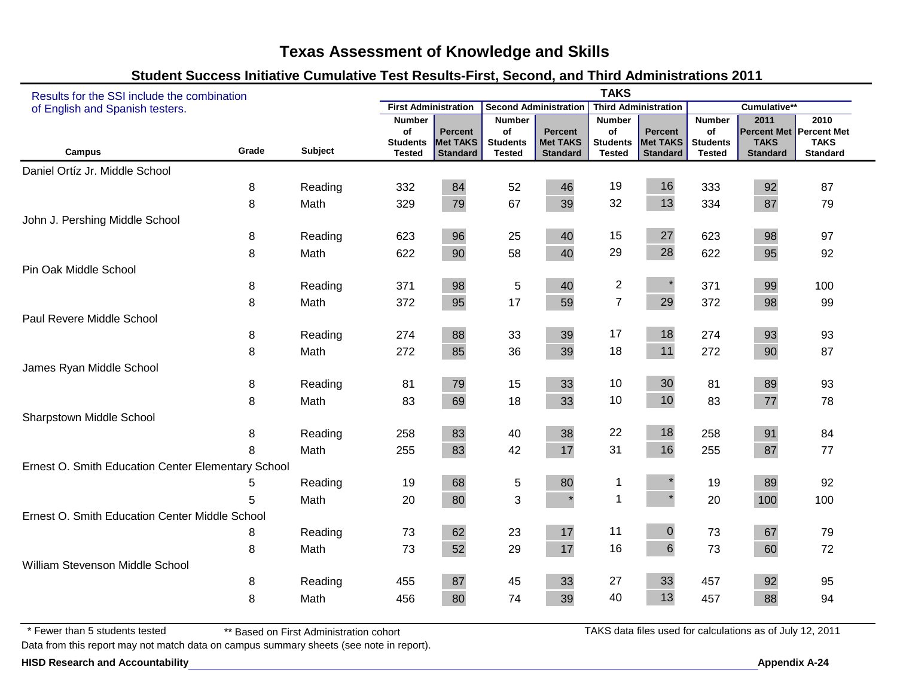### **Student Success Initiative Cumulative Test Results-First, Second, and Third Administrations 2011**

| Results for the SSI include the combination        |       |         |                                                         |                                               |                                                         | <b>TAKS</b>                                          |                                                         |                                                      |                                                         |                                        |                                                                          |
|----------------------------------------------------|-------|---------|---------------------------------------------------------|-----------------------------------------------|---------------------------------------------------------|------------------------------------------------------|---------------------------------------------------------|------------------------------------------------------|---------------------------------------------------------|----------------------------------------|--------------------------------------------------------------------------|
| of English and Spanish testers.                    |       |         |                                                         | <b>First Administration</b>                   | <b>Second Administration</b>                            |                                                      |                                                         | <b>Third Administration</b>                          |                                                         | Cumulative**                           |                                                                          |
| <b>Campus</b>                                      | Grade | Subject | <b>Number</b><br>of<br><b>Students</b><br><b>Tested</b> | Percent<br><b>Met TAKS</b><br><b>Standard</b> | <b>Number</b><br>of<br><b>Students</b><br><b>Tested</b> | <b>Percent</b><br><b>Met TAKS</b><br><b>Standard</b> | <b>Number</b><br>of<br><b>Students</b><br><b>Tested</b> | <b>Percent</b><br><b>Met TAKS</b><br><b>Standard</b> | <b>Number</b><br>of<br><b>Students</b><br><b>Tested</b> | 2011<br><b>TAKS</b><br><b>Standard</b> | 2010<br><b>Percent Met Percent Met</b><br><b>TAKS</b><br><b>Standard</b> |
| Daniel Ortíz Jr. Middle School                     |       |         |                                                         |                                               |                                                         |                                                      |                                                         |                                                      |                                                         |                                        |                                                                          |
|                                                    | 8     | Reading | 332                                                     | 84                                            | 52                                                      | 46                                                   | 19                                                      | 16                                                   | 333                                                     | 92                                     | 87                                                                       |
|                                                    | 8     | Math    | 329                                                     | 79                                            | 67                                                      | 39                                                   | 32                                                      | 13                                                   | 334                                                     | 87                                     | 79                                                                       |
| John J. Pershing Middle School                     |       |         |                                                         |                                               |                                                         |                                                      |                                                         |                                                      |                                                         |                                        |                                                                          |
|                                                    | 8     | Reading | 623                                                     | 96                                            | 25                                                      | 40                                                   | 15                                                      | 27                                                   | 623                                                     | 98                                     | 97                                                                       |
|                                                    | 8     | Math    | 622                                                     | 90                                            | 58                                                      | 40                                                   | 29                                                      | 28                                                   | 622                                                     | 95                                     | 92                                                                       |
| Pin Oak Middle School                              |       |         |                                                         |                                               |                                                         |                                                      |                                                         |                                                      |                                                         |                                        |                                                                          |
|                                                    | 8     | Reading | 371                                                     | 98                                            | $\sqrt{5}$                                              | 40                                                   | $\overline{\mathbf{c}}$                                 |                                                      | 371                                                     | 99                                     | 100                                                                      |
|                                                    | 8     | Math    | 372                                                     | 95                                            | 17                                                      | 59                                                   | $\overline{7}$                                          | 29                                                   | 372                                                     | 98                                     | 99                                                                       |
| Paul Revere Middle School                          |       |         |                                                         |                                               |                                                         |                                                      |                                                         |                                                      |                                                         |                                        |                                                                          |
|                                                    | 8     | Reading | 274                                                     | 88                                            | 33                                                      | 39                                                   | 17                                                      | 18                                                   | 274                                                     | 93                                     | 93                                                                       |
|                                                    | 8     | Math    | 272                                                     | 85                                            | 36                                                      | 39                                                   | 18                                                      | 11                                                   | 272                                                     | 90                                     | 87                                                                       |
| James Ryan Middle School                           |       |         |                                                         |                                               |                                                         |                                                      |                                                         |                                                      |                                                         |                                        |                                                                          |
|                                                    | 8     | Reading | 81                                                      | 79                                            | 15                                                      | 33                                                   | 10                                                      | 30                                                   | 81                                                      | 89                                     | 93                                                                       |
|                                                    | 8     | Math    | 83                                                      | 69                                            | 18                                                      | 33                                                   | $10$                                                    | 10                                                   | 83                                                      | 77                                     | 78                                                                       |
| Sharpstown Middle School                           |       |         |                                                         |                                               |                                                         |                                                      |                                                         |                                                      |                                                         |                                        |                                                                          |
|                                                    | 8     | Reading | 258                                                     | 83                                            | 40                                                      | 38                                                   | 22                                                      | 18                                                   | 258                                                     | 91                                     | 84                                                                       |
|                                                    | 8     | Math    | 255                                                     | 83                                            | 42                                                      | 17                                                   | 31                                                      | 16                                                   | 255                                                     | 87                                     | 77                                                                       |
| Ernest O. Smith Education Center Elementary School |       |         |                                                         |                                               |                                                         |                                                      |                                                         |                                                      |                                                         |                                        |                                                                          |
|                                                    | 5     | Reading | 19                                                      | 68                                            | $\sqrt{5}$                                              | 80                                                   | 1                                                       |                                                      | 19                                                      | 89                                     | 92                                                                       |
|                                                    | 5     | Math    | 20                                                      | 80                                            | 3                                                       |                                                      | 1                                                       |                                                      | 20                                                      | 100                                    | 100                                                                      |
| Ernest O. Smith Education Center Middle School     |       |         |                                                         |                                               |                                                         |                                                      |                                                         |                                                      |                                                         |                                        |                                                                          |
|                                                    | 8     | Reading | 73                                                      | 62                                            | 23                                                      | 17                                                   | 11                                                      | $\overline{0}$                                       | 73                                                      | 67                                     | 79                                                                       |
|                                                    | 8     | Math    | 73                                                      | 52                                            | 29                                                      | 17                                                   | 16                                                      | $6\phantom{a}$                                       | 73                                                      | 60                                     | 72                                                                       |
| William Stevenson Middle School                    |       |         |                                                         |                                               |                                                         |                                                      |                                                         |                                                      |                                                         |                                        |                                                                          |
|                                                    | 8     | Reading | 455                                                     | 87                                            | 45                                                      | 33                                                   | 27                                                      | 33                                                   | 457                                                     | 92                                     | 95                                                                       |
|                                                    | 8     | Math    | 456                                                     | 80                                            | 74                                                      | 39                                                   | 40                                                      | 13                                                   | 457                                                     | 88                                     | 94                                                                       |

\* Fewer than 5 students tested

\*\* Based on First Administration cohort

Data from this report may not match data on campus summary sheets (see note in report).

TAKS data files used for calculations as of July 12, 2011

**HISD Research and Accountability Appendix A-24 Appendix A-24 Appendix A-24**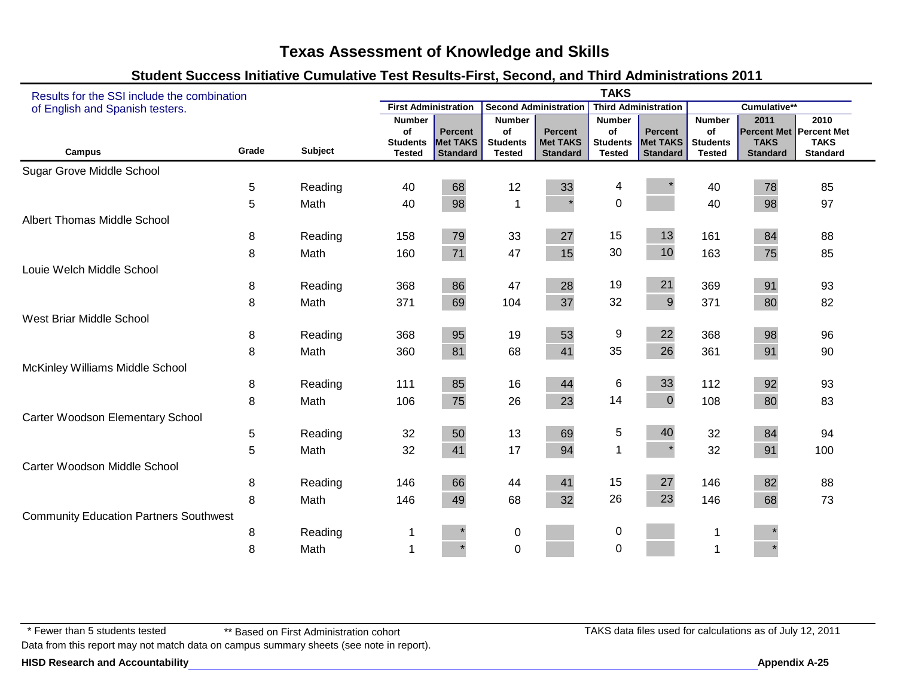### **Student Success Initiative Cumulative Test Results-First, Second, and Third Administrations 2011**

| Results for the SSI include the combination   |       | <b>TAKS</b> |                                                         |                                               |                                                         |                                                      |                                                         |                                                      |                                                         |                                                                          |                                        |
|-----------------------------------------------|-------|-------------|---------------------------------------------------------|-----------------------------------------------|---------------------------------------------------------|------------------------------------------------------|---------------------------------------------------------|------------------------------------------------------|---------------------------------------------------------|--------------------------------------------------------------------------|----------------------------------------|
| of English and Spanish testers.               |       |             | <b>First Administration</b>                             |                                               | <b>Second Administration</b>                            |                                                      |                                                         | <b>Third Administration</b>                          |                                                         | Cumulative**                                                             |                                        |
| <b>Campus</b>                                 | Grade | Subject     | <b>Number</b><br>of<br><b>Students</b><br><b>Tested</b> | Percent<br><b>Met TAKS</b><br><b>Standard</b> | <b>Number</b><br>of<br><b>Students</b><br><b>Tested</b> | <b>Percent</b><br><b>Met TAKS</b><br><b>Standard</b> | <b>Number</b><br>of<br><b>Students</b><br><b>Tested</b> | <b>Percent</b><br><b>Met TAKS</b><br><b>Standard</b> | <b>Number</b><br>of<br><b>Students</b><br><b>Tested</b> | 2011<br><b>Percent Met Percent Met</b><br><b>TAKS</b><br><b>Standard</b> | 2010<br><b>TAKS</b><br><b>Standard</b> |
| Sugar Grove Middle School                     |       |             |                                                         |                                               |                                                         |                                                      |                                                         |                                                      |                                                         |                                                                          |                                        |
|                                               | 5     | Reading     | 40                                                      | 68                                            | 12                                                      | 33                                                   | 4                                                       |                                                      | 40                                                      | 78                                                                       | 85                                     |
|                                               | 5     | Math        | 40                                                      | 98                                            | 1                                                       |                                                      | 0                                                       |                                                      | 40                                                      | 98                                                                       | 97                                     |
| Albert Thomas Middle School                   |       |             |                                                         |                                               |                                                         |                                                      |                                                         |                                                      |                                                         |                                                                          |                                        |
|                                               | 8     | Reading     | 158                                                     | 79                                            | 33                                                      | 27                                                   | 15                                                      | 13                                                   | 161                                                     | 84                                                                       | 88                                     |
|                                               | 8     | Math        | 160                                                     | 71                                            | 47                                                      | 15                                                   | 30                                                      | 10                                                   | 163                                                     | 75                                                                       | 85                                     |
| Louie Welch Middle School                     |       |             |                                                         |                                               |                                                         |                                                      |                                                         |                                                      |                                                         |                                                                          |                                        |
|                                               | 8     | Reading     | 368                                                     | 86                                            | 47                                                      | 28                                                   | 19                                                      | 21                                                   | 369                                                     | 91                                                                       | 93                                     |
|                                               | 8     | Math        | 371                                                     | 69                                            | 104                                                     | 37                                                   | 32                                                      | $\overline{9}$                                       | 371                                                     | 80                                                                       | 82                                     |
| West Briar Middle School                      |       |             |                                                         |                                               |                                                         |                                                      |                                                         |                                                      |                                                         |                                                                          |                                        |
|                                               | 8     | Reading     | 368                                                     | 95                                            | 19                                                      | 53                                                   | 9                                                       | 22                                                   | 368                                                     | 98                                                                       | 96                                     |
|                                               | 8     | Math        | 360                                                     | 81                                            | 68                                                      | 41                                                   | 35                                                      | 26                                                   | 361                                                     | 91                                                                       | 90                                     |
| McKinley Williams Middle School               |       |             |                                                         |                                               |                                                         |                                                      |                                                         |                                                      |                                                         |                                                                          |                                        |
|                                               | 8     | Reading     | 111                                                     | 85                                            | 16                                                      | 44                                                   | 6                                                       | 33                                                   | 112                                                     | 92                                                                       | 93                                     |
|                                               | 8     | Math        | 106                                                     | 75                                            | 26                                                      | 23                                                   | 14                                                      | $\overline{0}$                                       | 108                                                     | 80                                                                       | 83                                     |
| Carter Woodson Elementary School              |       |             |                                                         |                                               |                                                         |                                                      |                                                         |                                                      |                                                         |                                                                          |                                        |
|                                               | 5     | Reading     | 32                                                      | 50                                            | 13                                                      | 69                                                   | 5                                                       | 40                                                   | 32                                                      | 84                                                                       | 94                                     |
|                                               | 5     | Math        | 32                                                      | 41                                            | 17                                                      | 94                                                   | $\mathbf 1$                                             |                                                      | 32                                                      | 91                                                                       | 100                                    |
| Carter Woodson Middle School                  |       |             |                                                         |                                               |                                                         |                                                      |                                                         |                                                      |                                                         |                                                                          |                                        |
|                                               | 8     | Reading     | 146                                                     | 66                                            | 44                                                      | 41                                                   | 15                                                      | 27                                                   | 146                                                     | 82                                                                       | 88                                     |
|                                               | 8     | Math        | 146                                                     | 49                                            | 68                                                      | 32                                                   | 26                                                      | 23                                                   | 146                                                     | 68                                                                       | 73                                     |
| <b>Community Education Partners Southwest</b> |       |             |                                                         |                                               |                                                         |                                                      |                                                         |                                                      |                                                         |                                                                          |                                        |
|                                               | 8     | Reading     | 1                                                       |                                               | $\pmb{0}$                                               |                                                      | $\pmb{0}$                                               |                                                      |                                                         |                                                                          |                                        |
|                                               | 8     | Math        | -1                                                      |                                               | $\Omega$                                                |                                                      | 0                                                       |                                                      |                                                         |                                                                          |                                        |

\* Fewer than 5 students tested

Data from this report may not match data on campus summary sheets (see note in report).

TAKS data files used for calculations as of July 12, 2011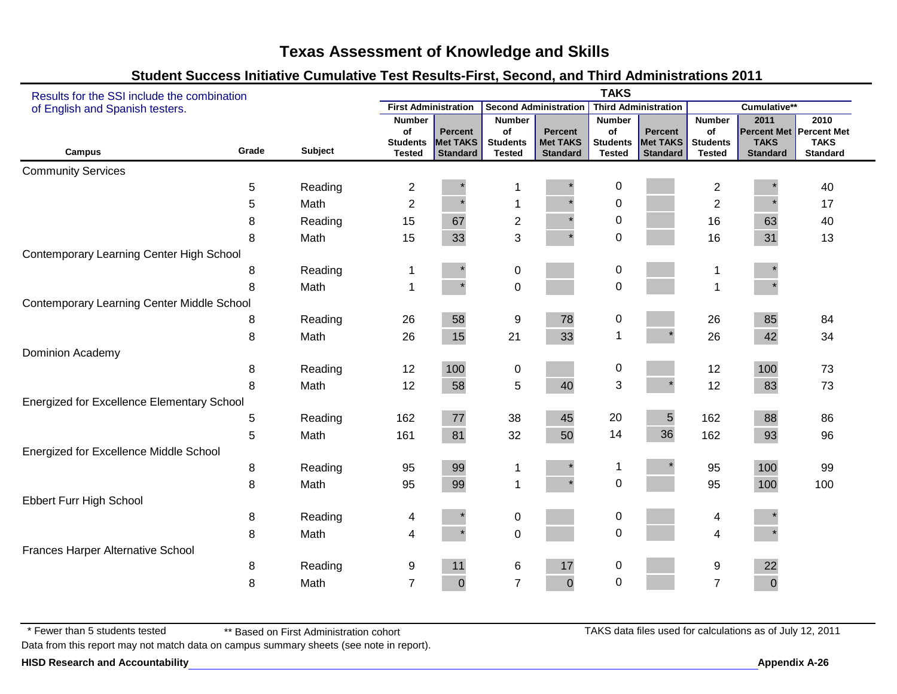### **Student Success Initiative Cumulative Test Results-First, Second, and Third Administrations 2011**

| Results for the SSI include the combination       |             | <b>TAKS</b> |                                                         |                                               |                                                         |                                                      |                                                         |                                               |                                                         |                                        |                                                                          |
|---------------------------------------------------|-------------|-------------|---------------------------------------------------------|-----------------------------------------------|---------------------------------------------------------|------------------------------------------------------|---------------------------------------------------------|-----------------------------------------------|---------------------------------------------------------|----------------------------------------|--------------------------------------------------------------------------|
| of English and Spanish testers.                   |             |             | <b>First Administration</b>                             |                                               | <b>Second Administration</b>                            |                                                      |                                                         | <b>Third Administration</b>                   |                                                         | Cumulative**                           |                                                                          |
| <b>Campus</b>                                     | Grade       | Subject     | <b>Number</b><br>of<br><b>Students</b><br><b>Tested</b> | Percent<br><b>Met TAKS</b><br><b>Standard</b> | <b>Number</b><br>of<br><b>Students</b><br><b>Tested</b> | <b>Percent</b><br><b>Met TAKS</b><br><b>Standard</b> | <b>Number</b><br>of<br><b>Students</b><br><b>Tested</b> | Percent<br><b>Met TAKS</b><br><b>Standard</b> | <b>Number</b><br>of<br><b>Students</b><br><b>Tested</b> | 2011<br><b>TAKS</b><br><b>Standard</b> | 2010<br><b>Percent Met Percent Met</b><br><b>TAKS</b><br><b>Standard</b> |
| <b>Community Services</b>                         |             |             |                                                         |                                               |                                                         |                                                      |                                                         |                                               |                                                         |                                        |                                                                          |
|                                                   | 5           | Reading     | $\overline{c}$                                          |                                               | 1                                                       |                                                      | $\pmb{0}$                                               |                                               | 2                                                       |                                        | 40                                                                       |
|                                                   | 5           | Math        | $\overline{2}$                                          |                                               | 1                                                       |                                                      | $\pmb{0}$                                               |                                               | $\overline{c}$                                          |                                        | 17                                                                       |
|                                                   | 8           | Reading     | 15                                                      | 67                                            | 2                                                       |                                                      | $\pmb{0}$                                               |                                               | 16                                                      | 63                                     | 40                                                                       |
|                                                   | 8           | Math        | 15                                                      | 33                                            | $\mathbf{3}$                                            |                                                      | 0                                                       |                                               | 16                                                      | 31                                     | 13                                                                       |
| Contemporary Learning Center High School          |             |             |                                                         |                                               |                                                         |                                                      |                                                         |                                               |                                                         |                                        |                                                                          |
|                                                   | 8           | Reading     | 1                                                       |                                               | $\pmb{0}$                                               |                                                      | 0                                                       |                                               |                                                         |                                        |                                                                          |
|                                                   | 8           | Math        | $\mathbf{1}$                                            |                                               | $\pmb{0}$                                               |                                                      | $\pmb{0}$                                               |                                               |                                                         |                                        |                                                                          |
| Contemporary Learning Center Middle School        |             |             |                                                         |                                               |                                                         |                                                      |                                                         |                                               |                                                         |                                        |                                                                          |
|                                                   | 8           | Reading     | 26                                                      | 58                                            | 9                                                       | 78                                                   | 0                                                       |                                               | 26                                                      | 85                                     | 84                                                                       |
|                                                   | 8           | Math        | 26                                                      | 15                                            | 21                                                      | 33                                                   | $\mathbf{1}$                                            |                                               | 26                                                      | 42                                     | 34                                                                       |
| Dominion Academy                                  |             |             |                                                         |                                               |                                                         |                                                      |                                                         |                                               |                                                         |                                        |                                                                          |
|                                                   | 8           | Reading     | 12                                                      | 100                                           | $\mathbf 0$                                             |                                                      | 0                                                       |                                               | 12                                                      | 100                                    | 73                                                                       |
|                                                   | 8           | Math        | 12                                                      | 58                                            | $\overline{5}$                                          | 40                                                   | 3                                                       |                                               | 12                                                      | 83                                     | 73                                                                       |
| <b>Energized for Excellence Elementary School</b> |             |             |                                                         |                                               |                                                         |                                                      |                                                         |                                               |                                                         |                                        |                                                                          |
|                                                   | 5           | Reading     | 162                                                     | 77                                            | 38                                                      | 45                                                   | 20                                                      | $\overline{5}$                                | 162                                                     | 88                                     | 86                                                                       |
|                                                   | $\mathbf 5$ | Math        | 161                                                     | 81                                            | 32                                                      | 50                                                   | 14                                                      | 36                                            | 162                                                     | 93                                     | 96                                                                       |
| Energized for Excellence Middle School            |             |             |                                                         |                                               |                                                         |                                                      |                                                         |                                               |                                                         |                                        |                                                                          |
|                                                   | 8           | Reading     | 95                                                      | 99                                            | 1                                                       |                                                      | 1                                                       |                                               | 95                                                      | 100                                    | 99                                                                       |
|                                                   | 8           | Math        | 95                                                      | 99                                            | 1                                                       |                                                      | $\mathbf 0$                                             |                                               | 95                                                      | 100                                    | 100                                                                      |
| Ebbert Furr High School                           |             |             |                                                         |                                               |                                                         |                                                      |                                                         |                                               |                                                         |                                        |                                                                          |
|                                                   | 8           | Reading     | 4                                                       |                                               | $\pmb{0}$                                               |                                                      | 0                                                       |                                               | 4                                                       |                                        |                                                                          |
|                                                   | 8           | Math        | $\overline{4}$                                          |                                               | $\mathbf 0$                                             |                                                      | $\mathbf 0$                                             |                                               | 4                                                       |                                        |                                                                          |
| Frances Harper Alternative School                 |             |             |                                                         |                                               |                                                         |                                                      |                                                         |                                               |                                                         |                                        |                                                                          |
|                                                   | 8           | Reading     | 9                                                       | 11                                            | 6                                                       | 17                                                   | $\pmb{0}$                                               |                                               | 9                                                       | 22                                     |                                                                          |
|                                                   | 8           | Math        | $\overline{7}$                                          | $\overline{0}$                                | $\overline{7}$                                          | $\overline{0}$                                       | $\mathbf 0$                                             |                                               | $\overline{7}$                                          | $\overline{0}$                         |                                                                          |

\* Fewer than 5 students tested

Data from this report may not match data on campus summary sheets (see note in report).

TAKS data files used for calculations as of July 12, 2011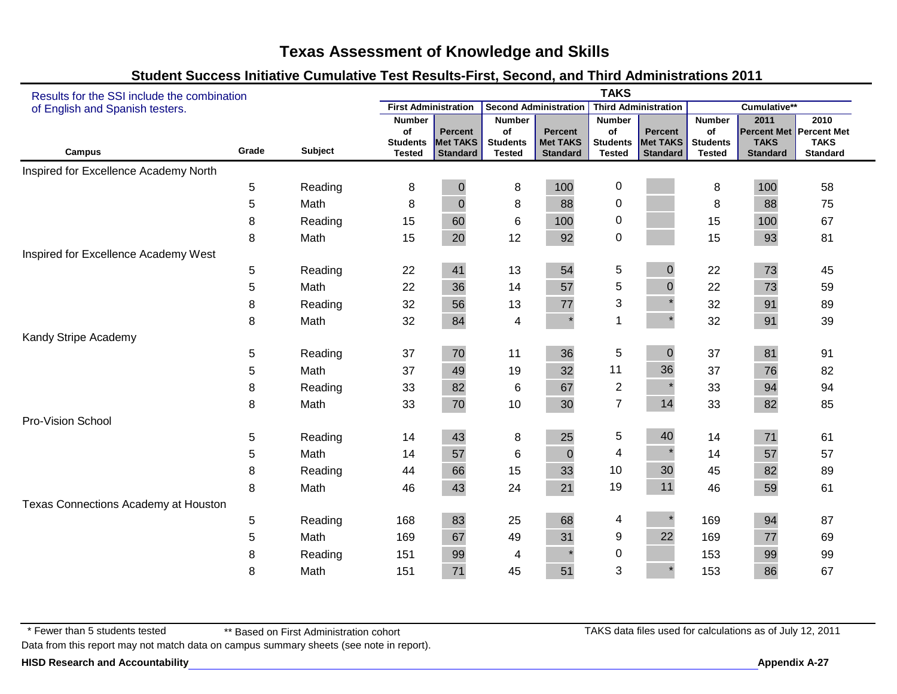### **Student Success Initiative Cumulative Test Results-First, Second, and Third Administrations 2011**

| Results for the SSI include the combination |             |         | <b>TAKS</b>                                             |                                               |                                                         |                                                      |                                                         |                                               |                                                         |                                                                          |                                        |  |
|---------------------------------------------|-------------|---------|---------------------------------------------------------|-----------------------------------------------|---------------------------------------------------------|------------------------------------------------------|---------------------------------------------------------|-----------------------------------------------|---------------------------------------------------------|--------------------------------------------------------------------------|----------------------------------------|--|
| of English and Spanish testers.             |             |         | <b>First Administration</b>                             |                                               |                                                         | <b>Second Administration</b>                         |                                                         | <b>Third Administration</b>                   |                                                         | Cumulative**                                                             |                                        |  |
| <b>Campus</b>                               | Grade       | Subject | <b>Number</b><br>of<br><b>Students</b><br><b>Tested</b> | Percent<br><b>Met TAKS</b><br><b>Standard</b> | <b>Number</b><br>of<br><b>Students</b><br><b>Tested</b> | <b>Percent</b><br><b>Met TAKS</b><br><b>Standard</b> | <b>Number</b><br>of<br><b>Students</b><br><b>Tested</b> | Percent<br><b>Met TAKS</b><br><b>Standard</b> | <b>Number</b><br>of<br><b>Students</b><br><b>Tested</b> | 2011<br><b>Percent Met Percent Met</b><br><b>TAKS</b><br><b>Standard</b> | 2010<br><b>TAKS</b><br><b>Standard</b> |  |
| Inspired for Excellence Academy North       |             |         |                                                         |                                               |                                                         |                                                      |                                                         |                                               |                                                         |                                                                          |                                        |  |
|                                             | $\mathbf 5$ | Reading | 8                                                       | $\pmb{0}$                                     | 8                                                       | 100                                                  | 0                                                       |                                               | 8                                                       | 100                                                                      | 58                                     |  |
|                                             | 5           | Math    | 8                                                       | $\mathbf 0$                                   | 8                                                       | 88                                                   | 0                                                       |                                               | 8                                                       | 88                                                                       | 75                                     |  |
|                                             | 8           | Reading | 15                                                      | 60                                            | 6                                                       | 100                                                  | $\pmb{0}$                                               |                                               | 15                                                      | 100                                                                      | 67                                     |  |
|                                             | 8           | Math    | 15                                                      | 20                                            | 12                                                      | 92                                                   | 0                                                       |                                               | 15                                                      | 93                                                                       | 81                                     |  |
| Inspired for Excellence Academy West        |             |         |                                                         |                                               |                                                         |                                                      |                                                         |                                               |                                                         |                                                                          |                                        |  |
|                                             | $\mathbf 5$ | Reading | 22                                                      | 41                                            | 13                                                      | 54                                                   | 5                                                       | $\pmb{0}$                                     | 22                                                      | 73                                                                       | 45                                     |  |
|                                             | 5           | Math    | 22                                                      | 36                                            | 14                                                      | 57                                                   | 5                                                       | $\boldsymbol{0}$                              | 22                                                      | 73                                                                       | 59                                     |  |
|                                             | 8           | Reading | 32                                                      | 56                                            | 13                                                      | 77                                                   | 3                                                       |                                               | 32                                                      | 91                                                                       | 89                                     |  |
|                                             | 8           | Math    | 32                                                      | 84                                            | 4                                                       |                                                      | 1                                                       |                                               | 32                                                      | 91                                                                       | 39                                     |  |
| Kandy Stripe Academy                        |             |         |                                                         |                                               |                                                         |                                                      |                                                         |                                               |                                                         |                                                                          |                                        |  |
|                                             | 5           | Reading | 37                                                      | 70                                            | 11                                                      | 36                                                   | 5                                                       | $\mathbf 0$                                   | 37                                                      | 81                                                                       | 91                                     |  |
|                                             | 5           | Math    | 37                                                      | 49                                            | 19                                                      | 32                                                   | 11                                                      | 36                                            | 37                                                      | 76                                                                       | 82                                     |  |
|                                             | 8           | Reading | 33                                                      | 82                                            | $6\phantom{1}6$                                         | 67                                                   | 2                                                       |                                               | 33                                                      | 94                                                                       | 94                                     |  |
|                                             | 8           | Math    | 33                                                      | 70                                            | 10                                                      | 30                                                   | $\overline{7}$                                          | 14                                            | 33                                                      | 82                                                                       | 85                                     |  |
| Pro-Vision School                           |             |         |                                                         |                                               |                                                         |                                                      |                                                         |                                               |                                                         |                                                                          |                                        |  |
|                                             | 5           | Reading | 14                                                      | 43                                            | 8                                                       | 25                                                   | 5                                                       | 40                                            | 14                                                      | 71                                                                       | 61                                     |  |
|                                             | 5           | Math    | 14                                                      | 57                                            | $6\phantom{1}6$                                         | $\pmb{0}$                                            | 4                                                       |                                               | 14                                                      | 57                                                                       | 57                                     |  |
|                                             | 8           | Reading | 44                                                      | 66                                            | 15                                                      | 33                                                   | 10                                                      | 30                                            | 45                                                      | 82                                                                       | 89                                     |  |
|                                             | 8           | Math    | 46                                                      | 43                                            | 24                                                      | 21                                                   | 19                                                      | 11                                            | 46                                                      | 59                                                                       | 61                                     |  |
| Texas Connections Academy at Houston        |             |         |                                                         |                                               |                                                         |                                                      |                                                         |                                               |                                                         |                                                                          |                                        |  |
|                                             | $\mathbf 5$ | Reading | 168                                                     | 83                                            | 25                                                      | 68                                                   | 4                                                       |                                               | 169                                                     | 94                                                                       | 87                                     |  |
|                                             | 5           | Math    | 169                                                     | 67                                            | 49                                                      | 31                                                   | 9                                                       | 22                                            | 169                                                     | 77                                                                       | 69                                     |  |
|                                             | 8           | Reading | 151                                                     | 99                                            | 4                                                       |                                                      | 0                                                       |                                               | 153                                                     | 99                                                                       | 99                                     |  |
|                                             | 8           | Math    | 151                                                     | 71                                            | 45                                                      | 51                                                   | 3                                                       |                                               | 153                                                     | 86                                                                       | 67                                     |  |

\* Fewer than 5 students tested

Data from this report may not match data on campus summary sheets (see note in report).

**HISD Research and Accountability Appendix A-27 Appendix A-27 Appendix A-27**